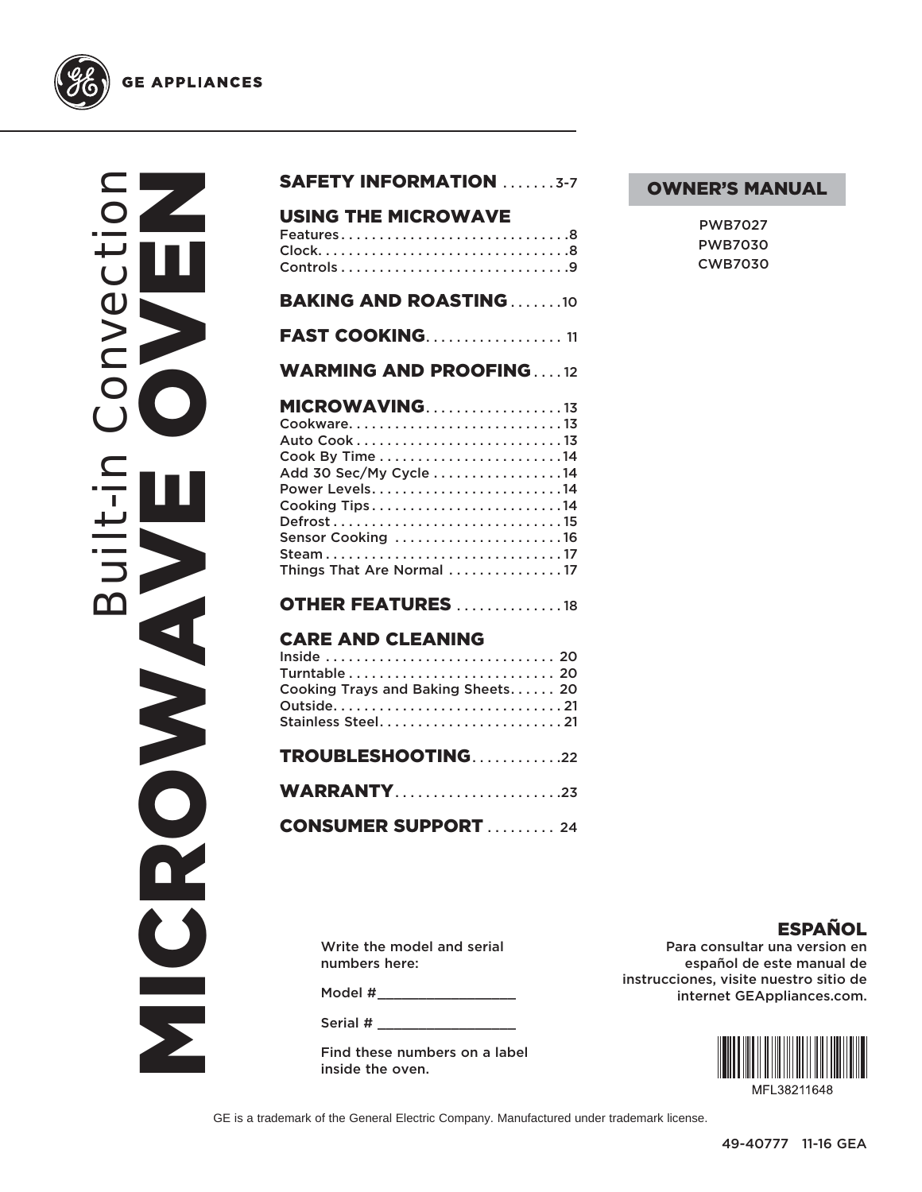

# Built-in Convection NEWS ORDER PVC NICROWS

| <b>USING THE MICROWAVE</b><br>Features8                                                                                                            |
|----------------------------------------------------------------------------------------------------------------------------------------------------|
| <b>BAKING AND ROASTING10</b>                                                                                                                       |
| <b>FAST COOKING11</b>                                                                                                                              |
| <b>WARMING AND PROOFING12</b>                                                                                                                      |
| MICROWAVING13<br>Auto Cook13<br>Add 30 Sec/My Cycle 14<br>Cooking Tips14<br>Defrost15<br>Sensor Cooking 16<br>Steam17<br>Things That Are Normal 17 |
| <b>OTHER FEATURES</b> 18                                                                                                                           |
| <b>CARE AND CLEANING</b><br>Inside  20<br>Cooking Trays and Baking Sheets 20<br>Stainless Steel21                                                  |
| TROUBLESHOOTING22                                                                                                                                  |
| <b>WARRANTY23</b>                                                                                                                                  |
| <b>CONSUMER SUPPORT  24</b>                                                                                                                        |
|                                                                                                                                                    |
| Write the model and serial                                                                                                                         |

SAFETY INFORMATION .......3-7

#### OWNER'S MANUAL

| PWB7027        |
|----------------|
| PWB7030        |
| <b>CWB7030</b> |

Write the model and serial numbers here:

Model # \_\_\_\_\_\_\_\_\_\_\_\_\_\_\_\_\_

Serial # \_\_\_\_\_\_\_\_\_\_\_\_\_\_\_\_\_

Find these numbers on a label inside the oven.

ESPAÑOL Para consultar una version en español de este manual de instrucciones, visite nuestro sitio de internet GEAppliances.com.



GE is a trademark of the General Electric Company. Manufactured under trademark license.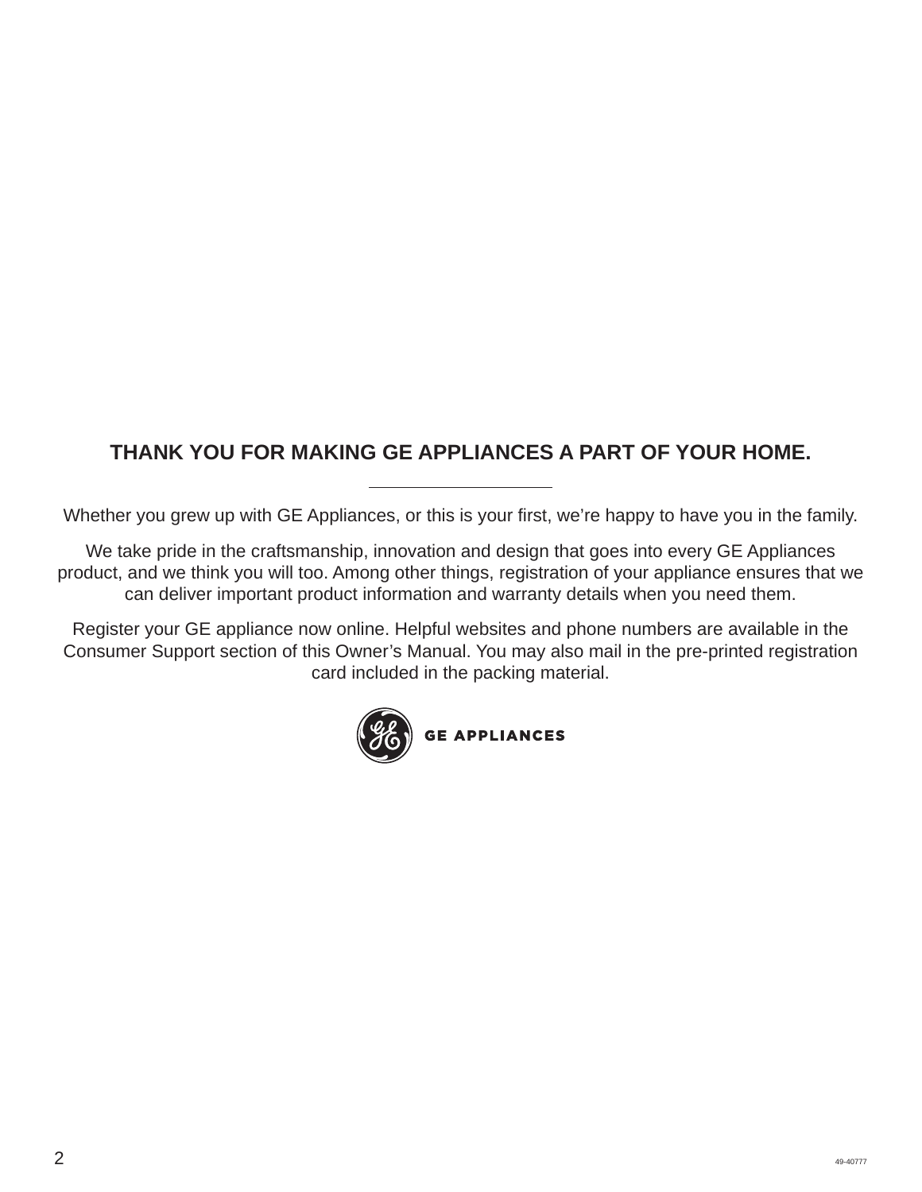# **THANK YOU FOR MAKING GE APPLIANCES A PART OF YOUR HOME.**

Whether you grew up with GE Appliances, or this is your first, we're happy to have you in the family.

We take pride in the craftsmanship, innovation and design that goes into every GE Appliances product, and we think you will too. Among other things, registration of your appliance ensures that we can deliver important product information and warranty details when you need them.

Register your GE appliance now online. Helpful websites and phone numbers are available in the Consumer Support section of this Owner's Manual. You may also mail in the pre-printed registration card included in the packing material.

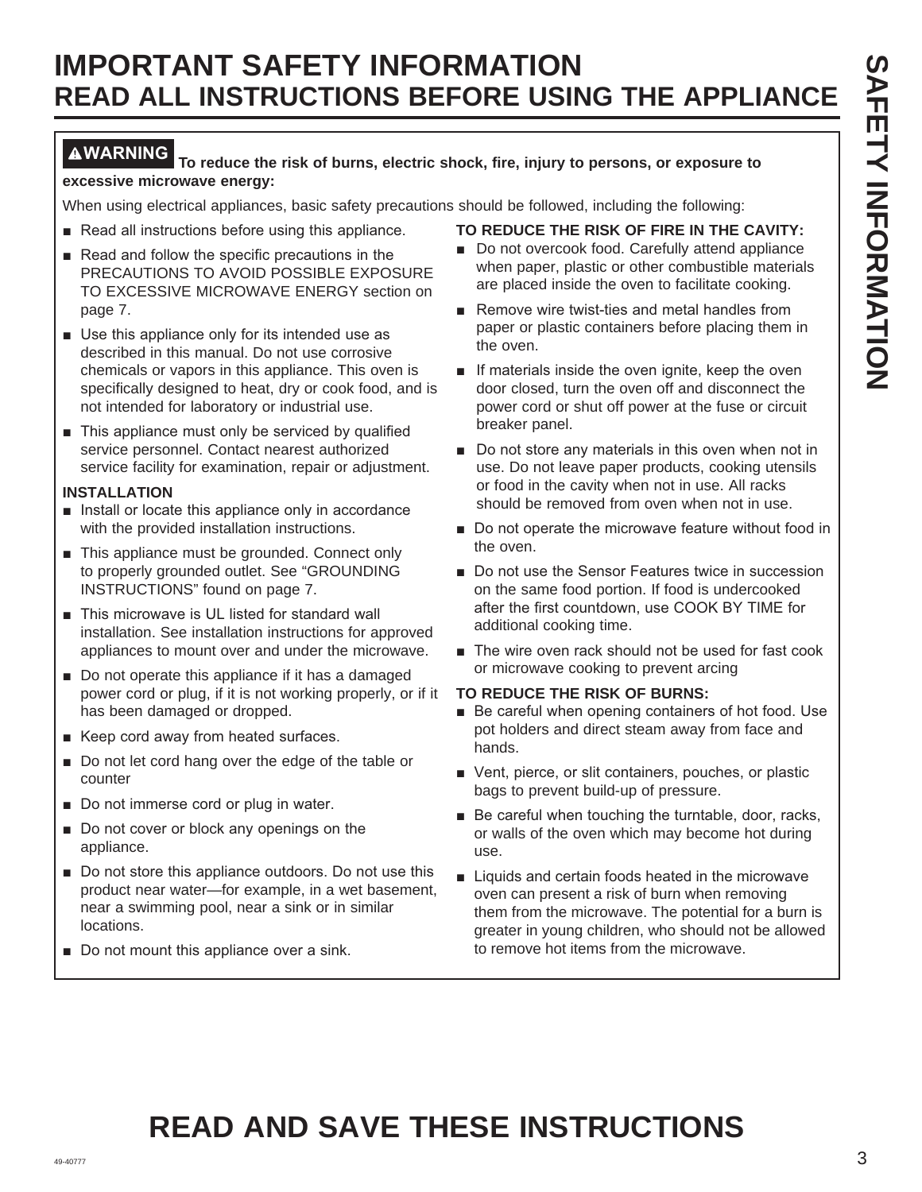#### **WARNING To reduce the risk of burns, electric shock, fire, injury to persons, or exposure to excessive microwave energy:**

When using electrical appliances, basic safety precautions should be followed, including the following:

- Read all instructions before using this appliance.
- $\blacksquare$  Read and follow the specific precautions in the PRECAUTIONS TO AVOID POSSIBLE EXPOSURE TO EXCESSIVE MICROWAVE ENERGY section on page 7.
- $\blacksquare$  Use this appliance only for its intended use as described in this manual. Do not use corrosive chemicals or vapors in this appliance. This oven is specifically designed to heat, dry or cook food, and is not intended for laboratory or industrial use.
- $\blacksquare$  This appliance must only be serviced by qualified service personnel. Contact nearest authorized service facility for examination, repair or adjustment.

#### **INSTALLATION**

- $\blacksquare$  Install or locate this appliance only in accordance with the provided installation instructions.
- This appliance must be grounded. Connect only to properly grounded outlet. See "GROUNDING INSTRUCTIONS" found on page 7.
- This microwave is UL listed for standard wall installation. See installation instructions for approved appliances to mount over and under the microwave.
- $\blacksquare$  Do not operate this appliance if it has a damaged power cord or plug, if it is not working properly, or if it has been damaged or dropped.
- Keep cord away from heated surfaces.
- Do not let cord hang over the edge of the table or counter
- Do not immerse cord or plug in water.
- $\blacksquare$  Do not cover or block any openings on the appliance.
- Do not store this appliance outdoors. Do not use this product near water—for example, in a wet basement, near a swimming pool, near a sink or in similar locations.
- Do not mount this appliance over a sink.

#### **TO REDUCE THE RISK OF FIRE IN THE CAVITY:**

- Do not overcook food. Carefully attend appliance when paper, plastic or other combustible materials are placed inside the oven to facilitate cooking.
- Remove wire twist-ties and metal handles from paper or plastic containers before placing them in the oven.
- $\blacksquare$  If materials inside the oven ignite, keep the oven door closed, turn the oven off and disconnect the power cord or shut off power at the fuse or circuit breaker panel.
- Do not store any materials in this oven when not in use. Do not leave paper products, cooking utensils or food in the cavity when not in use. All racks should be removed from oven when not in use.
- Do not operate the microwave feature without food in the oven.
- Do not use the Sensor Features twice in succession on the same food portion. If food is undercooked after the first countdown, use COOK BY TIME for additional cooking time.
- $\blacksquare$  The wire oven rack should not be used for fast cook or microwave cooking to prevent arcing

#### **TO REDUCE THE RISK OF BURNS:**

- Be careful when opening containers of hot food. Use pot holders and direct steam away from face and hands.
- Vent, pierce, or slit containers, pouches, or plastic bags to prevent build-up of pressure.
- $\blacksquare$  Be careful when touching the turntable, door, racks, or walls of the oven which may become hot during use.
- Liquids and certain foods heated in the microwave oven can present a risk of burn when removing them from the microwave. The potential for a burn is greater in young children, who should not be allowed to remove hot items from the microwave.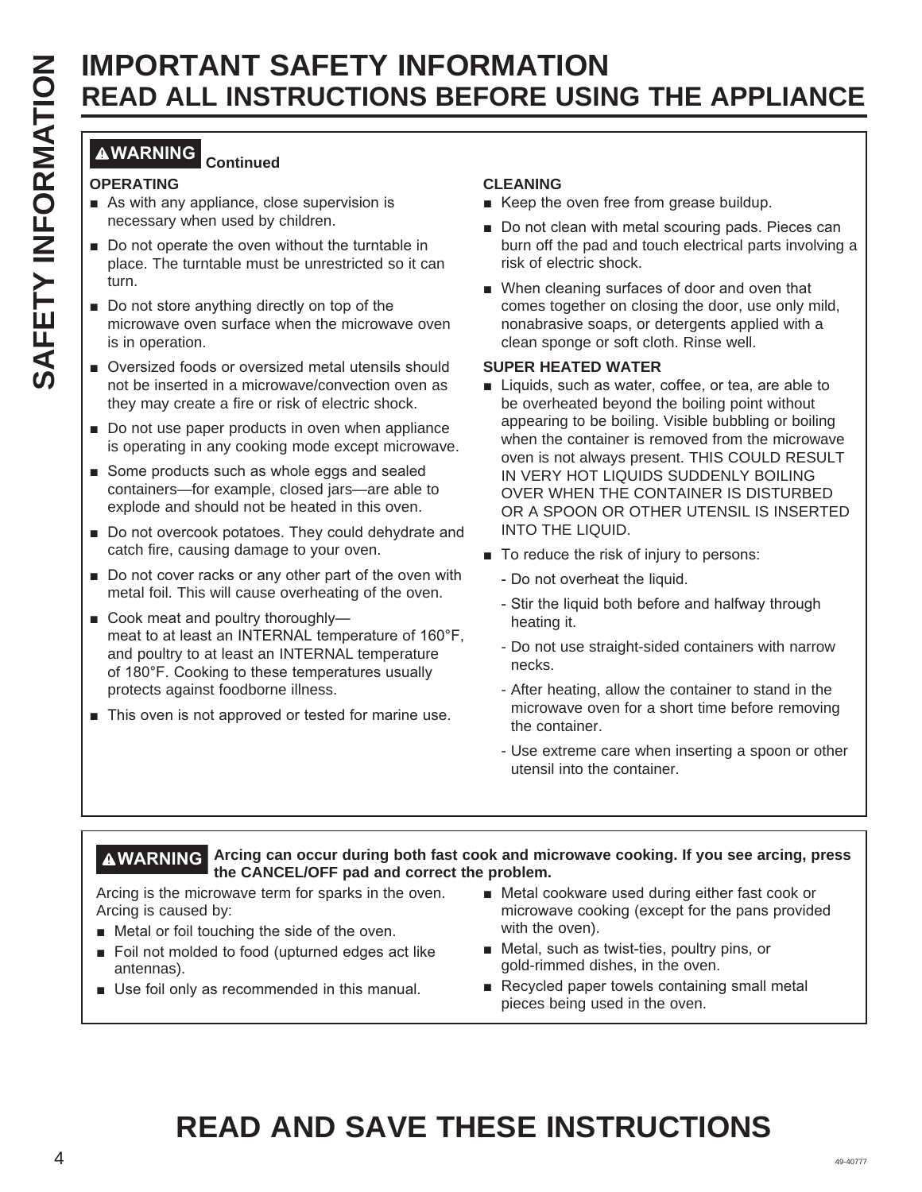#### **WARNING Continued**

#### **OPERATING**

- $\blacksquare$  As with any appliance, close supervision is necessary when used by children.
- $\blacksquare$  Do not operate the oven without the turntable in place. The turntable must be unrestricted so it can turn.
- Do not store anything directly on top of the microwave oven surface when the microwave oven is in operation.
- Oversized foods or oversized metal utensils should not be inserted in a microwave/convection oven as they may create a fire or risk of electric shock.
- $\blacksquare$  Do not use paper products in oven when appliance is operating in any cooking mode except microwave.
- Some products such as whole eggs and sealed containers—for example, closed jars—are able to explode and should not be heated in this oven.
- Do not overcook potatoes. They could dehydrate and catch fire, causing damage to your oven.
- $\blacksquare$  Do not cover racks or any other part of the oven with metal foil. This will cause overheating of the oven.
- Cook meat and poultry thoroughlymeat to at least an INTERNAL temperature of 160°F, and poultry to at least an INTERNAL temperature of 180°F. Cooking to these temperatures usually protects against foodborne illness.
- $\blacksquare$  This oven is not approved or tested for marine use.

#### **CLEANING**

- Keep the oven free from grease buildup.
- Do not clean with metal scouring pads. Pieces can burn off the pad and touch electrical parts involving a risk of electric shock.
- When cleaning surfaces of door and oven that comes together on closing the door, use only mild, nonabrasive soaps, or detergents applied with a clean sponge or soft cloth. Rinse well.

#### **SUPER HEATED WATER**

- **EXAMPLE THE SETTER THOMATION SECTION SECTION SECTION SECTION SECTION SECTION SECTION SECTION SECTION SECTION SECTION SECTION SECTION SECTION SECTION SECTION SECTION SECTION SECTION SECTION SECTION SECTION SECTION SECTIO** ■ Liquids, such as water, coffee, or tea, are able to be overheated beyond the boiling point without appearing to be boiling. Visible bubbling or boiling when the container is removed from the microwave oven is not always present. THIS COULD RESULT IN VERY HOT LIQUIDS SUDDENLY BOILING OVER WHEN THE CONTAINER IS DISTURBED OR A SPOON OR OTHER UTENSIL IS INSERTED INTO THE LIQUID.
	- $\blacksquare$  To reduce the risk of injury to persons:
		- Do not overheat the liquid.
		- Stir the liquid both before and halfway through heating it.
		- Do not use straight-sided containers with narrow necks.
		- After heating, allow the container to stand in the microwave oven for a short time before removing the container.
		- Use extreme care when inserting a spoon or other utensil into the container.

#### **WARNING Arcing can occur during both fast cook and microwave cooking. If you see arcing, press the CANCEL/OFF pad and correct the problem.**

Arcing is the microwave term for sparks in the oven. Arcing is caused by:

- Metal or foil touching the side of the oven.
- Foil not molded to food (upturned edges act like antennas).
- $\blacksquare$  Use foil only as recommended in this manual.
- $\blacksquare$  Metal cookware used during either fast cook or microwave cooking (except for the pans provided with the oven).
- $\blacksquare$  Metal, such as twist-ties, poultry pins, or gold-rimmed dishes, in the oven.
- $\blacksquare$  Recycled paper towels containing small metal pieces being used in the oven.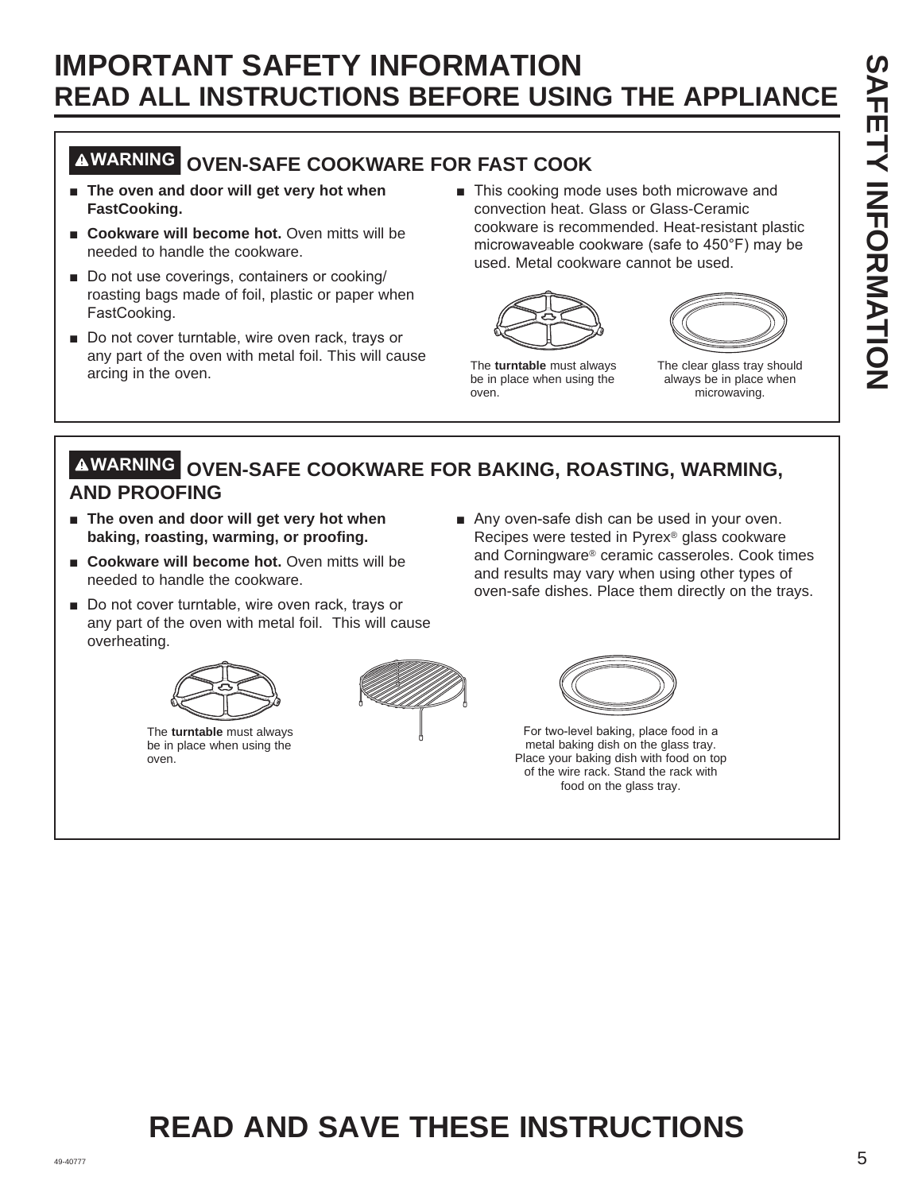# **WARNING OVEN-SAFE COOKWARE FOR FAST COOK**

- $\blacksquare$  The oven and door will get very hot when **FastCooking.**
- Cookware will become hot. Oven mitts will be needed to handle the cookware.
- Do not use coverings, containers or cooking/ roasting bags made of foil, plastic or paper when FastCooking.
- Do not cover turntable, wire oven rack, trays or any part of the oven with metal foil. This will cause arcing in the oven.
- This cooking mode uses both microwave and convection heat. Glass or Glass-Ceramic cookware is recommended. Heat-resistant plastic microwaveable cookware (safe to  $450^{\circ}$ F) may be used. Metal cookware cannot be used.





The **turntable** must always be in place when using the oven.

The clear glass tray should always be in place when microwaving.

#### **WARNING OVEN-SAFE COOKWARE FOR BAKING, ROASTING, WARMING, AND PROOFING**

- **Fig. 3** The oven and door will get very hot when **baking, roasting, warming, or proofing.**
- **E** Cookware will become hot. Oven mitts will be needed to handle the cookware.
- Do not cover turntable, wire oven rack, trays or any part of the oven with metal foil. This will cause overheating.



The **turntable** must always be in place when using the oven.





Any oven-safe dish can be used in your oven. Recipes were tested in Pyrex® glass cookware and Corningware® ceramic casseroles. Cook times and results may vary when using other types of oven-safe dishes. Place them directly on the trays.

> For two-level baking, place food in a metal baking dish on the glass tray. Place your baking dish with food on top of the wire rack. Stand the rack with food on the glass tray.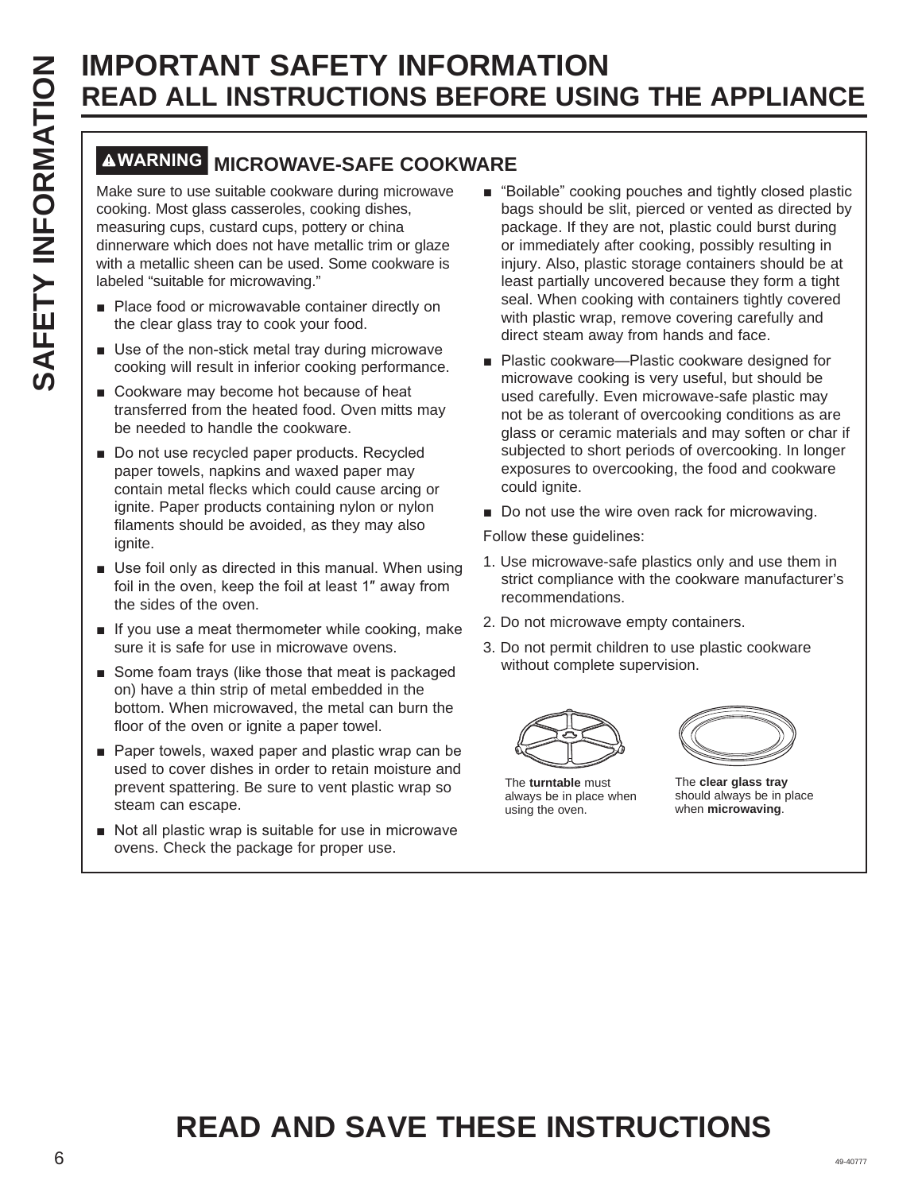# **WARNING MICROWAVE-SAFE COOKWARE**

Make sure to use suitable cookware during microwave cooking. Most glass casseroles, cooking dishes, measuring cups, custard cups, pottery or china dinnerware which does not have metallic trim or glaze with a metallic sheen can be used. Some cookware is labeled "suitable for microwaving."

- Place food or microwavable container directly on the clear glass tray to cook your food.
- $\blacksquare$  Use of the non-stick metal tray during microwave cooking will result in inferior cooking performance.
- Cookware may become hot because of heat transferred from the heated food. Oven mitts may be needed to handle the cookware.
- Do not use recycled paper products. Recycled paper towels, napkins and waxed paper may contain metal flecks which could cause arcing or ignite. Paper products containing nylon or nylon filaments should be avoided, as they may also ignite.
- $\blacksquare$  Use foil only as directed in this manual. When using foil in the oven, keep the foil at least 1" away from the sides of the oven.
- $\blacksquare$  If you use a meat thermometer while cooking, make sure it is safe for use in microwave ovens.
- Some foam trays (like those that meat is packaged on) have a thin strip of metal embedded in the bottom. When microwaved, the metal can burn the floor of the oven or ignite a paper towel.
- $\blacksquare$  Paper towels, waxed paper and plastic wrap can be used to cover dishes in order to retain moisture and prevent spattering. Be sure to vent plastic wrap so steam can escape.
- Not all plastic wrap is suitable for use in microwave ovens. Check the package for proper use.
- "Boilable" cooking pouches and tightly closed plastic bags should be slit, pierced or vented as directed by package. If they are not, plastic could burst during or immediately after cooking, possibly resulting in injury. Also, plastic storage containers should be at least partially uncovered because they form a tight seal. When cooking with containers tightly covered with plastic wrap, remove covering carefully and direct steam away from hands and face.
- Plastic cookware—Plastic cookware designed for microwave cooking is very useful, but should be used carefully. Even microwave-safe plastic may not be as tolerant of overcooking conditions as are glass or ceramic materials and may soften or char if subjected to short periods of overcooking. In longer exposures to overcooking, the food and cookware could ignite.
- Do not use the wire oven rack for microwaving.

Follow these guidelines:

- 1. Use microwave-safe plastics only and use them in strict compliance with the cookware manufacturer's recommendations.
- 2. Do not microwave empty containers.
- 3. Do not permit children to use plastic cookware without complete supervision.



The **turntable** must always be in place when using the oven.



The **clear glass tray**  should always be in place when **microwaving**.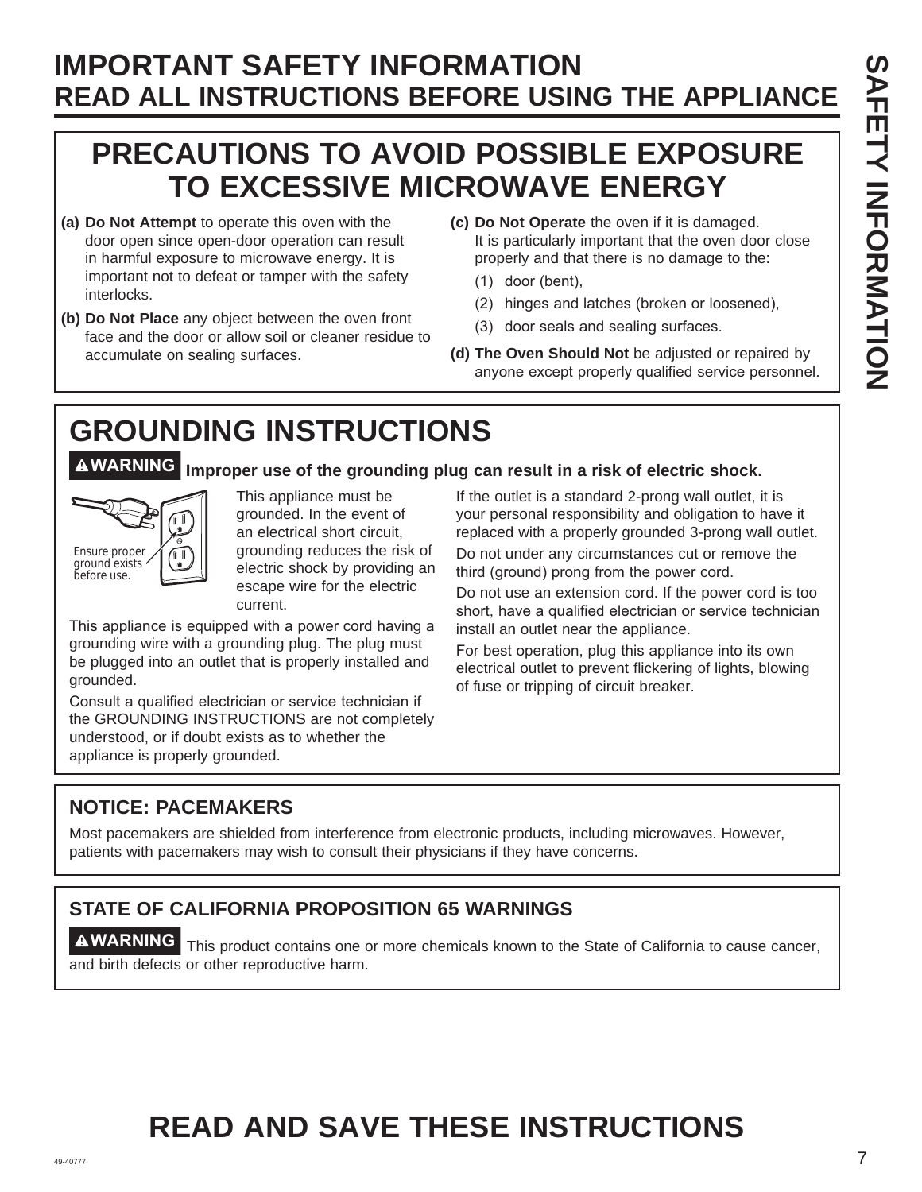# **PRECAUTIONS TO AVOID POSSIBLE EXPOSURE TO EXCESSIVE MICROWAVE ENERGY**

- **(a) Do Not Attempt** to operate this oven with the door open since open-door operation can result in harmful exposure to microwave energy. It is important not to defeat or tamper with the safety interlocks.
- **(b) Do Not Place** any object between the oven front face and the door or allow soil or cleaner residue to accumulate on sealing surfaces.
- **(c) Do Not Operate** the oven if it is damaged. It is particularly important that the oven door close properly and that there is no damage to the:
	- $(1)$  door (bent),
	- (2) hinges and latches (broken or loosened),
	- (3) door seals and sealing surfaces.
- **(d) The Oven Should Not** be adjusted or repaired by anyone except properly qualified service personnel.

# **GROUNDING INSTRUCTIONS**

**WARNING Improper use of the grounding plug can result in a risk of electric shock.** 



This appliance must be grounded. In the event of an electrical short circuit, grounding reduces the risk of electric shock by providing an escape wire for the electric current.

This appliance is equipped with a power cord having a grounding wire with a grounding plug. The plug must be plugged into an outlet that is properly installed and grounded.

Consult a qualified electrician or service technician if the GROUNDING INSTRUCTIONS are not completely understood, or if doubt exists as to whether the appliance is properly grounded.

If the outlet is a standard 2-prong wall outlet, it is your personal responsibility and obligation to have it replaced with a properly grounded 3-prong wall outlet.

Do not under any circumstances cut or remove the third (ground) prong from the power cord.

Do not use an extension cord. If the power cord is too short, have a qualified electrician or service technician install an outlet near the appliance.

For best operation, plug this appliance into its own electrical outlet to prevent flickering of lights, blowing of fuse or tripping of circuit breaker.

#### **NOTICE: PACEMAKERS**

Most pacemakers are shielded from interference from electronic products, including microwaves. However, patients with pacemakers may wish to consult their physicians if they have concerns.

# **STATE OF CALIFORNIA PROPOSITION 65 WARNINGS**

**WARNING** This product contains one or more chemicals known to the State of California to cause cancer, and birth defects or other reproductive harm.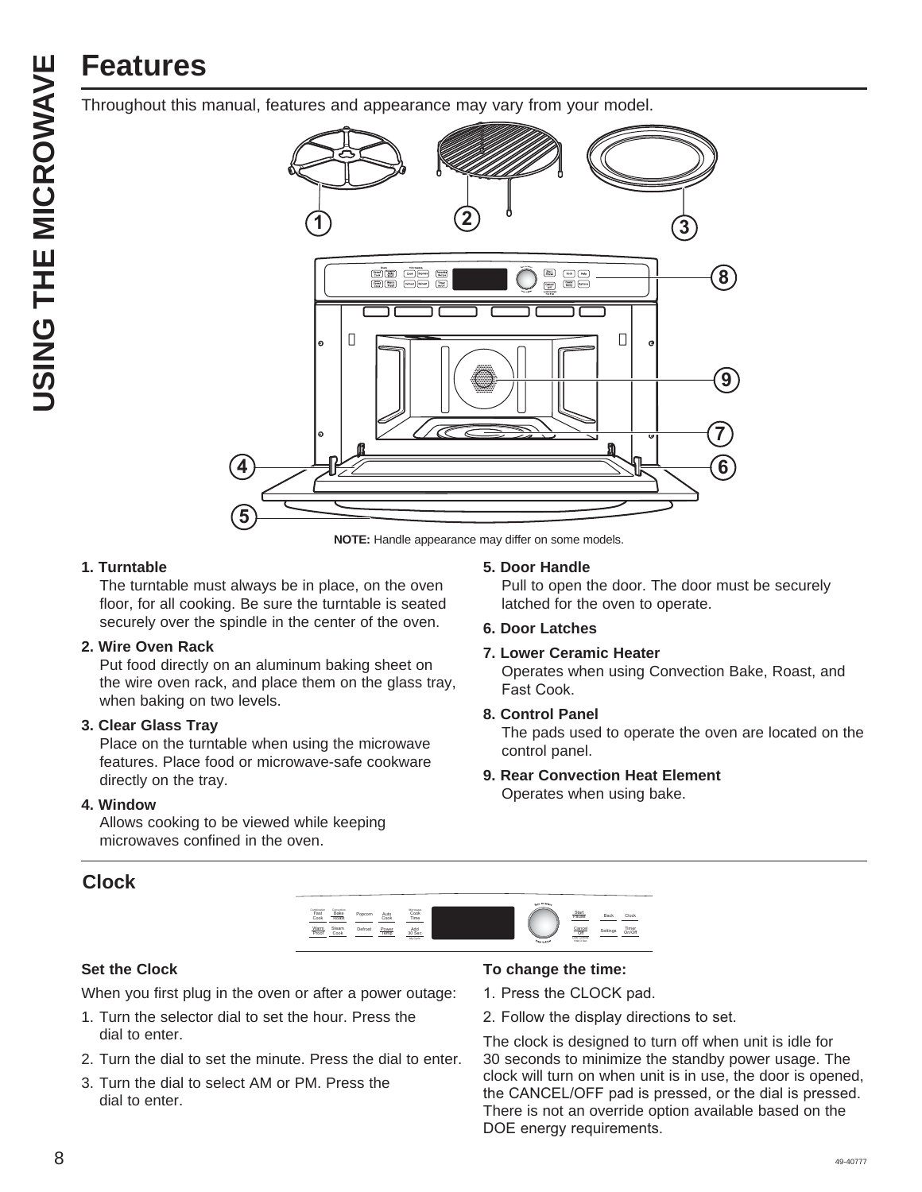# USING THE MICROWAVE **USING THE MICROWAVE**

# **Features**

Throughout this manual, features and appearance may vary from your model.



**NOTE:** Handle appearance may differ on some models.

#### **1. Turntable**

 The turntable must always be in place, on the oven floor, for all cooking. Be sure the turntable is seated securely over the spindle in the center of the oven.

#### **2. Wire Oven Rack**

 Put food directly on an aluminum baking sheet on the wire oven rack, and place them on the glass tray, when baking on two levels.

#### **3. Clear Glass Tray**

 Place on the turntable when using the microwave features. Place food or microwave-safe cookware directly on the tray.

#### **4. Window**

 Allows cooking to be viewed while keeping microwaves confined in the oven.

#### **Clock**

**5. Door Handle**

 Pull to open the door. The door must be securely latched for the oven to operate.

#### **6. Door Latches**

#### **7. Lower Ceramic Heater**

 Operates when using Convection Bake, Roast, and Fast Cook.

**8. Control Panel**

 The pads used to operate the oven are located on the control panel.

**9. Rear Convection Heat Element** Operates when using bake.



#### **Set the Clock**

When you first plug in the oven or after a power outage:

- 1. Turn the selector dial to set the hour. Press the dial to enter.
- 2. Turn the dial to set the minute. Press the dial to enter.
- 3. Turn the dial to select AM or PM. Press the dial to enter.

#### **To change the time:**

- 1. Press the CLOCK pad.
- 2. Follow the display directions to set.

The clock is designed to turn off when unit is idle for 30 seconds to minimize the standby power usage. The clock will turn on when unit is in use, the door is opened, the CANCEL/OFF pad is pressed, or the dial is pressed. There is not an override option available based on the DOE energy requirements.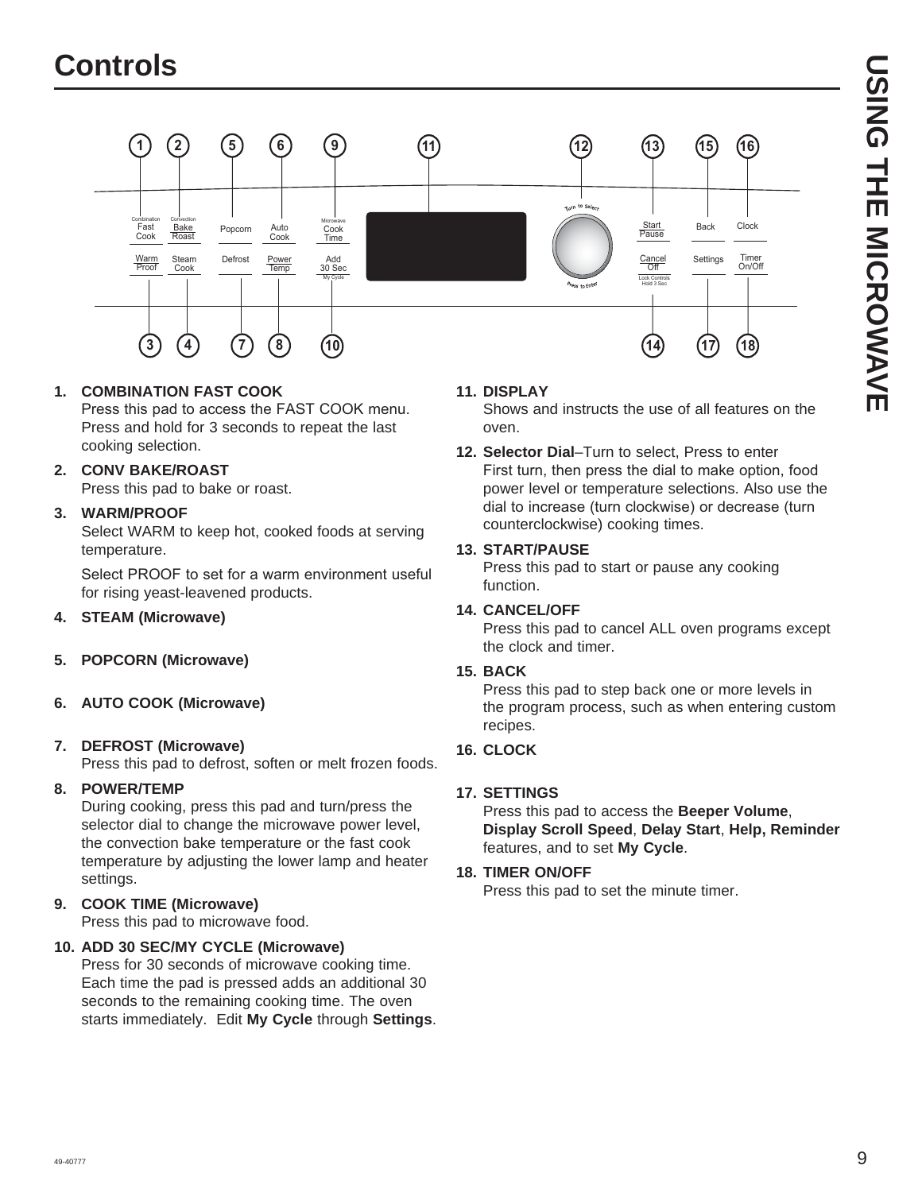

#### **1. COMBINATION FAST COOK**

Press this pad to access the FAST COOK menu. Press and hold for 3 seconds to repeat the last cooking selection.

#### **2. CONV BAKE/ROAST**

Press this pad to bake or roast.

#### **3. WARM/PROOF**

Select WARM to keep hot, cooked foods at serving temperature.

Select PROOF to set for a warm environment useful for rising yeast-leavened products.

#### **4. STEAM (Microwave)**

- **5. POPCORN (Microwave)**
- **6. AUTO COOK (Microwave)**

#### **7. DEFROST (Microwave)**

Press this pad to defrost, soften or melt frozen foods.

#### **8. POWER/TEMP**

During cooking, press this pad and turn/press the selector dial to change the microwave power level, the convection bake temperature or the fast cook temperature by adjusting the lower lamp and heater settings.

#### **9. COOK TIME (Microwave)**

Press this pad to microwave food.

#### **10. ADD 30 SEC/MY CYCLE (Microwave)**

Press for 30 seconds of microwave cooking time. Each time the pad is pressed adds an additional 30 seconds to the remaining cooking time. The oven starts immediately. Edit **My Cycle** through **Settings**.

#### **11. DISPLAY**

Shows and instructs the use of all features on the oven.

**12. Selector Dial**–Turn to select, Press to enter First turn, then press the dial to make option, food power level or temperature selections. Also use the dial to increase (turn clockwise) or decrease (turn counterclockwise) cooking times.

#### **13. START/PAUSE**

Press this pad to start or pause any cooking function.

#### **14. CANCEL/OFF**

Press this pad to cancel ALL oven programs except the clock and timer.

#### **15. BACK**

Press this pad to step back one or more levels in the program process, such as when entering custom recipes.

#### **16. CLOCK**

#### **17. SETTINGS**

Press this pad to access the **Beeper Volume**, **Display Scroll Speed**, **Delay Start**, **Help, Reminder** features, and to set **My Cycle**.

#### **18. TIMER ON/OFF**

Press this pad to set the minute timer.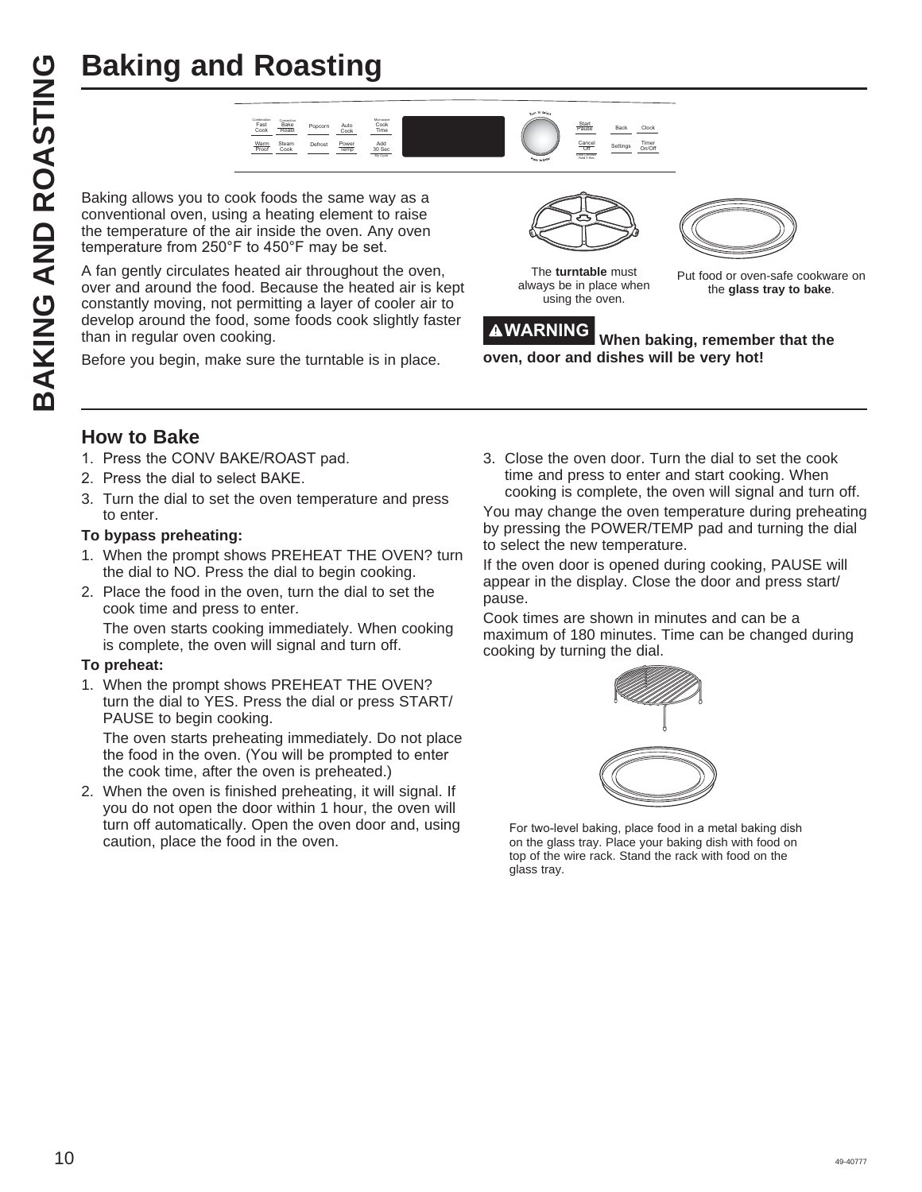

Baking allows you to cook foods the same way as a conventional oven, using a heating element to raise the temperature of the air inside the oven. Any oven temperature from 250°F to 450°F may be set.

**Baking and Roasting<br>
CONSTAND AND REVENUES AND REVENUES AND REVENUES AND REVENUES A SURVEY OF A SURVEY AND A SURVEY A SURVEY AND A SURVEY AND A SURVEY A SURVEY AND A SURVEY A SURVEY AND THE SURVEY AND A SURVEY A SURVEY AN** A fan gently circulates heated air throughout the oven, over and around the food. Because the heated air is kept constantly moving, not permitting a layer of cooler air to develop around the food, some foods cook slightly faster than in regular oven cooking.

Before you begin, make sure the turntable is in place.



The **turntable** must always be in place when using the oven.

Put food or oven-safe cookware on the **glass tray to bake**.

**WARNING When baking, remember that the oven, door and dishes will be very hot!**

#### **How to Bake**

- 1. Press the CONV BAKE/ROAST pad.
- 2. Press the dial to select BAKE.
- 3. Turn the dial to set the oven temperature and press to enter.

#### **To bypass preheating:**

- 1. When the prompt shows PREHEAT THE OVEN? turn the dial to NO. Press the dial to begin cooking.
- 2. Place the food in the oven, turn the dial to set the cook time and press to enter. The oven starts cooking immediately. When cooking is complete, the oven will signal and turn off.

#### **To preheat:**

1. When the prompt shows PREHEAT THE OVEN? turn the dial to YES. Press the dial or press START/ PAUSE to begin cooking.

 The oven starts preheating immediately. Do not place the food in the oven. (You will be prompted to enter the cook time, after the oven is preheated.)

2. When the oven is finished preheating, it will signal. If you do not open the door within 1 hour, the oven will turn off automatically. Open the oven door and, using caution, place the food in the oven.

3. Close the oven door. Turn the dial to set the cook time and press to enter and start cooking. When cooking is complete, the oven will signal and turn off.

You may change the oven temperature during preheating by pressing the POWER/TEMP pad and turning the dial to select the new temperature.

If the oven door is opened during cooking, PAUSE will appear in the display. Close the door and press start/ pause.

Cook times are shown in minutes and can be a maximum of 180 minutes. Time can be changed during cooking by turning the dial.



For two-level baking, place food in a metal baking dish on the glass tray. Place your baking dish with food on top of the wire rack. Stand the rack with food on the glass tray.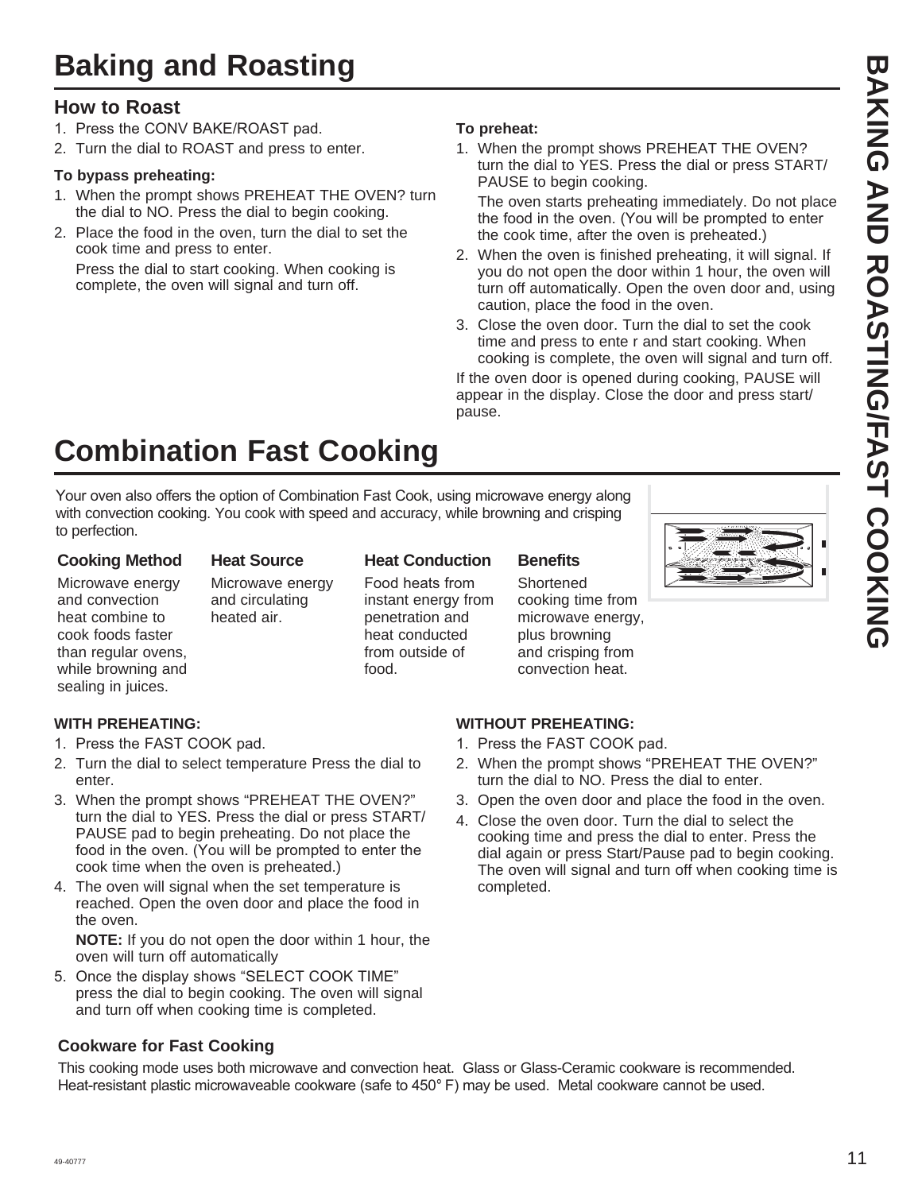#### **How to Roast**

- 1. Press the CONV BAKE/ROAST pad.
- 2. Turn the dial to ROAST and press to enter.

#### **To bypass preheating:**

- 1. When the prompt shows PREHEAT THE OVEN? turn the dial to NO. Press the dial to begin cooking.
- 2. Place the food in the oven, turn the dial to set the cook time and press to enter.

 Press the dial to start cooking. When cooking is complete, the oven will signal and turn off.

#### **To preheat:**

1. When the prompt shows PREHEAT THE OVEN? turn the dial to YES. Press the dial or press START/ PAUSE to begin cooking.

 The oven starts preheating immediately. Do not place the food in the oven. (You will be prompted to enter the cook time, after the oven is preheated.)

- 2. When the oven is finished preheating, it will signal. If you do not open the door within 1 hour, the oven will turn off automatically. Open the oven door and, using caution, place the food in the oven.
- 3. Close the oven door. Turn the dial to set the cook time and press to ente r and start cooking. When cooking is complete, the oven will signal and turn off.

If the oven door is opened during cooking, PAUSE will appear in the display. Close the door and press start/ pause.

# **Combination Fast Cooking**

Your oven also offers the option of Combination Fast Cook, using microwave energy along with convection cooking. You cook with speed and accuracy, while browning and crisping to perfection.

#### **Cooking Method**

#### **Heat Source**

Microwave energy and convection heat combine to cook foods faster than regular ovens, while browning and sealing in juices.

Microwave energy and circulating heated air.

**Heat Conduction** Food heats from instant energy from penetration and heat conducted from outside of food.

#### **Benefits**

**Shortened** cooking time from microwave energy, plus browning and crisping from convection heat.



#### **WITH PREHEATING:**

- 1. Press the FAST COOK pad.
- 2. Turn the dial to select temperature Press the dial to enter.
- 3. When the prompt shows "PREHEAT THE OVEN?" turn the dial to YES. Press the dial or press START/ PAUSE pad to begin preheating. Do not place the food in the oven. (You will be prompted to enter the cook time when the oven is preheated.)
- 4. The oven will signal when the set temperature is reached. Open the oven door and place the food in the oven.

**NOTE:** If you do not open the door within 1 hour, the oven will turn off automatically

5. Once the display shows "SELECT COOK TIME" press the dial to begin cooking. The oven will signal and turn off when cooking time is completed.

#### **Cookware for Fast Cooking**

This cooking mode uses both microwave and convection heat. Glass or Glass-Ceramic cookware is recommended. Heat-resistant plastic microwaveable cookware (safe to 450°F) may be used. Metal cookware cannot be used.

#### **WITHOUT PREHEATING:**

- 1. Press the FAST COOK pad.
- 2. When the prompt shows "PREHEAT THE OVEN?" turn the dial to NO. Press the dial to enter.
- 3. Open the oven door and place the food in the oven.
- 4. Close the oven door. Turn the dial to select the cooking time and press the dial to enter. Press the dial again or press Start/Pause pad to begin cooking. The oven will signal and turn off when cooking time is completed.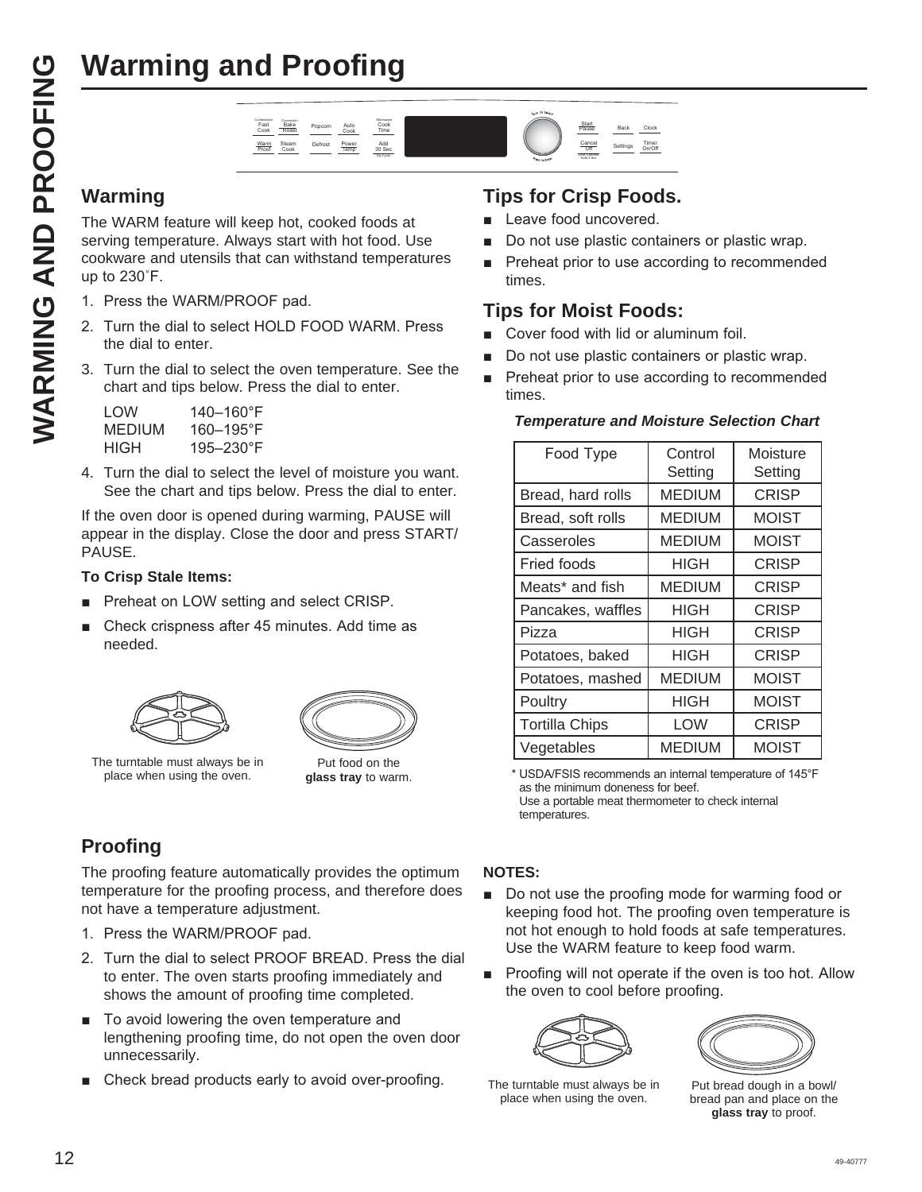

The WARM feature will keep hot, cooked foods at serving temperature. Always start with hot food. Use cookware and utensils that can withstand temperatures up to  $230^\circ$ F.

- 1. Press the WARM/PROOF pad.
- 2. Turn the dial to select HOLD FOOD WARM. Press the dial to enter.
- 3. Turn the dial to select the oven temperature. See the chart and tips below. Press the dial to enter.

| LOW    | 140–160°F      |
|--------|----------------|
| MEDIUM | $160 - 195$ °F |
| HIGH   | $195 - 230$ °F |

4. Turn the dial to select the level of moisture you want. See the chart and tips below. Press the dial to enter.

If the oven door is opened during warming, PAUSE will appear in the display. Close the door and press START/ PAUSE.

#### **To Crisp Stale Items:**

- Preheat on LOW setting and select CRISP.
- Check crispness after 45 minutes. Add time as needed.





The turntable must always be in place when using the oven.

Put food on the **glass tray** to warm.

# **Proofing**

The proofing feature automatically provides the optimum temperature for the proofing process, and therefore does not have a temperature adjustment.

- 1. Press the WARM/PROOF pad.
- 2. Turn the dial to select PROOF BREAD. Press the dial to enter. The oven starts proofing immediately and shows the amount of proofing time completed.
- To avoid lowering the oven temperature and lengthening proofing time, do not open the oven door unnecessarily.
- Check bread products early to avoid over-proofing.

#### **Tips for Crisp Foods.**

- Leave food uncovered.
- Do not use plastic containers or plastic wrap.
- Preheat prior to use according to recommended times.

#### **Tips for Moist Foods:**

- Cover food with lid or aluminum foil.
- Do not use plastic containers or plastic wrap.
- Preheat prior to use according to recommended times.

#### *Temperature and Moisture Selection Chart*

| Food Type             | Control<br>Setting | Moisture<br>Setting |
|-----------------------|--------------------|---------------------|
| Bread, hard rolls     | <b>MEDIUM</b>      | <b>CRISP</b>        |
| Bread, soft rolls     | <b>MEDIUM</b>      | <b>MOIST</b>        |
| Casseroles            | MEDIUM             | <b>MOIST</b>        |
| <b>Fried foods</b>    | HIGH               | <b>CRISP</b>        |
| Meats* and fish       | <b>MEDIUM</b>      | <b>CRISP</b>        |
| Pancakes, waffles     | HIGH               | <b>CRISP</b>        |
| Pizza                 | HIGH               | <b>CRISP</b>        |
| Potatoes, baked       | HIGH               | <b>CRISP</b>        |
| Potatoes, mashed      | <b>MEDIUM</b>      | <b>MOIST</b>        |
| Poultry               | HIGH               | <b>MOIST</b>        |
| <b>Tortilla Chips</b> | <b>LOW</b>         | <b>CRISP</b>        |
| Vegetables            | <b>MEDIUM</b>      | <b>MOIST</b>        |

\* USDA/FSIS recommends an internal temperature of 145°F as the minimum doneness for beef. Use a portable meat thermometer to check internal temperatures.

#### **NOTES:**

- Do not use the proofing mode for warming food or keeping food hot. The proofing oven temperature is not hot enough to hold foods at safe temperatures. Use the WARM feature to keep food warm.
- **Proofing will not operate if the oven is too hot. Allow** the oven to cool before proofing.



The turntable must always be in place when using the oven.



Put bread dough in a bowl/ bread pan and place on the **glass tray** to proof.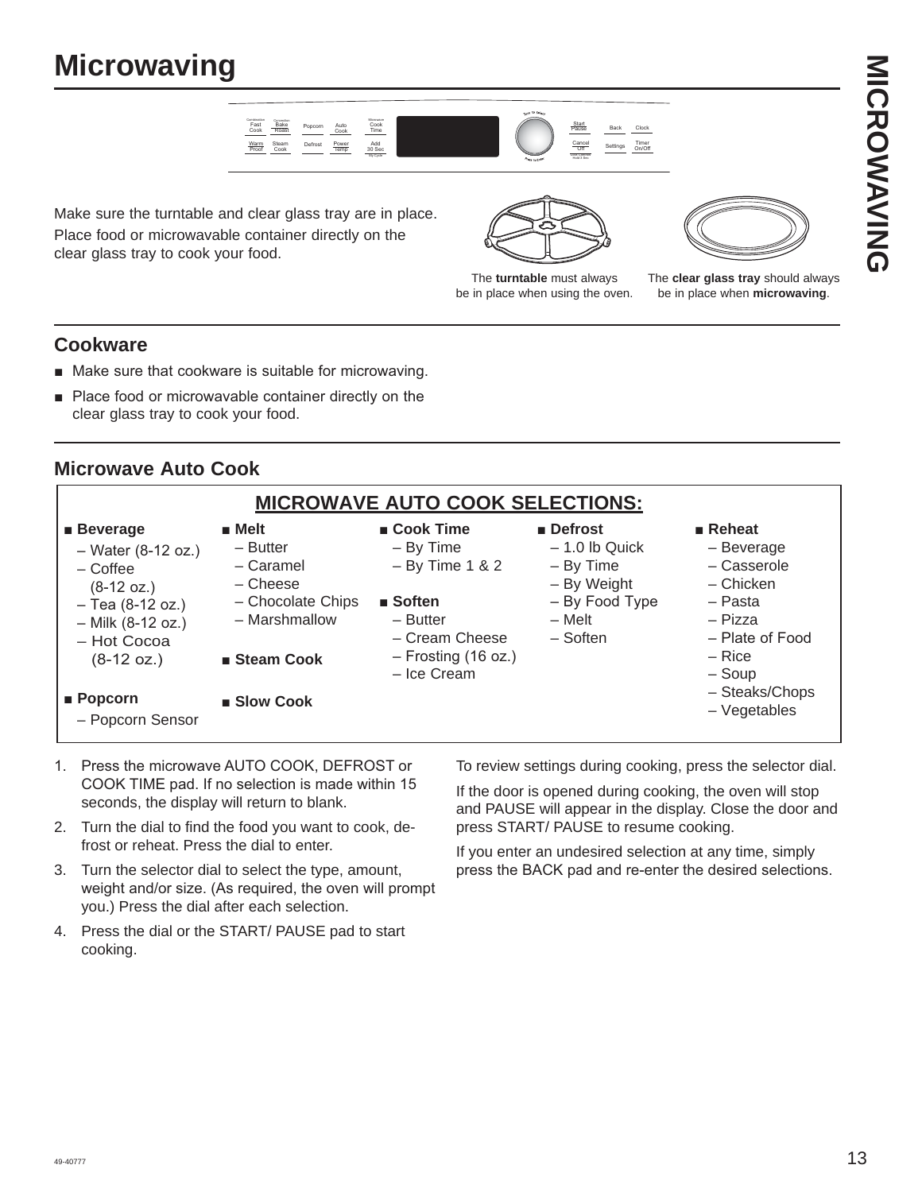

Make sure the turntable and clear glass tray are in place. Place food or microwavable container directly on the clear glass tray to cook your food.



The **turntable** must always be in place when using the oven.



The **clear glass tray** should always be in place when **microwaving**.

#### **Cookware**

- Make sure that cookware is suitable for microwaving.
- **Place food or microwavable container directly on the** clear glass tray to cook your food.

#### **Microwave Auto Cook**

|                                                                                                                                                                 |                                                                                                                             | <u>MICROWAVE AUTO COOK SELECTIONS:</u>                                                                                                                        |                                                                                                    |                                                                                                                                  |
|-----------------------------------------------------------------------------------------------------------------------------------------------------------------|-----------------------------------------------------------------------------------------------------------------------------|---------------------------------------------------------------------------------------------------------------------------------------------------------------|----------------------------------------------------------------------------------------------------|----------------------------------------------------------------------------------------------------------------------------------|
| $\blacksquare$ Beverage<br>$-$ Water (8-12 oz.)<br>$-C$ offee<br>$(8-12 \text{ oz.})$<br>$-$ Tea (8-12 oz.)<br>- Milk (8-12 oz.)<br>- Hot Cocoa<br>$(8-12 oz.)$ | $\blacksquare$ Melt<br>- Butter<br>- Caramel<br>– Cheese<br>- Chocolate Chips<br>- Marshmallow<br>$\blacksquare$ Steam Cook | $\blacksquare$ Cook Time<br>$-$ By Time<br>$-$ By Time 1 & 2<br>$\blacksquare$ Soften<br>$-$ Butter<br>- Cream Cheese<br>$-$ Frosting (16 oz.)<br>- Ice Cream | ■ Defrost<br>$-1.0$ lb Quick<br>- By Time<br>- By Weight<br>- By Food Type<br>– Melt<br>$-$ Soften | $\blacksquare$ Reheat<br>- Beverage<br>- Casserole<br>– Chicken<br>- Pasta<br>- Pizza<br>- Plate of Food<br>$-$ Rice<br>$-$ Soup |
| $\blacksquare$ Popcorn<br>- Popcorn Sensor                                                                                                                      | ■ Slow Cook                                                                                                                 |                                                                                                                                                               |                                                                                                    | - Steaks/Chops<br>$-$ Vegetables                                                                                                 |

- 1. Press the microwave AUTO COOK, DEFROST or COOK TIME pad. If no selection is made within 15 seconds, the display will return to blank.
- 2. Turn the dial to find the food you want to cook, defrost or reheat. Press the dial to enter.
- 3. Turn the selector dial to select the type, amount, weight and/or size. (As required, the oven will prompt you.) Press the dial after each selection.
- 4. Press the dial or the START/ PAUSE pad to start cooking.

To review settings during cooking, press the selector dial.

If the door is opened during cooking, the oven will stop and PAUSE will appear in the display. Close the door and press START/ PAUSE to resume cooking.

If you enter an undesired selection at any time, simply press the BACK pad and re-enter the desired selections.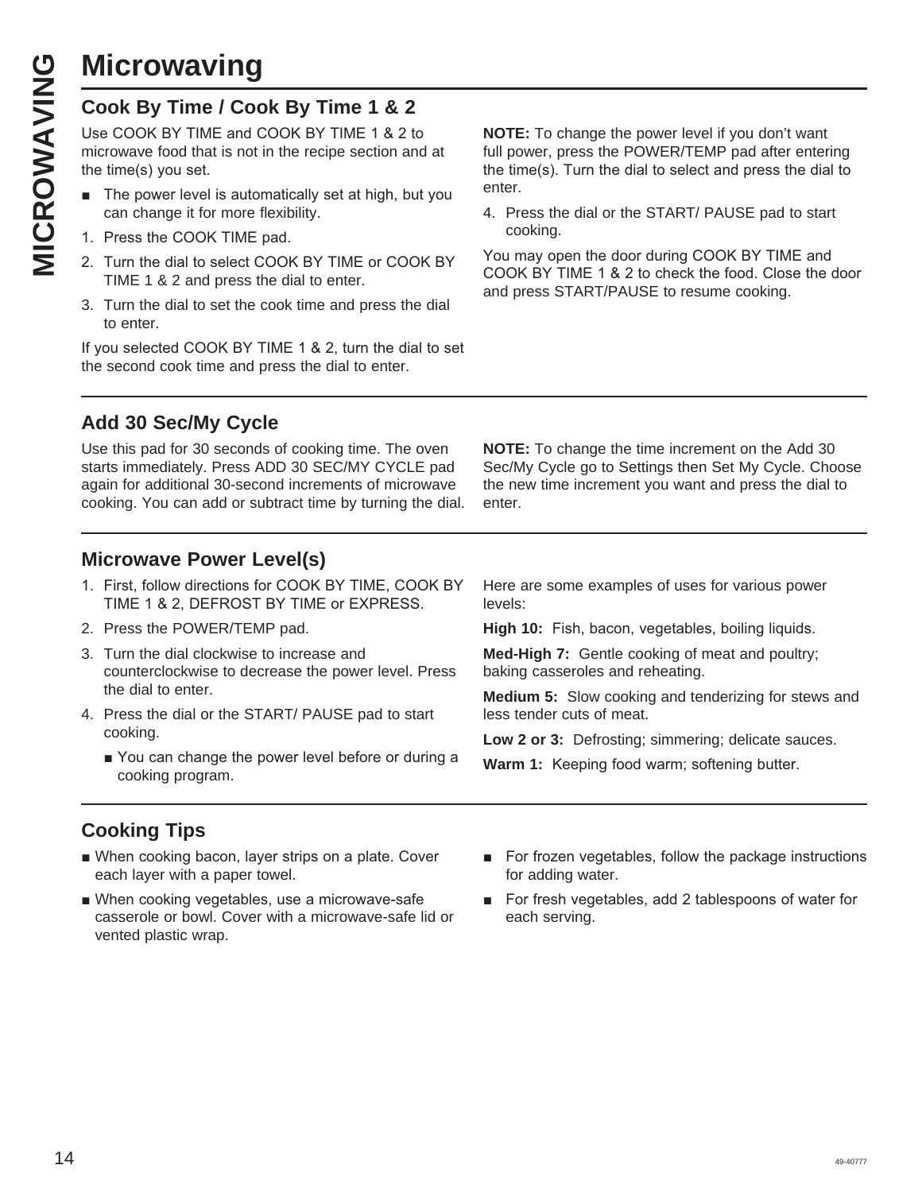**MICROWAVING**<br>
Cook By Time / Cook By Time 1 & 2<br>
Use COOK BY TIME and COOK BY TIME 1 & 2 t<br>
microwave food that is not in the recipe section ar<br>
the time(s) you set.<br>
The power level is automatically set at high, bu<br>
can Use COOK BY TIME and COOK BY TIME 1 & 2 to microwave food that is not in the recipe section and at the time(s) you set.

- The power level is automatically set at high, but you can change it for more flexibility.
- 1. Press the COOK TIME pad.
- 2. Turn the dial to select COOK BY TIME or COOK BY TIME 1 & 2 and press the dial to enter.
- 3. Turn the dial to set the cook time and press the dial to enter.

If you selected COOK BY TIME 1 & 2, turn the dial to set the second cook time and press the dial to enter.

**NOTE:** To change the power level if you don't want full power, press the POWER/TEMP pad after entering the time(s). Turn the dial to select and press the dial to enter.

4. Press the dial or the START/ PAUSE pad to start cooking.

You may open the door during COOK BY TIME and COOK BY TIME 1 & 2 to check the food. Close the door and press START/PAUSE to resume cooking.

#### **Add 30 Sec/My Cycle**

Use this pad for 30 seconds of cooking time. The oven starts immediately. Press ADD 30 SEC/MY CYCLE pad again for additional 30-second increments of microwave cooking. You can add or subtract time by turning the dial.

**NOTE:** To change the time increment on the Add 30 Sec/My Cycle go to Settings then Set My Cycle. Choose the new time increment you want and press the dial to enter.

#### **Microwave Power Level(s)**

- 1. First, follow directions for COOK BY TIME, COOK BY TIME 1 & 2, DEFROST BY TIME or EXPRESS.
- 2. Press the POWER/TEMP pad.
- 3. Turn the dial clockwise to increase and counterclockwise to decrease the power level. Press the dial to enter.
- 4. Press the dial or the START/ PAUSE pad to start cooking.
	- You can change the power level before or during a cooking program.

Here are some examples of uses for various power levels:

High 10: Fish, bacon, vegetables, boiling liquids.

**Med-High 7:** Gentle cooking of meat and poultry; baking casseroles and reheating.

**Medium 5:** Slow cooking and tenderizing for stews and less tender cuts of meat.

Low 2 or 3: Defrosting; simmering; delicate sauces.

**Warm 1:** Keeping food warm; softening butter.

#### **Cooking Tips**

- When cooking bacon, layer strips on a plate. Cover each layer with a paper towel.
- When cooking vegetables, use a microwave-safe casserole or bowl. Cover with a microwave-safe lid or vented plastic wrap.
- For frozen vegetables, follow the package instructions for adding water.
- For fresh vegetables, add 2 tablespoons of water for each serving.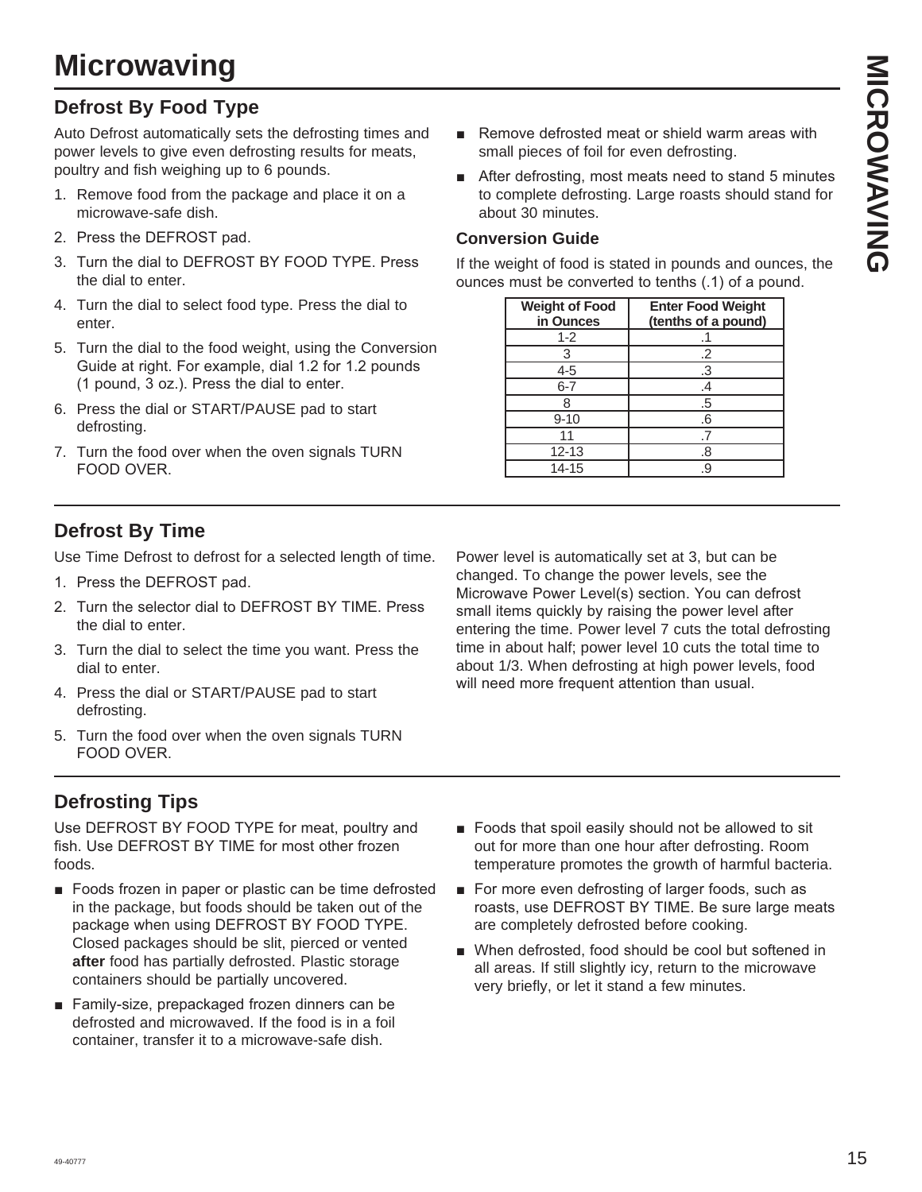#### **Defrost By Food Type**

Auto Defrost automatically sets the defrosting times and power levels to give even defrosting results for meats, poultry and fish weighing up to 6 pounds.

- 1. Remove food from the package and place it on a microwave-safe dish.
- 2. Press the DEFROST pad.
- 3. Turn the dial to DEFROST BY FOOD TYPE. Press the dial to enter.
- 4. Turn the dial to select food type. Press the dial to enter.
- 5. Turn the dial to the food weight, using the Conversion Guide at right. For example, dial 1.2 for 1.2 pounds  $(1$  pound,  $3$  oz.). Press the dial to enter.
- 6. Press the dial or START/PAUSE pad to start defrosting.
- 7. Turn the food over when the oven signals TURN FOOD OVER.
- Remove defrosted meat or shield warm areas with small pieces of foil for even defrosting.
- $\blacksquare$  After defrosting, most meats need to stand 5 minutes to complete defrosting. Large roasts should stand for about 30 minutes.

#### **Conversion Guide**

If the weight of food is stated in pounds and ounces, the ounces must be converted to tenths (.1) of a pound.

| <b>Weight of Food</b><br>in Ounces | <b>Enter Food Weight</b><br>(tenths of a pound) |
|------------------------------------|-------------------------------------------------|
| $1 - 2$                            |                                                 |
| 3                                  | .2                                              |
| 4-5                                | .3                                              |
| $6 - 7$                            | .4                                              |
|                                    | .5                                              |
| $9 - 10$                           | .6                                              |
|                                    |                                                 |
| $12 - 13$                          | .8                                              |
| 14-15                              |                                                 |

#### **Defrost By Time**

Use Time Defrost to defrost for a selected length of time.

- 1. Press the DEFROST pad.
- 2. Turn the selector dial to DEFROST BY TIME, Press the dial to enter.
- 3. Turn the dial to select the time you want. Press the dial to enter.
- 4. Press the dial or START/PAUSE pad to start defrosting.
- 5. Turn the food over when the oven signals TURN FOOD OVER.

#### **Defrosting Tips**

Use DEFROST BY FOOD TYPE for meat, poultry and fish. Use DEFROST BY TIME for most other frozen foods.

- Foods frozen in paper or plastic can be time defrosted in the package, but foods should be taken out of the package when using DEFROST BY FOOD TYPE. Closed packages should be slit, pierced or vented **after** food has partially defrosted. Plastic storage containers should be partially uncovered.
- Family-size, prepackaged frozen dinners can be defrosted and microwaved. If the food is in a foil container, transfer it to a microwave-safe dish.

Power level is automatically set at 3, but can be changed. To change the power levels, see the Microwave Power Level(s) section. You can defrost small items quickly by raising the power level after entering the time. Power level 7 cuts the total defrosting time in about half; power level 10 cuts the total time to about 1/3. When defrosting at high power levels, food will need more frequent attention than usual.

- Foods that spoil easily should not be allowed to sit out for more than one hour after defrosting. Room temperature promotes the growth of harmful bacteria.
- For more even defrosting of larger foods, such as roasts, use DEFROST BY TIME. Be sure large meats are completely defrosted before cooking.
- When defrosted, food should be cool but softened in all areas. If still slightly icy, return to the microwave very briefly, or let it stand a few minutes.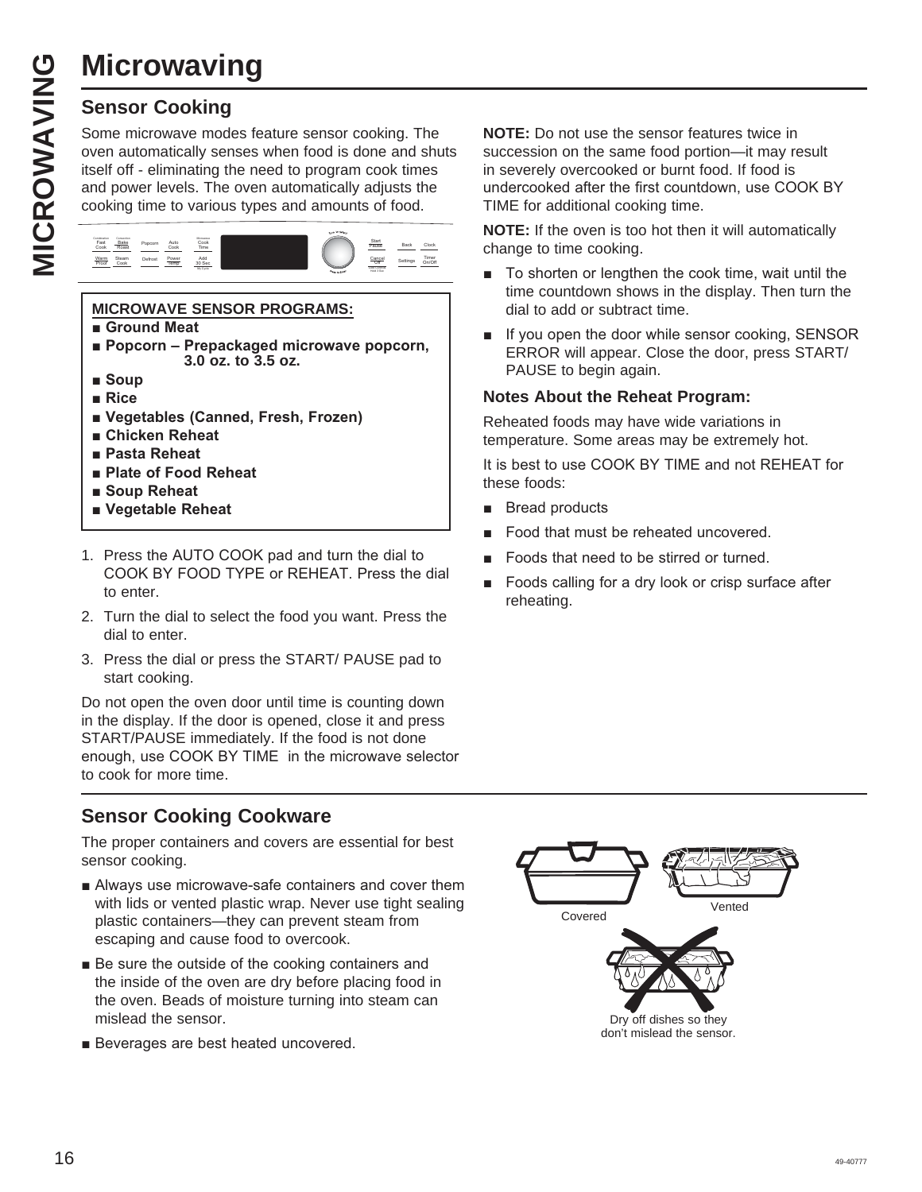# MICROWAVING **MICROWAVING**

#### **Sensor Cooking**

Some microwave modes feature sensor cooking. The oven automatically senses when food is done and shuts itself off - eliminating the need to program cook times and power levels. The oven automatically adjusts the cooking time to various types and amounts of food.



#### **MICROWAVE SENSOR PROGRAMS:**

- $\blacksquare$  **Ground Meat**
- **Popcorn Prepackaged microwave popcorn, 3.0 oz. to 3.5 oz.**
- **B** Soup
- **Rice**
- **E** Vegetables (Canned, Fresh, Frozen)
- **E** Chicken Reheat
- **Pasta Reheat**
- **Plate of Food Reheat**
- **B** Soup Reheat
- **N** Vegetable Reheat
- 1. Press the AUTO COOK pad and turn the dial to COOK BY FOOD TYPE or REHEAT. Press the dial to enter.
- 2. Turn the dial to select the food you want. Press the dial to enter.
- 3. Press the dial or press the START/ PAUSE pad to start cooking.

Do not open the oven door until time is counting down in the display. If the door is opened, close it and press START/PAUSE immediately. If the food is not done enough, use COOK BY TIME in the microwave selector to cook for more time.

#### **Sensor Cooking Cookware**

The proper containers and covers are essential for best sensor cooking.

- Always use microwave-safe containers and cover them with lids or vented plastic wrap. Never use tight sealing plastic containers—they can prevent steam from escaping and cause food to overcook.
- $\blacksquare$  Be sure the outside of the cooking containers and the inside of the oven are dry before placing food in the oven. Beads of moisture turning into steam can mislead the sensor.
- Beverages are best heated uncovered.

**NOTE:** Do not use the sensor features twice in succession on the same food portion—it may result in severely overcooked or burnt food. If food is undercooked after the first countdown, use COOK BY TIME for additional cooking time.

**NOTE:** If the oven is too hot then it will automatically change to time cooking.

- $\blacksquare$  To shorten or lengthen the cook time, wait until the time countdown shows in the display. Then turn the dial to add or subtract time.
- $\blacksquare$  If you open the door while sensor cooking, SENSOR ERROR will appear. Close the door, press START/ PAUSE to begin again.

#### **Notes About the Reheat Program:**

Reheated foods may have wide variations in temperature. Some areas may be extremely hot.

It is best to use COOK BY TIME and not REHEAT for these foods:

- **Bread products**
- Food that must be reheated uncovered.
- Foods that need to be stirred or turned.
- Foods calling for a dry look or crisp surface after reheating.

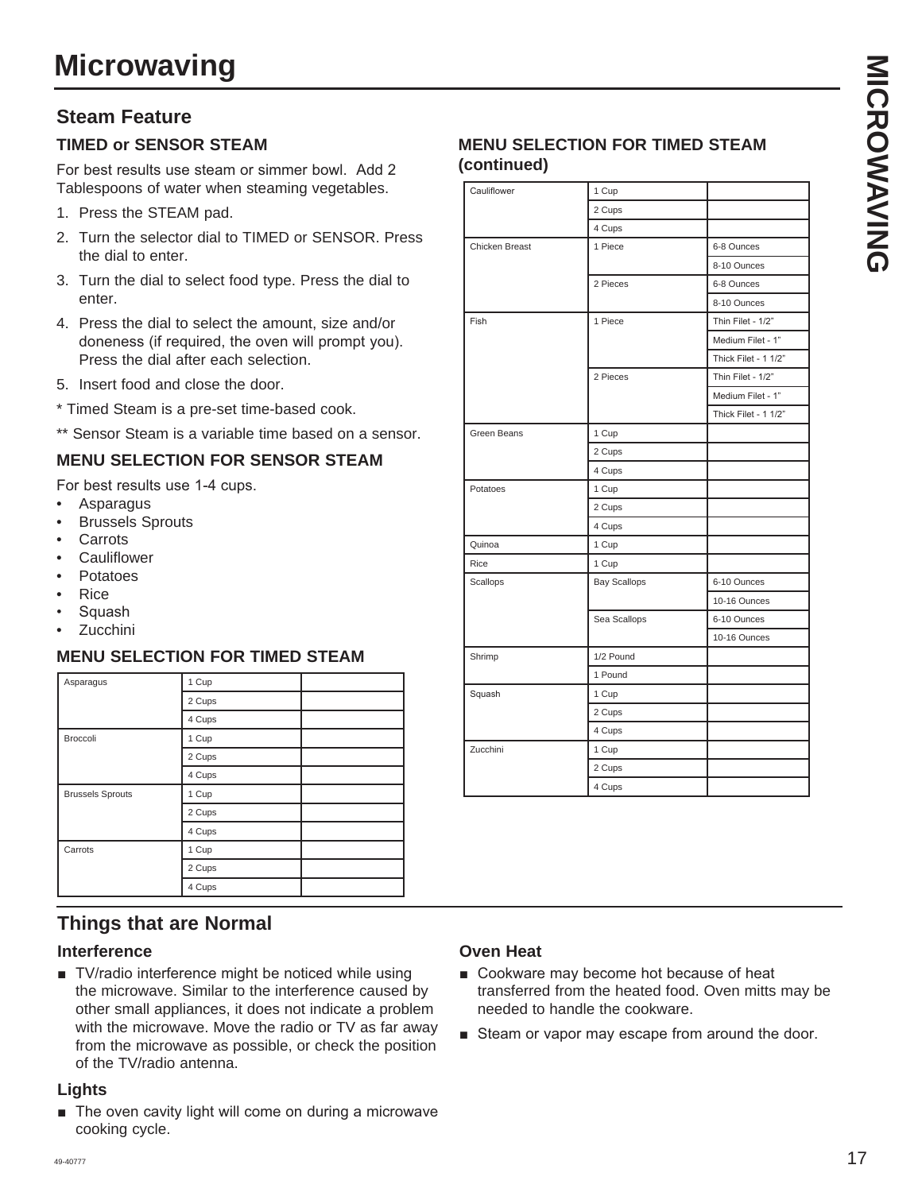#### **Steam Feature**

#### **TIMED or SENSOR STEAM**

For best results use steam or simmer bowl. Add 2 Tablespoons of water when steaming vegetables.

- 1. Press the STEAM pad.
- 2. Turn the selector dial to TIMED or SENSOR. Press the dial to enter.
- 3. Turn the dial to select food type. Press the dial to enter.
- 4. Press the dial to select the amount, size and/or doneness (if required, the oven will prompt you). Press the dial after each selection.
- 5. Insert food and close the door.
- \* Timed Steam is a pre-set time-based cook.
- \*\* Sensor Steam is a variable time based on a sensor.

#### **MENU SELECTION FOR SENSOR STEAM**

For best results use 1-4 cups.

- Asparagus
- **Brussels Sprouts**
- **Carrots**
- **Cauliflower**
- Potatoes
- Rice
- Squash
- Zucchini

#### **MENU SELECTION FOR TIMED STEAM**

| Asparagus               | 1 Cup  |  |
|-------------------------|--------|--|
|                         | 2 Cups |  |
|                         | 4 Cups |  |
| Broccoli                | 1 Cup  |  |
|                         | 2 Cups |  |
|                         | 4 Cups |  |
| <b>Brussels Sprouts</b> | 1 Cup  |  |
|                         | 2 Cups |  |
|                         | 4 Cups |  |
| Carrots                 | 1 Cup  |  |
|                         | 2 Cups |  |
|                         | 4 Cups |  |

#### **Things that are Normal**

#### **Interference**

■ TV/radio interference might be noticed while using the microwave. Similar to the interference caused by other small appliances, it does not indicate a problem with the microwave. Move the radio or TV as far away from the microwave as possible, or check the position of the TV/radio antenna.

#### **Lights**

 $\blacksquare$  The oven cavity light will come on during a microwave cooking cycle.

#### **MENU SELECTION FOR TIMED STEAM (continued)**

| Cauliflower    | 1 Cup               |                      |
|----------------|---------------------|----------------------|
|                | 2 Cups              |                      |
|                | 4 Cups              |                      |
| Chicken Breast | 1 Piece             | 6-8 Ounces           |
|                |                     | 8-10 Ounces          |
|                | 2 Pieces            | 6-8 Ounces           |
|                |                     | 8-10 Ounces          |
| Fish           | 1 Piece             | Thin Filet - 1/2"    |
|                |                     | Medium Filet - 1"    |
|                |                     | Thick Filet - 1 1/2" |
|                | 2 Pieces            | Thin Filet - 1/2"    |
|                |                     | Medium Filet - 1"    |
|                |                     | Thick Filet - 1 1/2" |
| Green Beans    | 1 Cup               |                      |
|                | 2 Cups              |                      |
|                | 4 Cups              |                      |
| Potatoes       | 1 Cup               |                      |
|                | 2 Cups              |                      |
|                | 4 Cups              |                      |
| Quinoa         | 1 Cup               |                      |
| Rice           | 1 Cup               |                      |
| Scallops       | <b>Bay Scallops</b> | 6-10 Ounces          |
|                |                     | 10-16 Ounces         |
|                | Sea Scallops        | 6-10 Ounces          |
|                |                     | 10-16 Ounces         |
| Shrimp         | 1/2 Pound           |                      |
|                | 1 Pound             |                      |
| Squash         | 1 Cup               |                      |
|                | 2 Cups              |                      |
|                | 4 Cups              |                      |
| Zucchini       | 1 Cup               |                      |
|                | 2 Cups              |                      |
|                | 4 Cups              |                      |

#### **Oven Heat**

- Cookware may become hot because of heat transferred from the heated food. Oven mitts may be needed to handle the cookware.
- Steam or vapor may escape from around the door.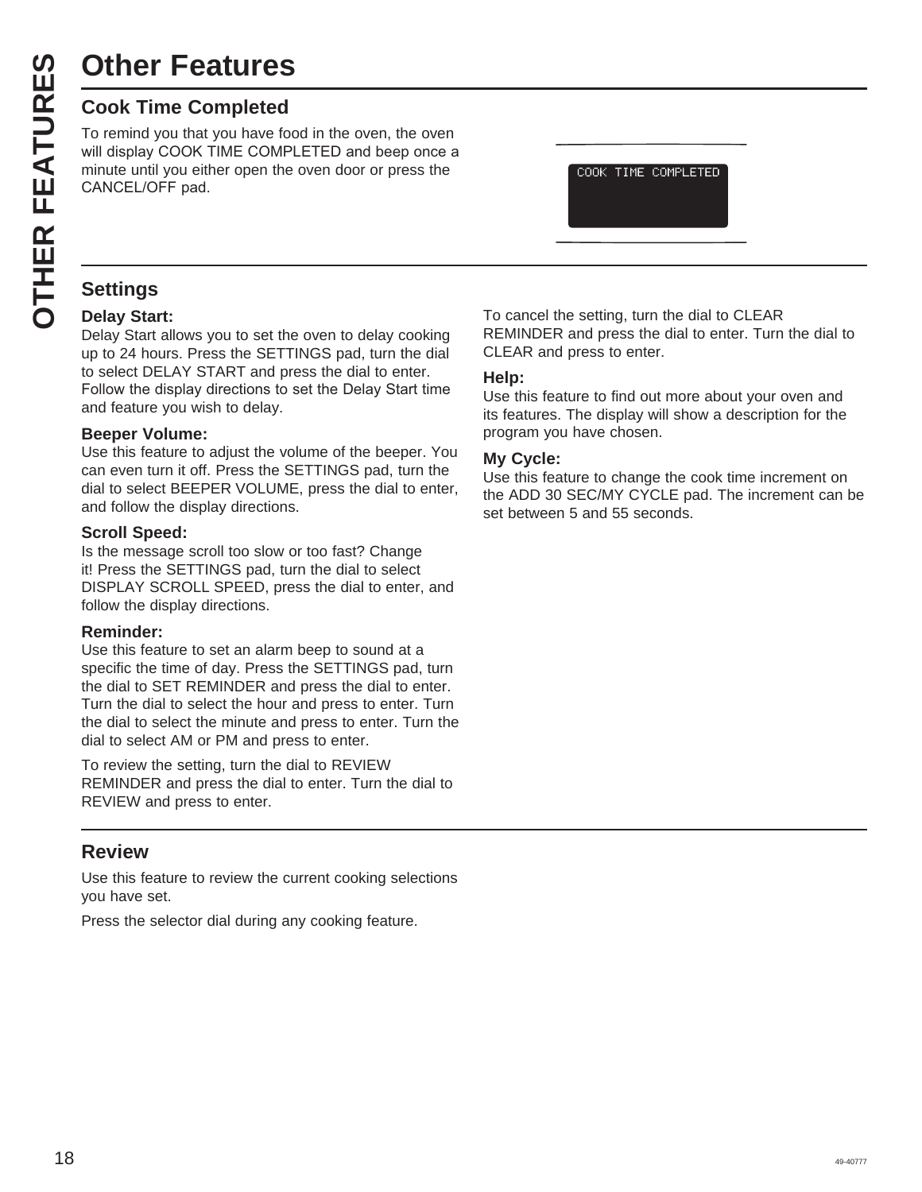# **Other Features**

**Other Features**<br> **Cook Time Completed**<br>
To remind you that you have for<br>
will display COOK TIME COMF<br>
minute until you either open the<br>
CANCEL/OFF pad.<br> **CANCEL/OFF** pad.<br> **CANCEL/OFF** pad.<br> **CANCEL/OFF** pad.<br> **CANCEL/OFF** To remind you that you have food in the oven, the oven will display COOK TIME COMPLETED and beep once a minute until you either open the oven door or press the CANCEL/OFF pad.

COOK TIME COMPLETED

#### **Settings**

#### **Delay Start:**

Delay Start allows you to set the oven to delay cooking up to 24 hours. Press the SETTINGS pad, turn the dial to select DELAY START and press the dial to enter. Follow the display directions to set the Delay Start time and feature you wish to delay.

#### **Beeper Volume:**

Use this feature to adjust the volume of the beeper. You can even turn it off. Press the SETTINGS pad, turn the dial to select BEEPER VOLUME, press the dial to enter, and follow the display directions.

#### **Scroll Speed:**

Is the message scroll too slow or too fast? Change it! Press the SETTINGS pad, turn the dial to select DISPLAY SCROLL SPEED, press the dial to enter, and follow the display directions.

#### **Reminder:**

Use this feature to set an alarm beep to sound at a specific the time of day. Press the SETTINGS pad, turn the dial to SET REMINDER and press the dial to enter. Turn the dial to select the hour and press to enter. Turn the dial to select the minute and press to enter. Turn the dial to select AM or PM and press to enter.

To review the setting, turn the dial to REVIEW REMINDER and press the dial to enter. Turn the dial to REVIEW and press to enter.

#### **Review**

Use this feature to review the current cooking selections you have set.

Press the selector dial during any cooking feature.

To cancel the setting, turn the dial to CLEAR REMINDER and press the dial to enter. Turn the dial to CLEAR and press to enter.

#### **Help:**

Use this feature to find out more about your oven and its features. The display will show a description for the program you have chosen.

#### **My Cycle:**

Use this feature to change the cook time increment on the ADD 30 SEC/MY CYCLE pad. The increment can be set between 5 and 55 seconds.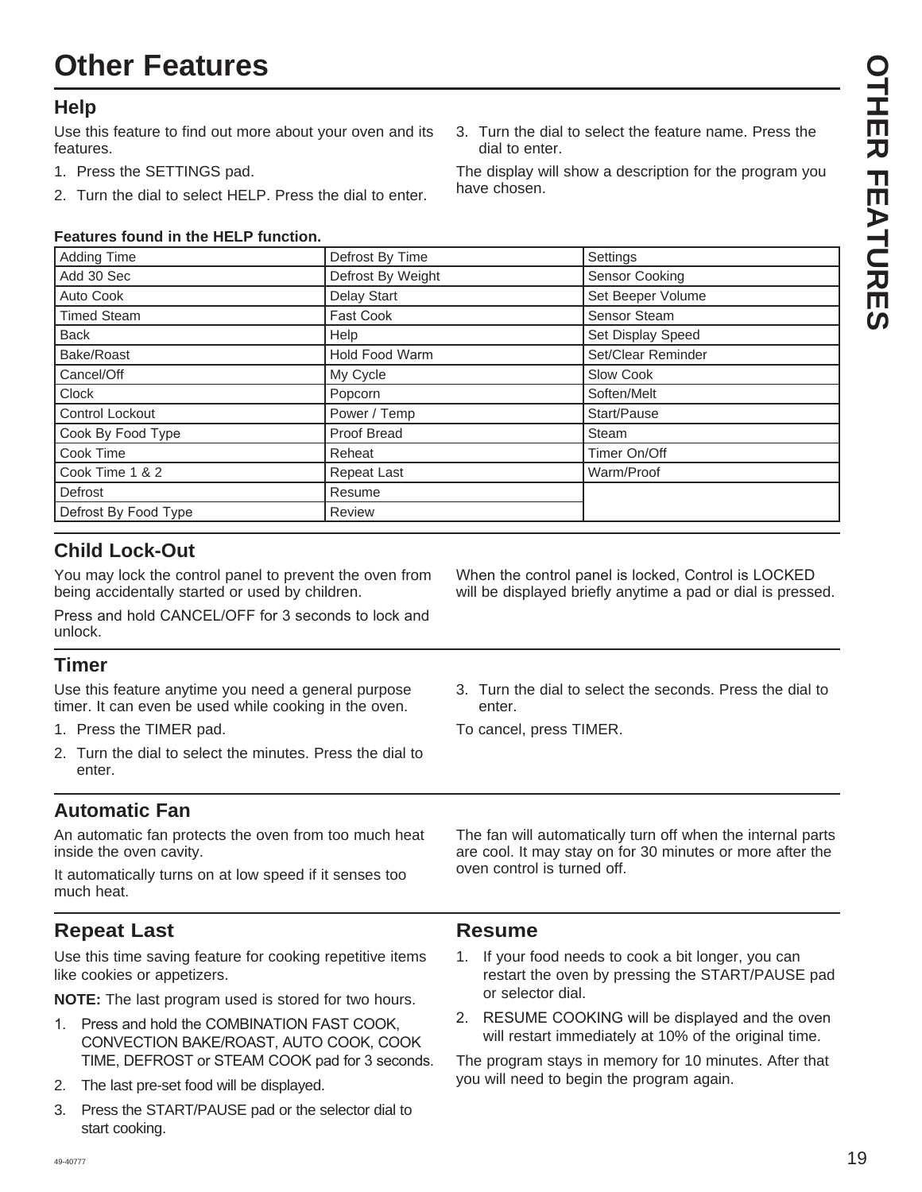# **Other Features**

#### **Help**

Use this feature to find out more about your oven and its features.

- 1. Press the SETTINGS pad.
- 2. Turn the dial to select HELP. Press the dial to enter.

#### **Features found in the HELP function.**

Adding Time Settings **Contract By Time** Settings and Defrost By Time Settings Settings Add 30 Sec Defrost By Weight Sensor Cooking Auto Cook **Delay Start** Set Beeper Volume Timed Steam **DVW** Fast Cook **COOK** Sensor Steam Back **Help** Help Set Display Speed Bake/Roast + Roger + Roger + Roger + Roger + Roger + Roger + Roger + Roger + Roger + Roger + Roger + Roger + Ro Cancel/Off **My Cycle** Slow Cook Cook Cook Clock Popcorn Soften/Melt Control Lockout Power / Temp Start/Pause &RRN%\)RRG7\SH Proof Bread Steam Cook Time **Reheat** Reheat **Timer On/Off** Timer On/Off Cook Time 1 & 2 Repeat Last National Repeat Last National Warm/Proof Defrost Resume Defrost By Food Type | Review

#### **Child Lock-Out**

You may lock the control panel to prevent the oven from being accidentally started or used by children.

Press and hold CANCEL/OFF for 3 seconds to lock and unlock.

#### **Timer**

Use this feature anytime you need a general purpose timer. It can even be used while cooking in the oven.

- 1. Press the TIMER pad.
- 2. Turn the dial to select the minutes. Press the dial to enter.

#### **Automatic Fan**

An automatic fan protects the oven from too much heat inside the oven cavity.

It automatically turns on at low speed if it senses too much heat.

#### **Repeat Last**

Use this time saving feature for cooking repetitive items like cookies or appetizers.

**NOTE:** The last program used is stored for two hours.

- 1. Press and hold the COMBINATION FAST COOK, CONVECTION BAKE/ROAST, AUTO COOK, COOK TIME, DEFROST or STEAM COOK pad for 3 seconds.
- 2. The last pre-set food will be displayed.
- 3. Press the START/PAUSE pad or the selector dial to start cooking.

When the control panel is locked, Control is LOCKED

3. Turn the dial to select the feature name. Press the

The display will show a description for the program you

dial to enter.

have chosen.

will be displayed briefly anytime a pad or dial is pressed.

3. Turn the dial to select the seconds. Press the dial to enter.

To cancel, press TIMER.

The fan will automatically turn off when the internal parts are cool. It may stay on for 30 minutes or more after the oven control is turned off.

#### **Resume**

- 1. If your food needs to cook a bit longer, you can restart the oven by pressing the START/PAUSE pad or selector dial.
- 2. RESUME COOKING will be displayed and the oven will restart immediately at 10% of the original time.

The program stays in memory for 10 minutes. After that you will need to begin the program again.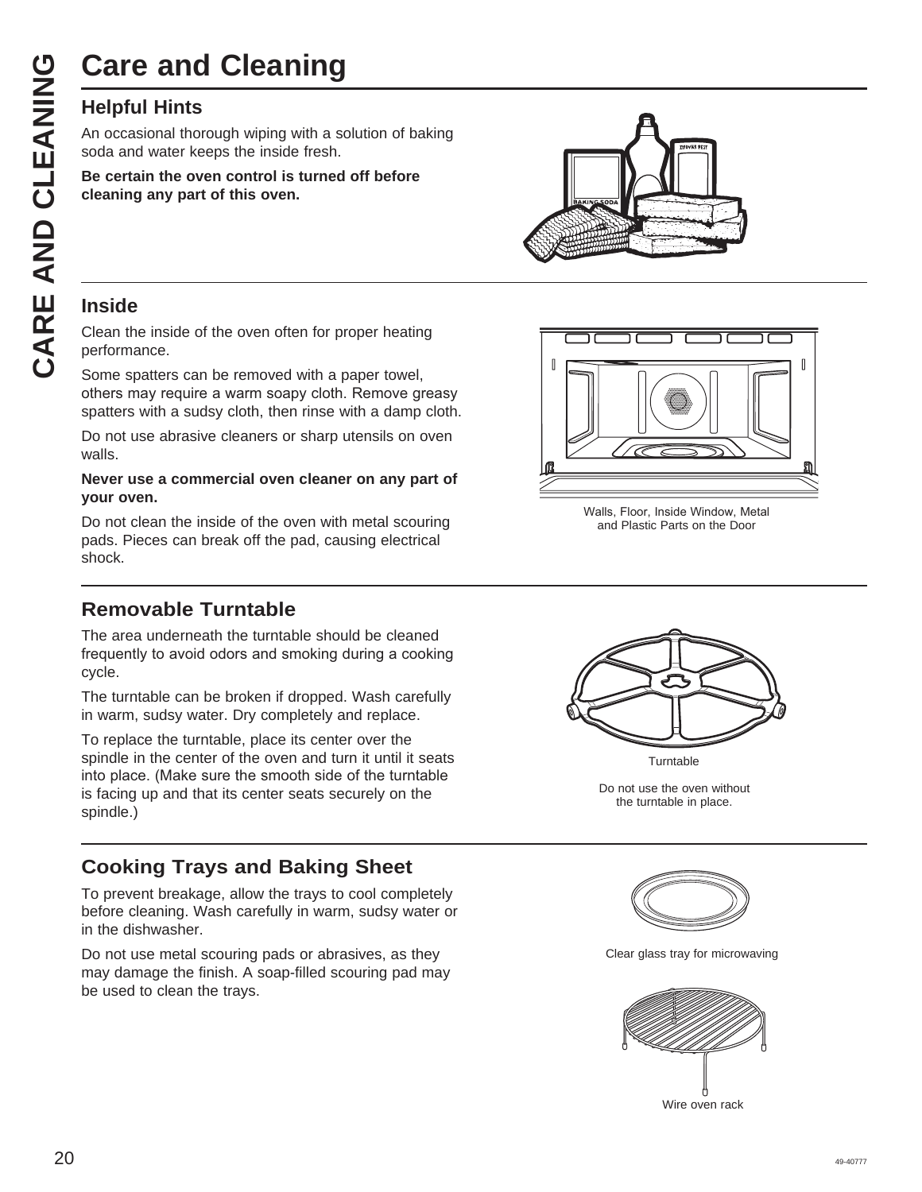# **Care and Cleaning**

An occasional thorough wiping with a solution of baking soda and water keeps the inside fresh.

**Be certain the oven control is turned off before cleaning any part of this oven.**

#### **Inside**

Clean the inside of the oven often for proper heating performance.

Some spatters can be removed with a paper towel, others may require a warm soapy cloth. Remove greasy spatters with a sudsy cloth, then rinse with a damp cloth.

Do not use abrasive cleaners or sharp utensils on oven walls.

#### **Never use a commercial oven cleaner on any part of your oven.**

Do not clean the inside of the oven with metal scouring pads. Pieces can break off the pad, causing electrical shock.

#### **Removable Turntable**

The area underneath the turntable should be cleaned frequently to avoid odors and smoking during a cooking cycle.

The turntable can be broken if dropped. Wash carefully in warm, sudsy water. Dry completely and replace.

To replace the turntable, place its center over the spindle in the center of the oven and turn it until it seats into place. (Make sure the smooth side of the turntable is facing up and that its center seats securely on the spindle.)

#### **Cooking Trays and Baking Sheet**

To prevent breakage, allow the trays to cool completely before cleaning. Wash carefully in warm, sudsy water or in the dishwasher.

Do not use metal scouring pads or abrasives, as they may damage the finish. A soap-filled scouring pad may be used to clean the trays.





Walls, Floor, Inside Window, Metal and Plastic Parts on the Door



Turntable

Do not use the oven without the turntable in place.



Clear glass tray for microwaving



Wire oven rack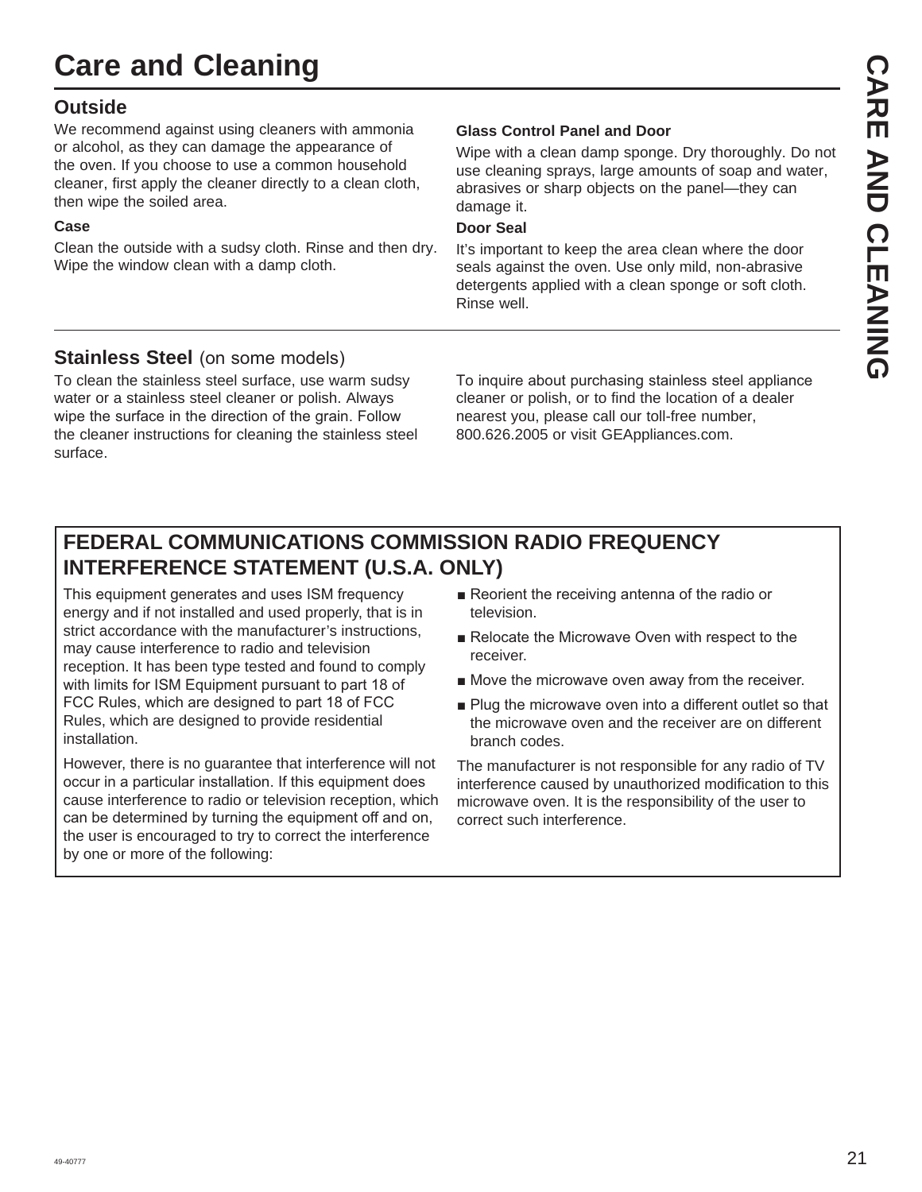# **Care and Cleaning**

#### **Outside**

We recommend against using cleaners with ammonia or alcohol, as they can damage the appearance of the oven. If you choose to use a common household cleaner, first apply the cleaner directly to a clean cloth, then wipe the soiled area.

#### **Case**

Clean the outside with a sudsy cloth. Rinse and then dry. Wipe the window clean with a damp cloth.

#### **Glass Control Panel and Door**

Wipe with a clean damp sponge. Dry thoroughly. Do not use cleaning sprays, large amounts of soap and water, abrasives or sharp objects on the panel—they can damage it.

#### **Door Seal**

It's important to keep the area clean where the door seals against the oven. Use only mild, non-abrasive detergents applied with a clean sponge or soft cloth. Rinse well.

#### **Stainless Steel** (on some models)

To clean the stainless steel surface, use warm sudsy water or a stainless steel cleaner or polish. Always wipe the surface in the direction of the grain. Follow the cleaner instructions for cleaning the stainless steel surface.

To inquire about purchasing stainless steel appliance cleaner or polish, or to find the location of a dealer nearest you, please call our toll-free number, 800.626.2005 or visit GEAppliances.com.

# **FEDERAL COMMUNICATIONS COMMISSION RADIO FREQUENCY INTERFERENCE STATEMENT (U.S.A. ONLY)**

This equipment generates and uses ISM frequency energy and if not installed and used properly, that is in strict accordance with the manufacturer's instructions, may cause interference to radio and television reception. It has been type tested and found to comply with limits for ISM Equipment pursuant to part 18 of FCC Rules, which are designed to part 18 of FCC Rules, which are designed to provide residential installation.

However, there is no guarantee that interference will not occur in a particular installation. If this equipment does cause interference to radio or television reception, which can be determined by turning the equipment off and on, the user is encouraged to try to correct the interference by one or more of the following:

- $\blacksquare$  Reorient the receiving antenna of the radio or television.
- Relocate the Microwave Oven with respect to the receiver.
- $\blacksquare$  Move the microwave oven away from the receiver.
- $\blacksquare$  Plug the microwave oven into a different outlet so that the microwave oven and the receiver are on different branch codes.

The manufacturer is not responsible for any radio of TV interference caused by unauthorized modification to this microwave oven. It is the responsibility of the user to correct such interference.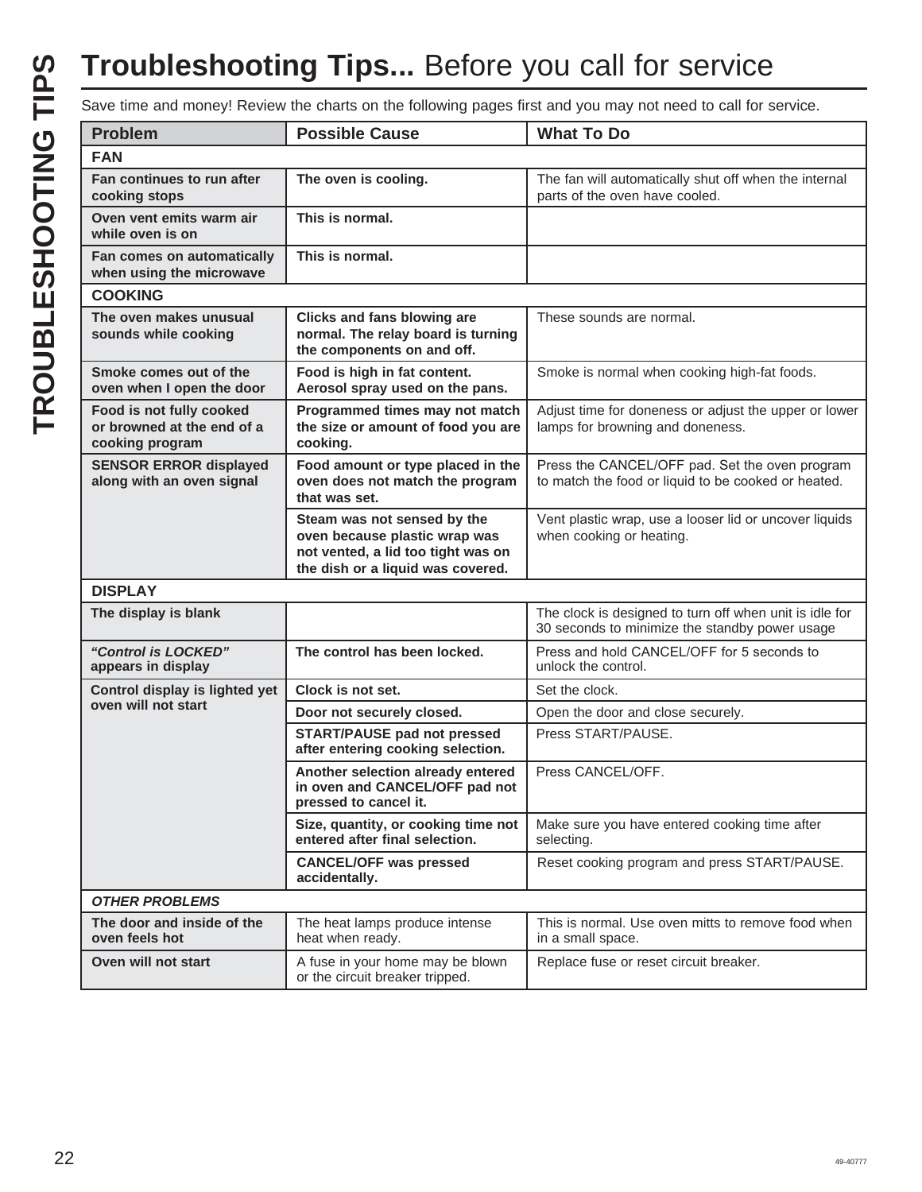# **Troubleshooting Tips...** Before you call for service

|                                                                           |                                                                                                                                         | Save time and money! Review the charts on the following pages first and you may not need to call for service. |
|---------------------------------------------------------------------------|-----------------------------------------------------------------------------------------------------------------------------------------|---------------------------------------------------------------------------------------------------------------|
| <b>Problem</b>                                                            | <b>Possible Cause</b>                                                                                                                   | <b>What To Do</b>                                                                                             |
| <b>FAN</b>                                                                |                                                                                                                                         |                                                                                                               |
| Fan continues to run after<br>cooking stops                               | The oven is cooling.                                                                                                                    | The fan will automatically shut off when the internal<br>parts of the oven have cooled.                       |
| Oven vent emits warm air<br>while oven is on                              | This is normal.                                                                                                                         |                                                                                                               |
| Fan comes on automatically<br>when using the microwave                    | This is normal.                                                                                                                         |                                                                                                               |
| <b>COOKING</b>                                                            |                                                                                                                                         |                                                                                                               |
| The oven makes unusual<br>sounds while cooking                            | Clicks and fans blowing are<br>normal. The relay board is turning<br>the components on and off.                                         | These sounds are normal.                                                                                      |
| Smoke comes out of the<br>oven when I open the door                       | Food is high in fat content.<br>Aerosol spray used on the pans.                                                                         | Smoke is normal when cooking high-fat foods.                                                                  |
| Food is not fully cooked<br>or browned at the end of a<br>cooking program | Programmed times may not match<br>the size or amount of food you are<br>cooking.                                                        | Adjust time for doneness or adjust the upper or lower<br>lamps for browning and doneness.                     |
| <b>SENSOR ERROR displayed</b><br>along with an oven signal                | Food amount or type placed in the<br>oven does not match the program<br>that was set.                                                   | Press the CANCEL/OFF pad. Set the oven program<br>to match the food or liquid to be cooked or heated.         |
|                                                                           | Steam was not sensed by the<br>oven because plastic wrap was<br>not vented, a lid too tight was on<br>the dish or a liquid was covered. | Vent plastic wrap, use a looser lid or uncover liquids<br>when cooking or heating.                            |
| <b>DISPLAY</b>                                                            |                                                                                                                                         |                                                                                                               |
| The display is blank                                                      |                                                                                                                                         | The clock is designed to turn off when unit is idle for<br>30 seconds to minimize the standby power usage     |
| "Control is LOCKED"<br>appears in display                                 | The control has been locked.                                                                                                            | Press and hold CANCEL/OFF for 5 seconds to<br>unlock the control.                                             |
| Control display is lighted yet                                            | Clock is not set.                                                                                                                       | Set the clock.                                                                                                |
| oven will not start                                                       | Door not securely closed.                                                                                                               | Open the door and close securely.                                                                             |
|                                                                           | <b>START/PAUSE pad not pressed</b><br>after entering cooking selection.                                                                 | Press START/PAUSE.                                                                                            |
|                                                                           | Another selection already entered<br>in oven and CANCEL/OFF pad not<br>pressed to cancel it.                                            | Press CANCEL/OFF                                                                                              |
|                                                                           | Size, quantity, or cooking time not<br>entered after final selection.                                                                   | Make sure you have entered cooking time after<br>selecting.                                                   |
|                                                                           | <b>CANCEL/OFF was pressed</b><br>accidentally.                                                                                          | Reset cooking program and press START/PAUSE.                                                                  |
| <b>OTHER PROBLEMS</b>                                                     |                                                                                                                                         |                                                                                                               |
| The door and inside of the<br>oven feels hot                              | The heat lamps produce intense<br>heat when ready.                                                                                      | This is normal. Use oven mitts to remove food when<br>in a small space.                                       |
| Oven will not start                                                       | A fuse in your home may be blown<br>or the circuit breaker tripped.                                                                     | Replace fuse or reset circuit breaker.                                                                        |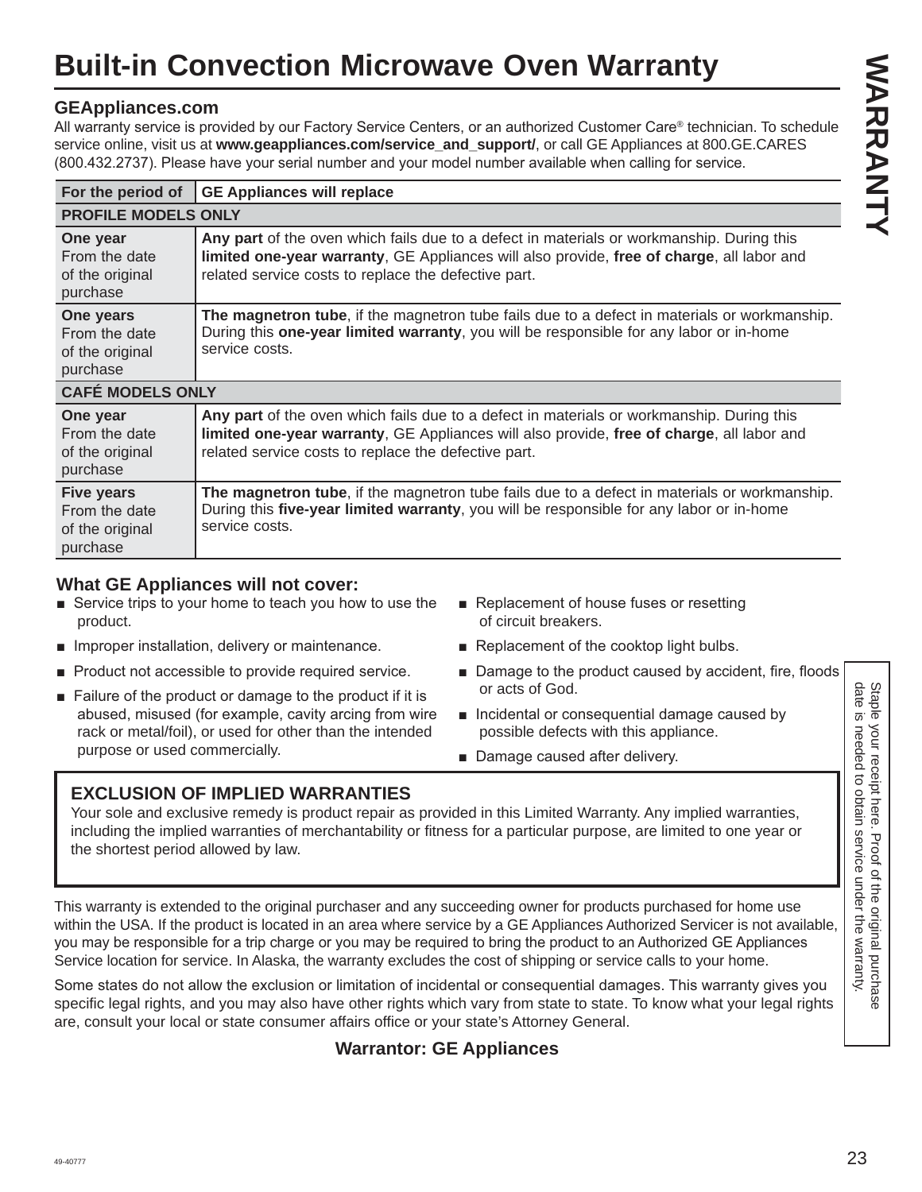# **Built-in Convection Microwave Oven Warranty**

#### **GEAppliances.com**

All warranty service is provided by our Factory Service Centers, or an authorized Customer Care® technician. To schedule service online, visit us at **www.geappliances.com/service and support/**, or call GE Appliances at 800.GE.CARES (800.432.2737). Please have your serial number and your model number available when calling for service.

| For the period of                                                 | <b>GE Appliances will replace</b>                                                                                                                                                                                                              |  |
|-------------------------------------------------------------------|------------------------------------------------------------------------------------------------------------------------------------------------------------------------------------------------------------------------------------------------|--|
| <b>PROFILE MODELS ONLY</b>                                        |                                                                                                                                                                                                                                                |  |
| One year<br>From the date<br>of the original<br>purchase          | Any part of the oven which fails due to a defect in materials or workmanship. During this<br>limited one-year warranty, GE Appliances will also provide, free of charge, all labor and<br>related service costs to replace the defective part. |  |
| One years<br>From the date<br>of the original<br>purchase         | The magnetron tube, if the magnetron tube fails due to a defect in materials or workmanship.<br>During this one-year limited warranty, you will be responsible for any labor or in-home<br>service costs.                                      |  |
| <b>CAFÉ MODELS ONLY</b>                                           |                                                                                                                                                                                                                                                |  |
| One year<br>From the date<br>of the original<br>purchase          | Any part of the oven which fails due to a defect in materials or workmanship. During this<br>limited one-year warranty, GE Appliances will also provide, free of charge, all labor and<br>related service costs to replace the defective part. |  |
| <b>Five years</b><br>From the date<br>of the original<br>purchase | The magnetron tube, if the magnetron tube fails due to a defect in materials or workmanship.<br>During this five-year limited warranty, you will be responsible for any labor or in-home<br>service costs.                                     |  |

#### **What GE Appliances will not cover:**

- Service trips to your home to teach you how to use the product.
- $\blacksquare$  Improper installation, delivery or maintenance.
- Product not accessible to provide required service.
- $\blacksquare$  Failure of the product or damage to the product if it is abused, misused (for example, cavity arcing from wire rack or metal/foil), or used for other than the intended purpose or used commercially.
- $\blacksquare$  Replacement of house fuses or resetting of circuit breakers.
- $\blacksquare$  Replacement of the cooktop light bulbs.
- Damage to the product caused by accident, fire, floods or acts of God.
- **n** Incidental or consequential damage caused by possible defects with this appliance.
- Damage caused after delivery.

#### **EXCLUSION OF IMPLIED WARRANTIES**

Your sole and exclusive remedy is product repair as provided in this Limited Warranty. Any implied warranties, including the implied warranties of merchantability or fitness for a particular purpose, are limited to one year or the shortest period allowed by law.

Failure of the product or damage to the product if it is or acts of God.<br>
abused, mission carbic cavity archited for example, cavity acrising from wire  $\bullet$  Incidental or consequential damage caused by<br>
rack or metal/foll This warranty is extended to the original purchaser and any succeeding owner for products purchased for home use within the USA. If the product is located in an area where service by a GE Appliances Authorized Servicer is not available, you may be responsible for a trip charge or you may be required to bring the product to an Authorized GE Appliances Service location for service. In Alaska, the warranty excludes the cost of shipping or service calls to your home.

Some states do not allow the exclusion or limitation of incidental or consequential damages. This warranty gives you specific legal rights, and you may also have other rights which vary from state to state. To know what your legal rights are, consult your local or state consumer affairs office or your state's Attorney General.

#### **Warrantor: GE Appliances**

Staple your receipt here. Proof of the original purchase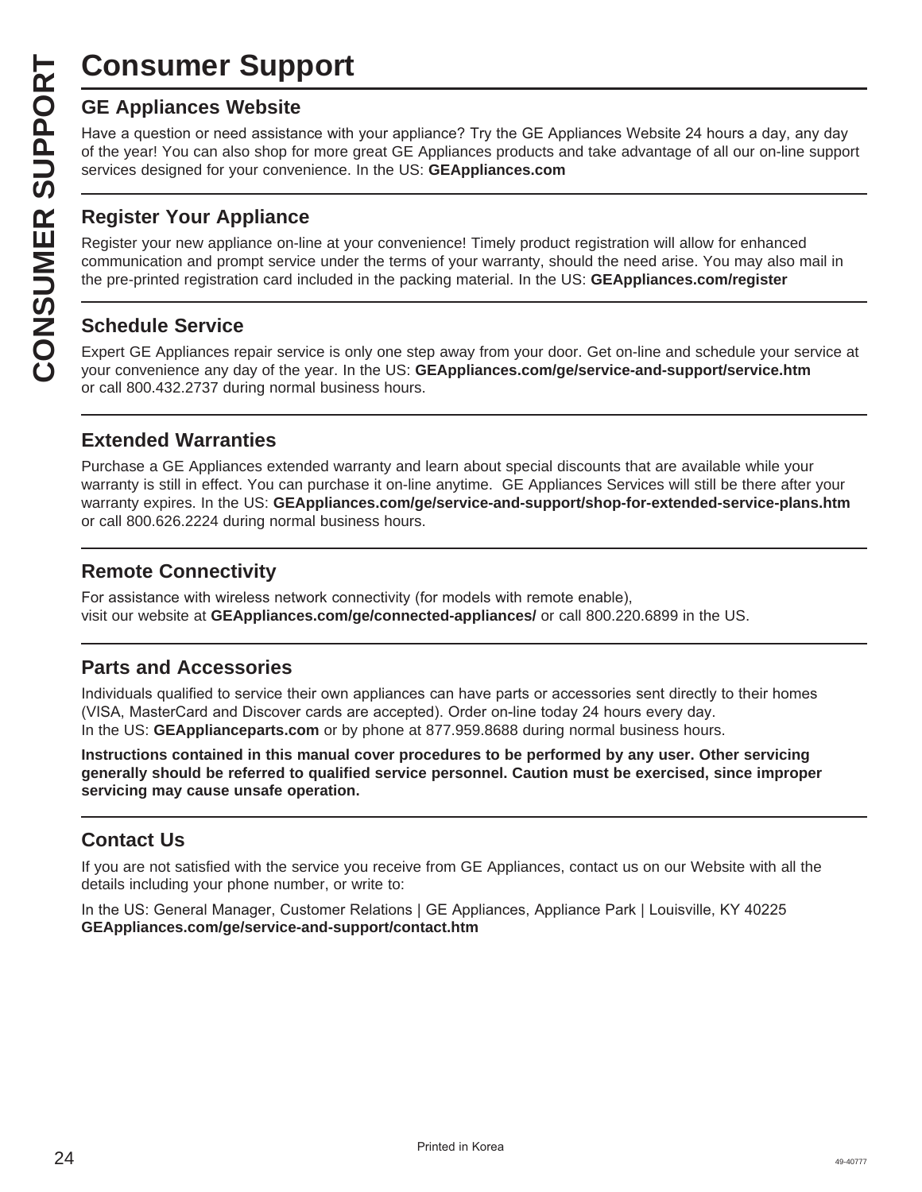# **Consumer Support**

Have a question or need assistance with your appliance? Try the GE Appliances Website 24 hours a day, any day of the year! You can also shop for more great GE Appliances products and take advantage of all our on-line support services designed for your convenience. In the US: **GEAppliances.com**

#### **Register Your Appliance**

**CONSUMER SUP**<br> **GE Appliances Website**<br>
Have a question or need assistar<br>
of the year! You can also shop for<br>
services designed for your conver<br> **CONSUMER APPLIANCE SECTS**<br> **CONSUMER APPLIANCE APPLIANCE SCRED SCRED Expert** Register your new appliance on-line at your convenience! Timely product registration will allow for enhanced communication and prompt service under the terms of your warranty, should the need arise. You may also mail in the pre-printed registration card included in the packing material. In the US: **GEAppliances.com/register**

#### **Schedule Service**

Expert GE Appliances repair service is only one step away from your door. Get on-line and schedule your service at your convenience any day of the year. In the US: **GEAppliances.com/ge/service-and-support/service.htm** or call 800.432.2737 during normal business hours.

#### **Extended Warranties**

Purchase a GE Appliances extended warranty and learn about special discounts that are available while your warranty is still in effect. You can purchase it on-line anytime. GE Appliances Services will still be there after your warranty expires. In the US: **GEAppliances.com/ge/service-and-support/shop-for-extended-service-plans.htm** or call 800.626.2224 during normal business hours.

#### **Remote Connectivity**

For assistance with wireless network connectivity (for models with remote enable). visit our website at **GEAppliances.com/ge/connected-appliances/** or call 800.220.6899 in the US.

#### **Parts and Accessories**

Individuals qualified to service their own appliances can have parts or accessories sent directly to their homes (VISA, MasterCard and Discover cards are accepted). Order on-line today 24 hours every day. In the US: **GEApplianceparts.com** or by phone at 877.959.8688 during normal business hours.

**Instructions contained in this manual cover procedures to be performed by any user. Other servicing generally should be referred to qualified service personnel. Caution must be exercised, since improper servicing may cause unsafe operation.**

#### **Contact Us**

If you are not satisfied with the service you receive from GE Appliances, contact us on our Website with all the details including your phone number, or write to:

In the US: General Manager, Customer Relations | GE Appliances, Appliance Park | Louisville, KY 40225 **GEAppliances.com/ge/service-and-support/contact.htm**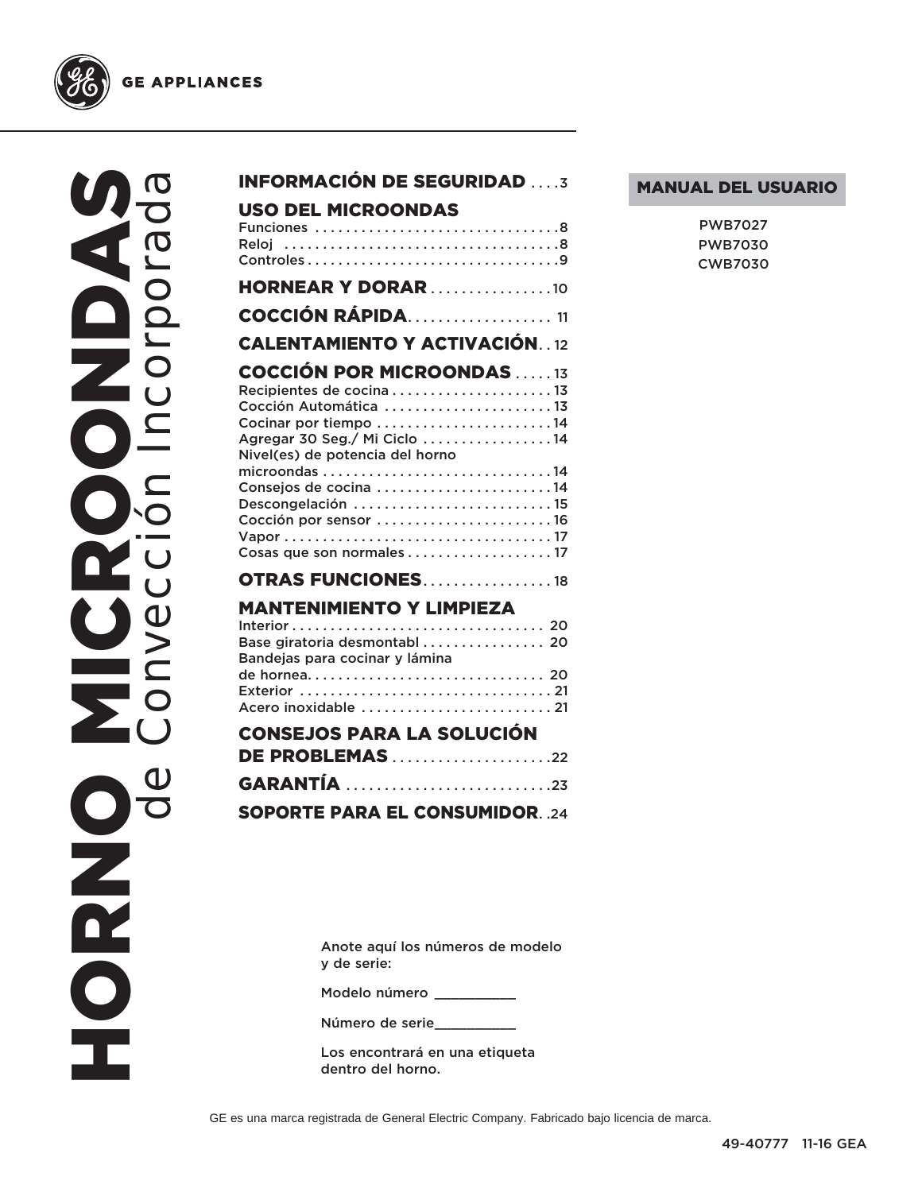

HORNO MICROONDAS **NIDAS** de Convección Incorporada**MICRO**  $O<sup>o</sup>$  $\mathbf 0$ NACIO Ě

| <b>INFORMACIÓN DE SEGURIDAD3</b>                                                                                                                                                                                                                                                      |
|---------------------------------------------------------------------------------------------------------------------------------------------------------------------------------------------------------------------------------------------------------------------------------------|
| USO DEL MICROONDAS                                                                                                                                                                                                                                                                    |
| <b>HORNEAR Y DORAR</b> 10                                                                                                                                                                                                                                                             |
| <b>COCCIÓN RÁPIDA11</b>                                                                                                                                                                                                                                                               |
| <b>CALENTAMIENTO Y ACTIVACIÓN. 12</b>                                                                                                                                                                                                                                                 |
| <b>COCCIÓN POR MICROONDAS 13</b><br>Recipientes de cocina 13<br>Cocción Automática 13<br>Cocinar por tiempo 14<br>Agregar 30 Seg./ Mi Ciclo 14<br>Nivel(es) de potencia del horno<br>Consejos de cocina 14<br>Descongelación 15<br>Cocción por sensor 16<br>Cosas que son normales 17 |
| <b>OTRAS FUNCIONES18</b>                                                                                                                                                                                                                                                              |
| <b>MANTENIMIENTO Y LIMPIEZA</b><br>Base giratoria desmontabl 20<br>Bandejas para cocinar y lámina<br>Acero inoxidable  21                                                                                                                                                             |
| <b>CONSEJOS PARA LA SOLUCIÓN</b><br><b>DE PROBLEMAS</b> 22                                                                                                                                                                                                                            |
| GARANTÍA 23                                                                                                                                                                                                                                                                           |
| <b>SOPORTE PARA EL CONSUMIDOR. .24</b>                                                                                                                                                                                                                                                |
|                                                                                                                                                                                                                                                                                       |

#### MANUAL DEL USUARIO

| PWB7027        |
|----------------|
| <b>PWB7030</b> |
| <b>CWB7030</b> |

Anote aquí los números de modelo y de serie:

Modelo número \_\_\_\_\_\_\_\_\_

Número de serie\_\_\_\_\_\_\_\_\_\_

Los encontrará en una etiqueta dentro del horno.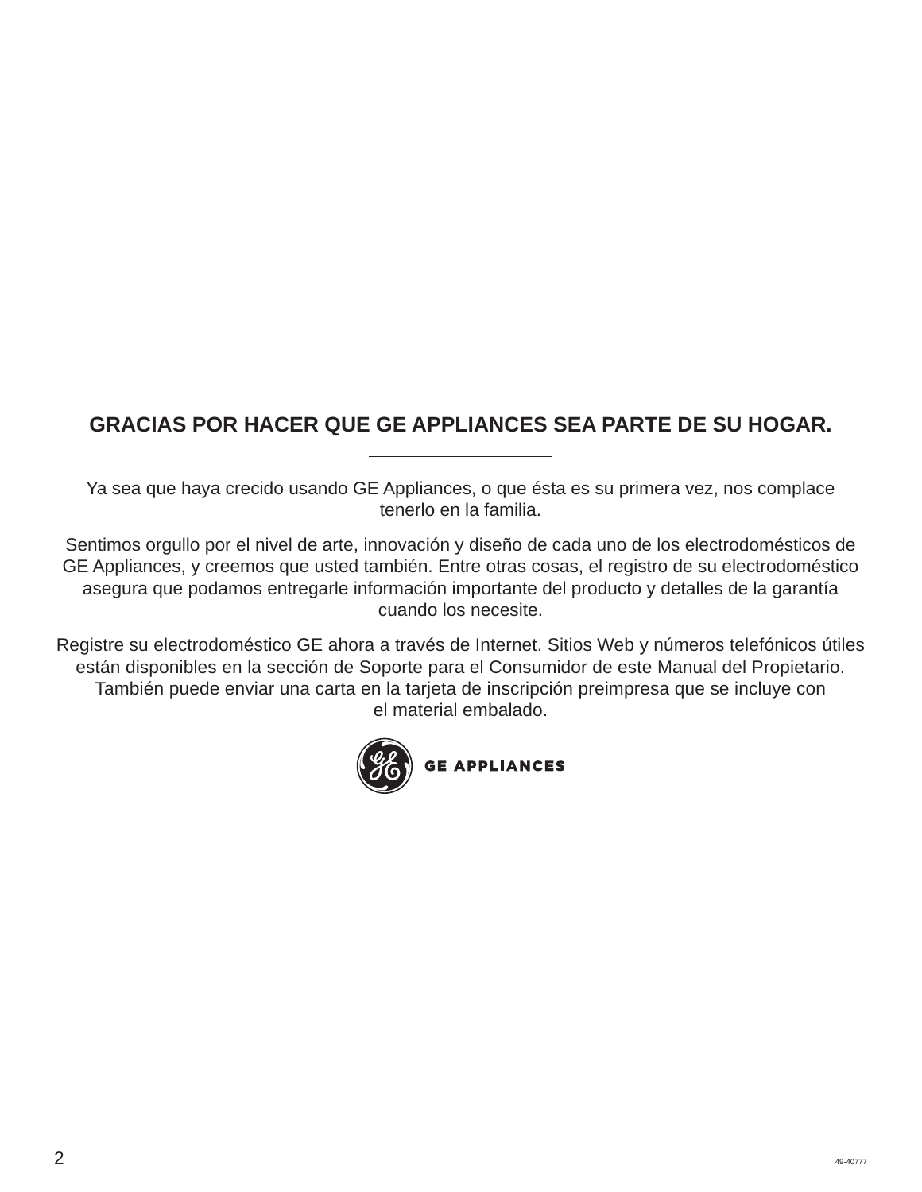# **GRACIAS POR HACER QUE GE APPLIANCES SEA PARTE DE SU HOGAR.**

Ya sea que haya crecido usando GE Appliances, o que ésta es su primera vez, nos complace tenerlo en la familia.

Sentimos orgullo por el nivel de arte, innovación y diseño de cada uno de los electrodomésticos de GE Appliances, y creemos que usted también. Entre otras cosas, el registro de su electrodoméstico asegura que podamos entregarle información importante del producto y detalles de la garantía cuando los necesite.

Registre su electrodoméstico GE ahora a través de Internet. Sitios Web y números telefónicos útiles están disponibles en la sección de Soporte para el Consumidor de este Manual del Propietario. También puede enviar una carta en la tarjeta de inscripción preimpresa que se incluye con el material embalado.

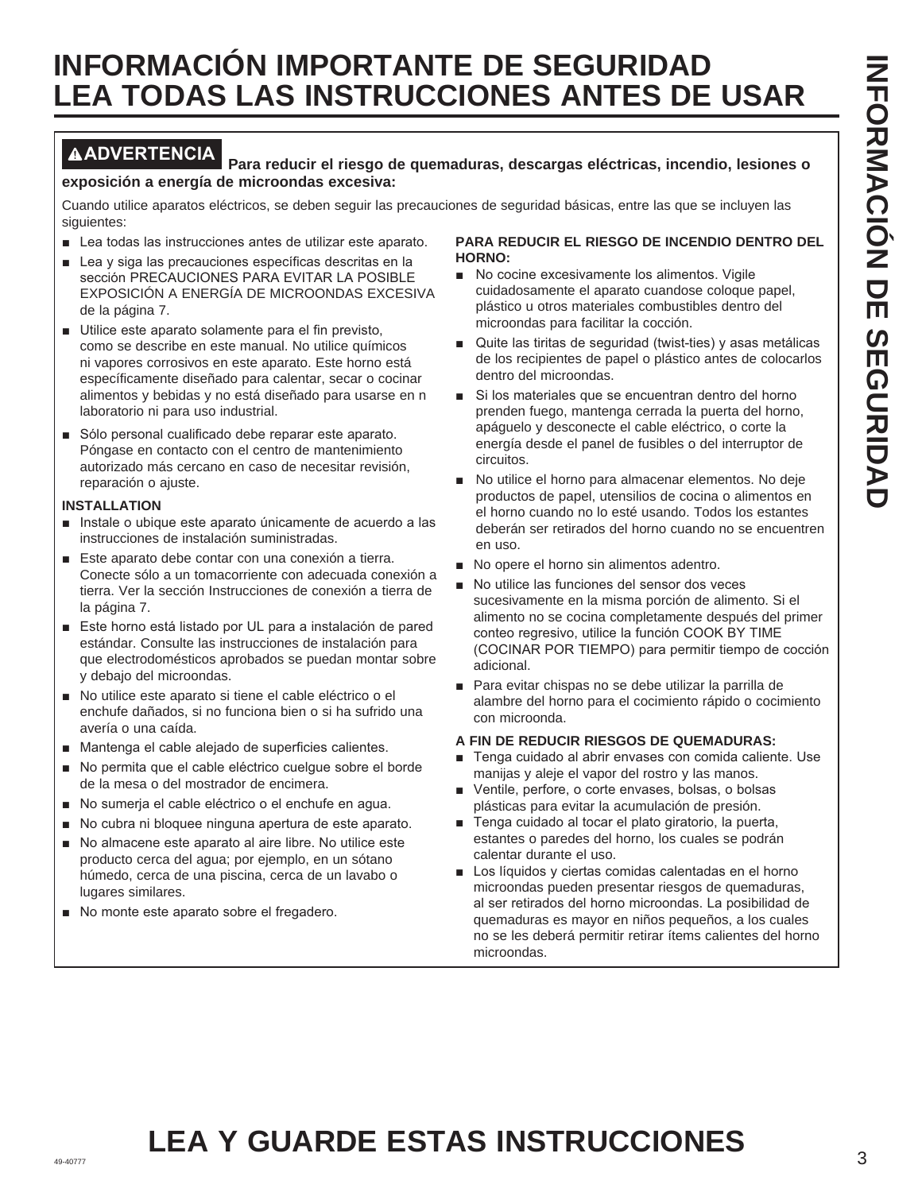# **INFORMACIÓN IMPORTANTE DE SEGURIDAD LEA TODAS LAS INSTRUCCIONES ANTES DE USAR**

#### **ADVERTENCIA Para reducir el riesgo de quemaduras, descargas eléctricas, incendio, lesiones o exposición a energía de microondas excesiva:**

Cuando utilice aparatos eléctricos, se deben seguir las precauciones de seguridad básicas, entre las que se incluyen las siguientes:

- $\blacksquare$  Lea todas las instrucciones antes de utilizar este aparato.
- $\blacksquare$  Lea y siga las precauciones específicas descritas en la sección PRECAUCIONES PARA EVITAR LA POSIBLE EXPOSICIÓN A ENERGÍA DE MICROONDAS EXCESIVA de la página 7.
- Utilice este aparato solamente para el fin previsto, como se describe en este manual. No utilice químicos ni vapores corrosivos en este aparato. Este horno está específicamente diseñado para calentar, secar o cocinar alimentos y bebidas y no está diseñado para usarse en n laboratorio ni para uso industrial.
- Sólo personal cualificado debe reparar este aparato. Póngase en contacto con el centro de mantenimiento autorizado más cercano en caso de necesitar revisión, reparación o ajuste.

#### **INSTALLATION**

- Instale o ubique este aparato únicamente de acuerdo a las instrucciones de instalación suministradas.
- Este aparato debe contar con una conexión a tierra. Conecte sólo a un tomacorriente con adecuada conexión a tierra. Ver la sección Instrucciones de conexión a tierra de la página 7.
- Este horno está listado por UL para a instalación de pared estándar. Consulte las instrucciones de instalación para que electrodomésticos aprobados se puedan montar sobre y debajo del microondas.
- No utilice este aparato si tiene el cable eléctrico o el enchufe dañados, si no funciona bien o si ha sufrido una avería o una caída.
- $\blacksquare$  Mantenga el cable alejado de superficies calientes.
- No permita que el cable eléctrico cuelque sobre el borde de la mesa o del mostrador de encimera.
- No sumerja el cable eléctrico o el enchufe en agua.
- No cubra ni bloquee ninguna apertura de este aparato.
- No almacene este aparato al aire libre. No utilice este producto cerca del agua; por ejemplo, en un sótano húmedo, cerca de una piscina, cerca de un lavabo o lugares similares.
- No monte este aparato sobre el fregadero.

#### **PARA REDUCIR EL RIESGO DE INCENDIO DENTRO DEL HORNO:**

- No cocine excesivamente los alimentos. Vigile cuidadosamente el aparato cuandose coloque papel, plástico u otros materiales combustibles dentro del microondas para facilitar la cocción.
- $\blacksquare$  Quite las tiritas de seguridad (twist-ties) y asas metálicas de los recipientes de papel o plástico antes de colocarlos dentro del microondas.
- Si los materiales que se encuentran dentro del horno prenden fuego, mantenga cerrada la puerta del horno, apáguelo y desconecte el cable eléctrico, o corte la energía desde el panel de fusibles o del interruptor de circuitos.
- No utilice el horno para almacenar elementos. No deje productos de papel, utensilios de cocina o alimentos en el horno cuando no lo esté usando. Todos los estantes deberán ser retirados del horno cuando no se encuentren en uso.
- No opere el horno sin alimentos adentro.
- No utilice las funciones del sensor dos veces sucesivamente en la misma porción de alimento. Si el alimento no se cocina completamente después del primer conteo regresivo, utilice la función COOK BY TIME (COCINAR POR TIEMPO) para permitir tiempo de cocción adicional.
- Para evitar chispas no se debe utilizar la parrilla de alambre del horno para el cocimiento rápido o cocimiento con microonda.

#### **A FIN DE REDUCIR RIESGOS DE QUEMADURAS:**

- Tenga cuidado al abrir envases con comida caliente. Use manijas y aleje el vapor del rostro y las manos.
- Ventile, perfore, o corte envases, bolsas, o bolsas plásticas para evitar la acumulación de presión.
- F Tenga cuidado al tocar el plato giratorio, la puerta, estantes o paredes del horno, los cuales se podrán calentar durante el uso.
- $\blacksquare$  Los líquidos y ciertas comidas calentadas en el horno microondas pueden presentar riesgos de quemaduras, al ser retirados del horno microondas. La posibilidad de quemaduras es mayor en niños pequeños, a los cuales no se les deberá permitir retirar ítems calientes del horno microondas.

#### 49-40777 3 **LEA Y GUARDE ESTAS INSTRUCCIONES**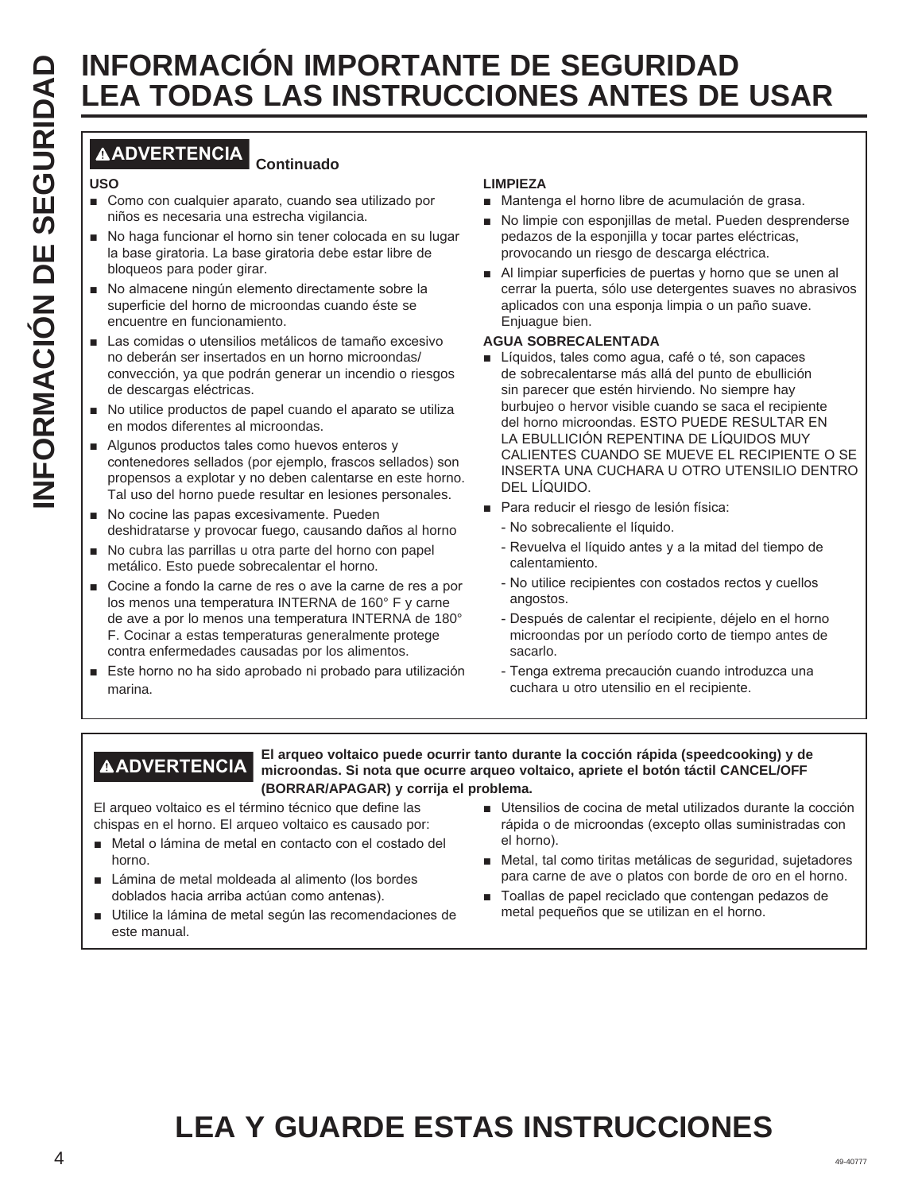# **INFORMACION IMPORTANTE DE SEGURIDAD**<br> **INFORMACION IMPORTANTE DE SEGURIDAD**<br> **INFORMACION IMPORTANTES DE**<br> **INFORMACION CONTINUAL CONTINUAL CONTINUAL CONTINUAL CONTINUAL CONTINUAL CONTINUAL CONTINUAL CONTINUAL CONTINUAL C LEA TODAS LAS INSTRUCCIONES ANTES DE USAR**

#### **ADVERTENCIA Continuado**

#### **USO**

- Como con cualquier aparato, cuando sea utilizado por niños es necesaria una estrecha vigilancia.
- No haga funcionar el horno sin tener colocada en su lugar la base giratoria. La base giratoria debe estar libre de bloqueos para poder girar.
- No almacene ningún elemento directamente sobre la superficie del horno de microondas cuando éste se encuentre en funcionamiento.
- Las comidas o utensilios metálicos de tamaño excesivo no deberán ser insertados en un horno microondas/ convección, ya que podrán generar un incendio o riesgos de descargas eléctricas.
- No utilice productos de papel cuando el aparato se utiliza en modos diferentes al microondas.
- Algunos productos tales como huevos enteros y contenedores sellados (por ejemplo, frascos sellados) son propensos a explotar y no deben calentarse en este horno. Tal uso del horno puede resultar en lesiones personales.
- No cocine las papas excesivamente. Pueden deshidratarse y provocar fuego, causando daños al horno
- No cubra las parrillas u otra parte del horno con papel metálico. Esto puede sobrecalentar el horno.
- Cocine a fondo la carne de res o ave la carne de res a por los menos una temperatura INTERNA de 160° F y carne de ave a por lo menos una temperatura INTERNA de 180° F. Cocinar a estas temperaturas generalmente protege contra enfermedades causadas por los alimentos.
- Este horno no ha sido aprobado ni probado para utilización marina.

#### **LIMPIEZA**

- Mantenga el horno libre de acumulación de grasa.
- No limpie con esponjillas de metal. Pueden desprenderse pedazos de la esponjilla y tocar partes eléctricas, provocando un riesgo de descarga eléctrica.
- Al limpiar superficies de puertas y horno que se unen al cerrar la puerta, sólo use detergentes suaves no abrasivos aplicados con una esponja limpia o un paño suave. Enjuague bien.

#### **AGUA SOBRECALENTADA**

- Líquidos, tales como agua, café o té, son capaces de sobrecalentarse más allá del punto de ebullición sin parecer que estén hirviendo. No siempre hay burbujeo o hervor visible cuando se saca el recipiente del horno microondas. ESTO PUEDE RESULTAR EN LA EBULLICIÓN REPENTINA DE LÍQUIDOS MUY CALIENTES CUANDO SE MUEVE EL RECIPIENTE O SE INSERTA UNA CUCHARA U OTRO UTENSILIO DENTRO DEL LÍQUIDO.
- Para reducir el riesgo de lesión física:
	- No sobrecaliente el líquido.
	- Revuelva el líquido antes y a la mitad del tiempo de calentamiento.
	- No utilice recipientes con costados rectos y cuellos angostos.
	- Después de calentar el recipiente, déjelo en el horno microondas por un período corto de tiempo antes de sacarlo.
	- Tenga extrema precaución cuando introduzca una cuchara u otro utensilio en el recipiente.

**ADVERTENCIA El arqueo voltaico puede ocurrir tanto durante la cocción rápida (speedcooking) y de microondas. Si nota que ocurre arqueo voltaico, apriete el botón táctil CANCEL/OFF (BORRAR/APAGAR) y corrija el problema.**

El arqueo voltaico es el término técnico que define las chispas en el horno. El arqueo voltaico es causado por:

- Metal o lámina de metal en contacto con el costado del horno.
- Lámina de metal moldeada al alimento (los bordes doblados hacia arriba actúan como antenas).
- Utilice la lámina de metal según las recomendaciones de este manual.
- Utensilios de cocina de metal utilizados durante la cocción rápida o de microondas (excepto ollas suministradas con el horno).
- Metal, tal como tiritas metálicas de seguridad, sujetadores para carne de ave o platos con borde de oro en el horno.
- Toallas de papel reciclado que contengan pedazos de metal pequeños que se utilizan en el horno.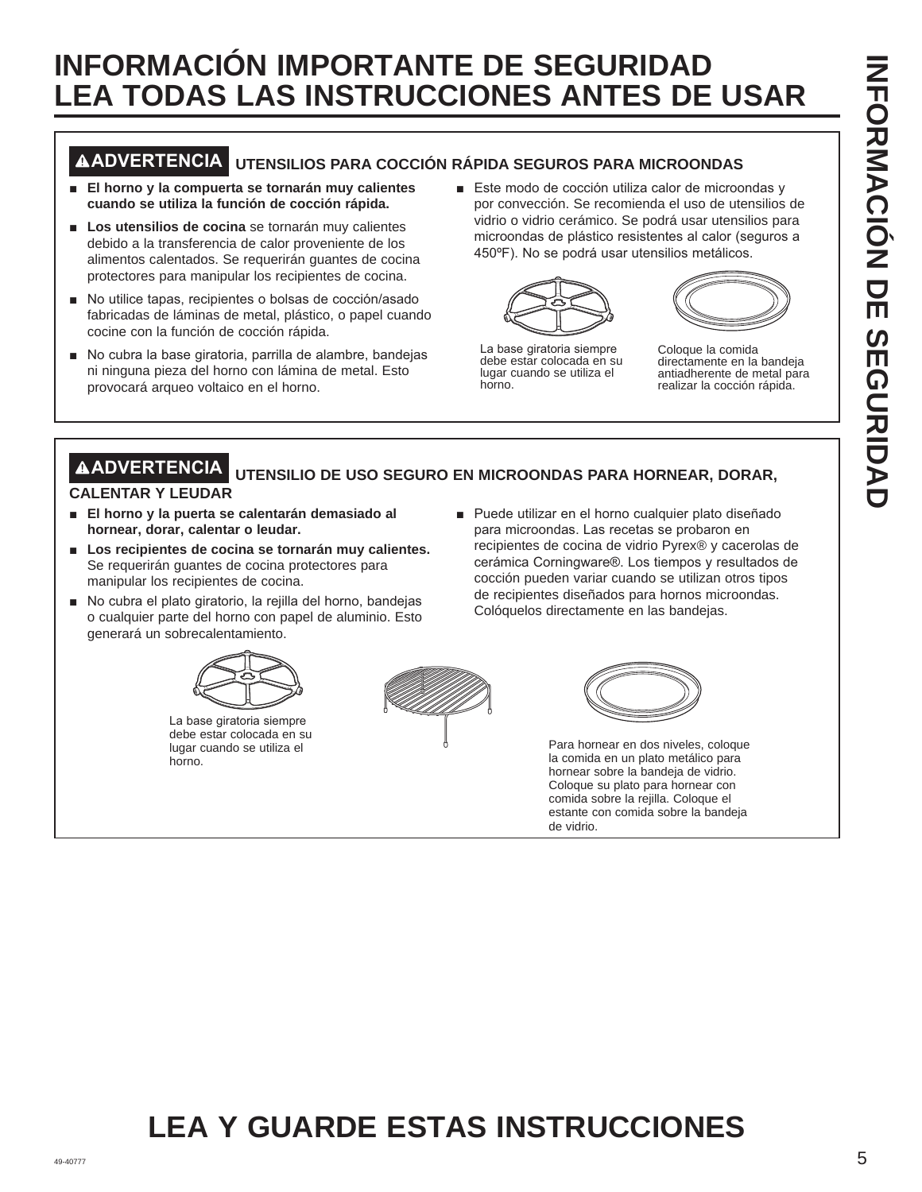# **INFORMACIÓN IMPORTANTE DE SEGURIDAD LEA TODAS LAS INSTRUCCIONES ANTES DE USAR**

# **ADVERTENCIA UTENSILIOS PARA COCCIÓN RÁPIDA SEGUROS PARA MICROONDAS**

- **El horno y la compuerta se tornarán muy calientes cuando se utiliza la función de cocción rápida.**
- **Los utensilios de cocina** se tornarán muy calientes debido a la transferencia de calor proveniente de los alimentos calentados. Se requerirán guantes de cocina protectores para manipular los recipientes de cocina.
- No utilice tapas, recipientes o bolsas de cocción/asado fabricadas de láminas de metal, plástico, o papel cuando cocine con la función de cocción rápida.
- No cubra la base giratoria, parrilla de alambre, bandejas ni ninguna pieza del horno con lámina de metal. Esto provocará arqueo voltaico en el horno.
- Este modo de cocción utiliza calor de microondas y por convección. Se recomienda el uso de utensilios de vidrio o vidrio cerámico. Se podrá usar utensilios para microondas de plástico resistentes al calor (seguros a 450°F). No se podrá usar utensilios metálicos.





La base giratoria siempre debe estar colocada en su lugar cuando se utiliza el horno.

Coloque la comida directamente en la bandeja antiadherente de metal para realizar la cocción rápida.

#### **ADVERTENCIA UTENSILIO DE USO SEGURO EN MICROONDAS PARA HORNEAR, DORAR, CALENTAR Y LEUDAR**

- **El horno y la puerta se calentarán demasiado al hornear, dorar, calentar o leudar.**
- **E** Los recipientes de cocina se tornarán muy calientes. Se requerirán guantes de cocina protectores para manipular los recipientes de cocina.
- No cubra el plato giratorio, la rejilla del horno, bandejas o cualquier parte del horno con papel de aluminio. Esto generará un sobrecalentamiento.



La base giratoria siempre debe estar colocada en su lugar cuando se utiliza el horno.





■ Puede utilizar en el horno cualquier plato diseñado para microondas. Las recetas se probaron en recipientes de cocina de vidrio Pyrex® y cacerolas de cerámica Corningware®. Los tiempos y resultados de cocción pueden variar cuando se utilizan otros tipos de recipientes diseñados para hornos microondas.

Colóquelos directamente en las bandejas.

Para hornear en dos niveles, coloque la comida en un plato metálico para hornear sobre la bandeja de vidrio. Coloque su plato para hornear con comida sobre la rejilla. Coloque el estante con comida sobre la bandeja de vidrio.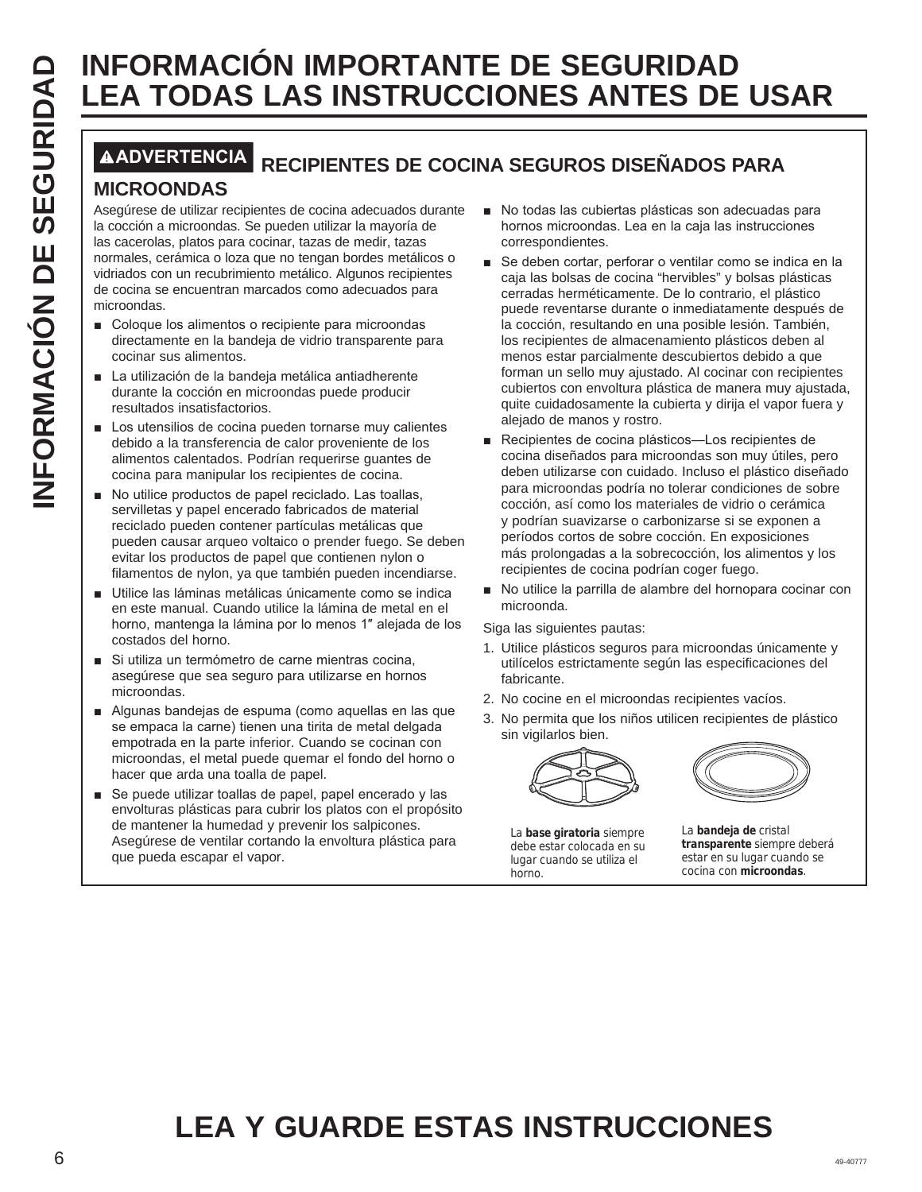# **LEA TODAS LAS INSTRUCCIONES ANTES DE USAR**

# **ADVERTENCIA RECIPIENTES DE COCINA SEGUROS DISEÑADOS PARA**

#### **MICROONDAS**

Asegúrese de utilizar recipientes de cocina adecuados durante la cocción a microondas. Se pueden utilizar la mayoría de las cacerolas, platos para cocinar, tazas de medir, tazas normales, cerámica o loza que no tengan bordes metálicos o vidriados con un recubrimiento metálico. Algunos recipientes de cocina se encuentran marcados como adecuados para microondas.

- Coloque los alimentos o recipiente para microondas directamente en la bandeja de vidrio transparente para cocinar sus alimentos.
- La utilización de la bandeja metálica antiadherente durante la cocción en microondas puede producir resultados insatisfactorios.
- $\blacksquare$  Los utensilios de cocina pueden tornarse muy calientes debido a la transferencia de calor proveniente de los alimentos calentados. Podrían requerirse guantes de cocina para manipular los recipientes de cocina.
- No utilice productos de papel reciclado. Las toallas, servilletas y papel encerado fabricados de material reciclado pueden contener partículas metálicas que pueden causar arqueo voltaico o prender fuego. Se deben evitar los productos de papel que contienen nylon o filamentos de nylon, ya que también pueden incendiarse.
- Utilice las láminas metálicas únicamente como se indica en este manual. Cuando utilice la lámina de metal en el horno, mantenga la lámina por lo menos 1" alejada de los costados del horno.
- Si utiliza un termómetro de carne mientras cocina, asegúrese que sea seguro para utilizarse en hornos microondas.
- Algunas bandejas de espuma (como aquellas en las que se empaca la carne) tienen una tirita de metal delgada empotrada en la parte inferior. Cuando se cocinan con microondas, el metal puede quemar el fondo del horno o hacer que arda una toalla de papel.
- Se puede utilizar toallas de papel, papel encerado y las envolturas plásticas para cubrir los platos con el propósito de mantener la humedad y prevenir los salpicones. Asegúrese de ventilar cortando la envoltura plástica para que pueda escapar el vapor.
- No todas las cubiertas plásticas son adecuadas para hornos microondas. Lea en la caja las instrucciones correspondientes.
- **INFORMACION IMPORTANTE DE SEGURIDAD<br>
MEXIENTES DE<br>
MICROONDAS<br>
MICROONDAS<br>
ABOVERIENTES DE COCINA SEGUROS DISEÑADOS F<br>
MICROONDAS<br>
A cacción a microordas. Se pueden utilizar la mayoría de<br>
la coción a microordas. Se puede** ■ Se deben cortar, perforar o ventilar como se indica en la caja las bolsas de cocina "hervibles" y bolsas plásticas cerradas herméticamente. De lo contrario, el plástico puede reventarse durante o inmediatamente después de la cocción, resultando en una posible lesión. También, los recipientes de almacenamiento plásticos deben al menos estar parcialmente descubiertos debido a que forman un sello muy ajustado. Al cocinar con recipientes cubiertos con envoltura plástica de manera muy ajustada, quite cuidadosamente la cubierta y dirija el vapor fuera y alejado de manos y rostro.
	- Recipientes de cocina plásticos-Los recipientes de cocina diseñados para microondas son muy útiles, pero deben utilizarse con cuidado. Incluso el plástico diseñado para microondas podría no tolerar condiciones de sobre cocción, así como los materiales de vidrio o cerámica y podrían suavizarse o carbonizarse si se exponen a períodos cortos de sobre cocción. En exposiciones más prolongadas a la sobrecocción, los alimentos y los recipientes de cocina podrían coger fuego.
	- No utilice la parrilla de alambre del hornopara cocinar con microonda.

Siga las siguientes pautas:

- 1. Utilice plásticos seguros para microondas únicamente y utilícelos estrictamente según las especificaciones del fabricante.
- 2. No cocine en el microondas recipientes vacíos.
- 3. No permita que los niños utilicen recipientes de plástico sin vigilarlos bien.





La **base giratoria** siempre debe estar colocada en su lugar cuando se utiliza el horno.

La **bandeja de** cristal **transparente** siempre deberá estar en su lugar cuando se cocina con **microondas**.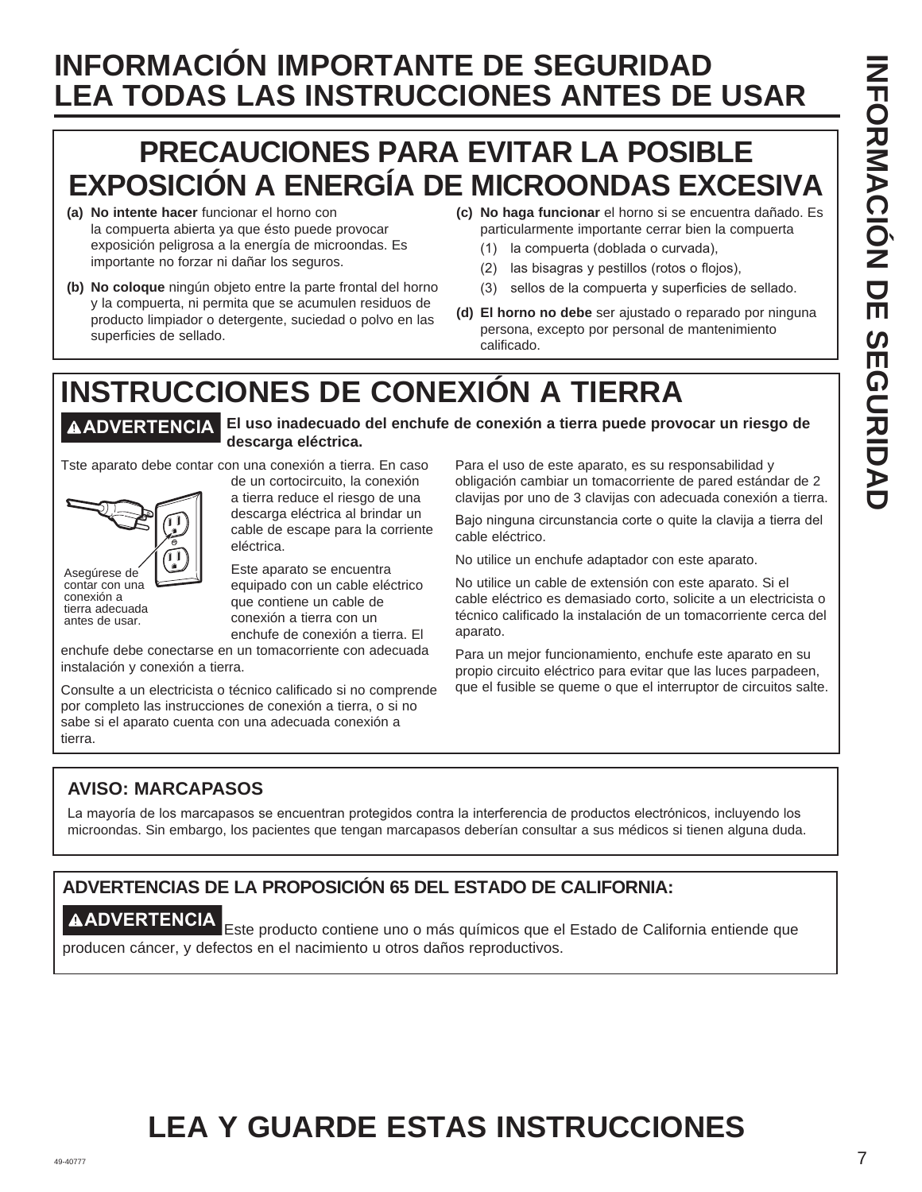# **INFORMACIÓN IMPORTANTE DE SEGURIDAD LEA TODAS LAS INSTRUCCIONES ANTES DE USAR**

# **PRECAUCIONES PARA EVITAR LA POSIBLE EXPOSICIÓN A ENERGÍA DE MICROONDAS EXCESIVA**

- **(a) No intente hacer** funcionar el horno con la compuerta abierta ya que ésto puede provocar exposición peligrosa a la energía de microondas. Es importante no forzar ni dañar los seguros.
- **(b) No coloque** ningún objeto entre la parte frontal del horno y la compuerta, ni permita que se acumulen residuos de producto limpiador o detergente, suciedad o polvo en las superficies de sellado.
- **(c) No haga funcionar** el horno si se encuentra dañado. Es particularmente importante cerrar bien la compuerta
	- (1) la compuerta (doblada o curvada),
	- $(2)$  las bisagras y pestillos (rotos o flojos),
	- (3) sellos de la compuerta y superficies de sellado.
- **(d) El horno no debe** ser ajustado o reparado por ninguna persona, excepto por personal de mantenimiento calificado.

# **INSTRUCCIONES DE CONEXIÓN A TIERRA**

**ADVERTENCIA El uso inadecuado del enchufe de conexión a tierra puede provocar un riesgo de descarga eléctrica.**

Tste aparato debe contar con una conexión a tierra. En caso



conexión a tierra adecuada antes de usar.

de un cortocircuito, la conexión a tierra reduce el riesgo de una descarga eléctrica al brindar un cable de escape para la corriente eléctrica.

Este aparato se encuentra equipado con un cable eléctrico que contiene un cable de conexión a tierra con un enchufe de conexión a tierra. El

enchufe debe conectarse en un tomacorriente con adecuada instalación y conexión a tierra.

Consulte a un electricista o técnico calificado si no comprende por completo las instrucciones de conexión a tierra, o si no sabe si el aparato cuenta con una adecuada conexión a tierra.

Para el uso de este aparato, es su responsabilidad y obligación cambiar un tomacorriente de pared estándar de 2 clavijas por uno de 3 clavijas con adecuada conexión a tierra.

Bajo ninguna circunstancia corte o quite la clavija a tierra del cable eléctrico.

No utilice un enchufe adaptador con este aparato.

No utilice un cable de extensión con este aparato. Si el cable eléctrico es demasiado corto, solicite a un electricista o técnico calificado la instalación de un tomacorriente cerca del aparato.

Para un mejor funcionamiento, enchufe este aparato en su propio circuito eléctrico para evitar que las luces parpadeen, que el fusible se queme o que el interruptor de circuitos salte.

#### **AVISO: MARCAPASOS**

La mayoría de los marcapasos se encuentran protegidos contra la interferencia de productos electrónicos, incluyendo los microondas. Sin embargo, los pacientes que tengan marcapasos deberían consultar a sus médicos si tienen alguna duda.

# **ADVERTENCIAS DE LA PROPOSICIÓN 65 DEL ESTADO DE CALIFORNIA:**

**ADVERTENCIA** Este producto contiene uno o más químicos que el Estado de California entiende que producen cáncer, y defectos en el nacimiento u otros daños reproductivos.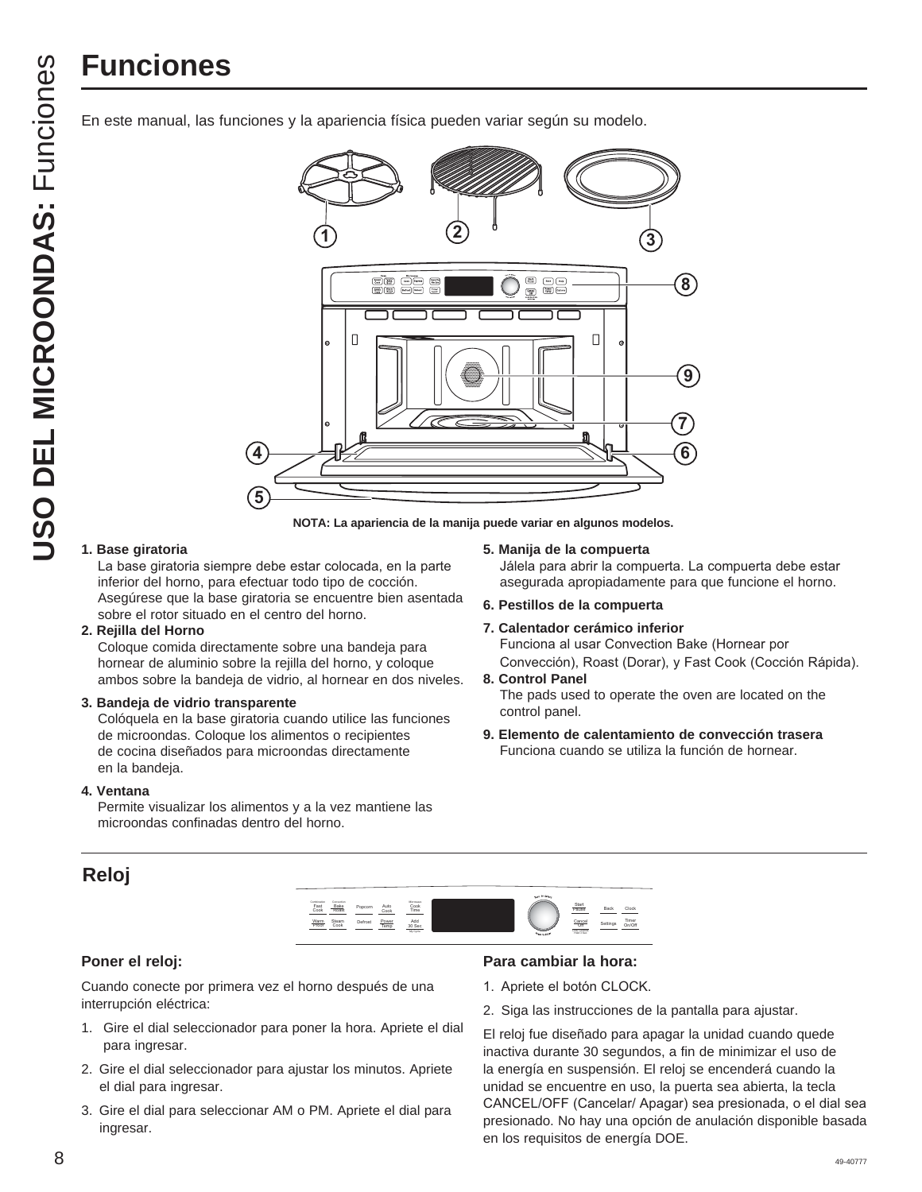# **Funciones**

En este manual, las funciones y la apariencia física pueden variar según su modelo.



**NOTA: La apariencia de la manija puede variar en algunos modelos.**

#### **1. Base giratoria**

La base giratoria siempre debe estar colocada, en la parte inferior del horno, para efectuar todo tipo de cocción. Asegúrese que la base giratoria se encuentre bien asentada sobre el rotor situado en el centro del horno.

#### **2. Rejilla del Horno**

Coloque comida directamente sobre una bandeja para hornear de aluminio sobre la rejilla del horno, y coloque ambos sobre la bandeja de vidrio, al hornear en dos niveles.

#### **3. Bandeja de vidrio transparente**

 Colóquela en la base giratoria cuando utilice las funciones de microondas. Coloque los alimentos o recipientes de cocina diseñados para microondas directamente en la bandeja.

#### **4. Ventana**

**Reloj** 

 Permite visualizar los alimentos y a la vez mantiene las microondas confinadas dentro del horno.

#### **5. Manija de la compuerta**

Jálela para abrir la compuerta. La compuerta debe estar asegurada apropiadamente para que funcione el horno.

#### **6. Pestillos de la compuerta**

#### **7. Calentador cerámico inferior** Funciona al usar Convection Bake (Hornear por Convección), Roast (Dorar), y Fast Cook (Cocción Rápida).

#### **8. Control Panel**

 The pads used to operate the oven are located on the control panel.

**9. Elemento de calentamiento de convección trasera** Funciona cuando se utiliza la función de hornear.



#### **Poner el reloj:**

Cuando conecte por primera vez el horno después de una interrupción eléctrica:

- 1. Gire el dial seleccionador para poner la hora. Apriete el dial para ingresar.
- 2. Gire el dial seleccionador para ajustar los minutos. Apriete el dial para ingresar.
- 3. Gire el dial para seleccionar AM o PM. Apriete el dial para ingresar.

#### **Para cambiar la hora:**

- 1. Apriete el botón CLOCK.
- 2. Siga las instrucciones de la pantalla para ajustar.

El reloj fue diseñado para apagar la unidad cuando quede inactiva durante 30 segundos, a fin de minimizar el uso de la energía en suspensión. El reloj se encenderá cuando la unidad se encuentre en uso, la puerta sea abierta, la tecla CANCEL/OFF (Cancelar/ Apagar) sea presionada, o el dial sea presionado. No hay una opción de anulación disponible basada en los requisitos de energía DOE.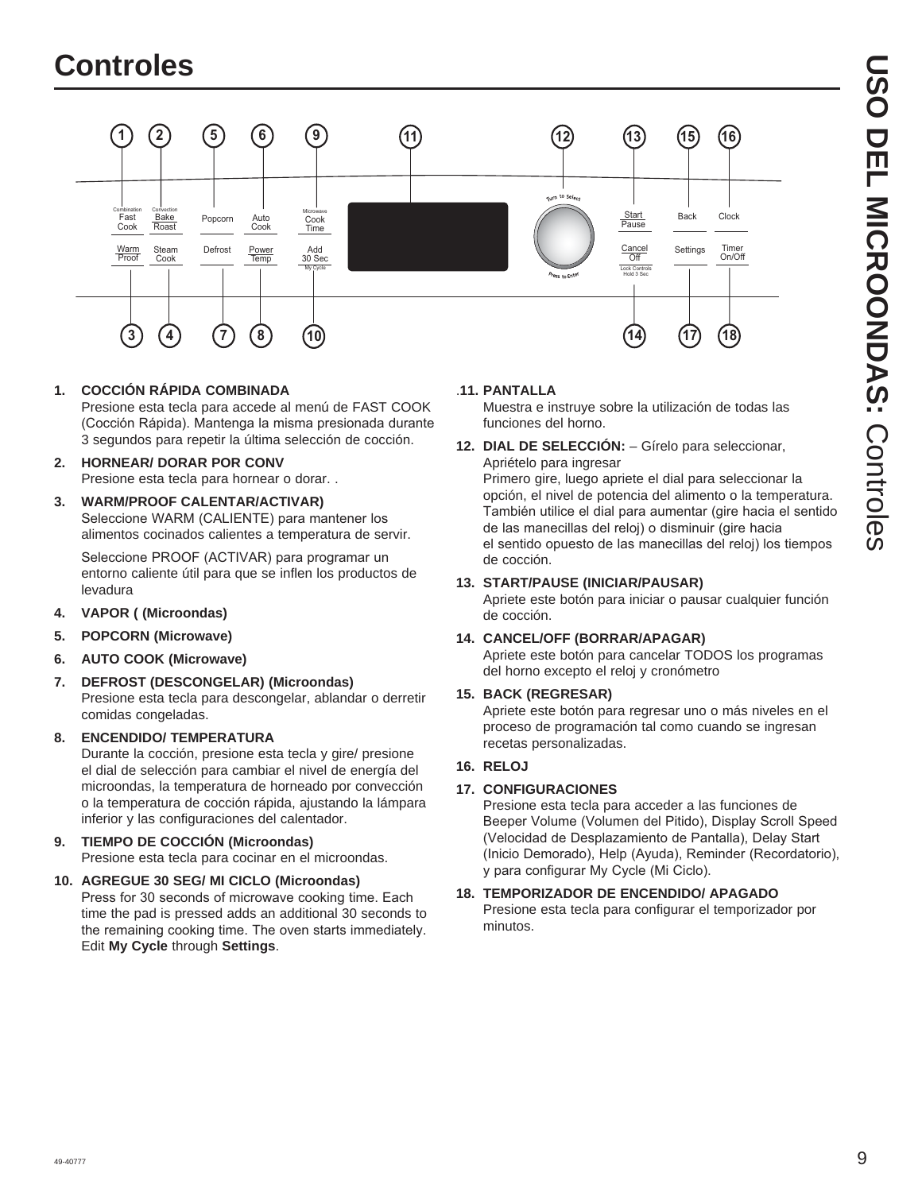

**1. COCCIÓN RÁPIDA COMBINADA** 

Presione esta tecla para accede al menú de FAST COOK (Cocción Rápida). Mantenga la misma presionada durante 3 segundos para repetir la última selección de cocción.

- **2. HORNEAR/ DORAR POR CONV**  Presione esta tecla para hornear o dorar. .
- **3. WARM/PROOF CALENTAR/ACTIVAR)**  Seleccione WARM (CALIENTE) para mantener los alimentos cocinados calientes a temperatura de servir.

Seleccione PROOF (ACTIVAR) para programar un entorno caliente útil para que se inflen los productos de levadura

- **4. VAPOR ( (Microondas)**
- **5. POPCORN (Microwave)**
- **6. AUTO COOK (Microwave)**
- **7. DEFROST (DESCONGELAR) (Microondas)** Presione esta tecla para descongelar, ablandar o derretir comidas congeladas.

#### **8. ENCENDIDO/ TEMPERATURA**

Durante la cocción, presione esta tecla y gire/ presione el dial de selección para cambiar el nivel de energía del microondas, la temperatura de horneado por convección o la temperatura de cocción rápida, ajustando la lámpara inferior y las configuraciones del calentador.

#### **9. TIEMPO DE COCCIÓN (Microondas)**

Presione esta tecla para cocinar en el microondas.

#### **10. AGREGUE 30 SEG/ MI CICLO (Microondas)**  Press for 30 seconds of microwave cooking time. Each time the pad is pressed adds an additional 30 seconds to the remaining cooking time. The oven starts immediately. Edit **My Cycle** through **Settings**.

#### .**11. PANTALLA**

Muestra e instruye sobre la utilización de todas las funciones del horno.

**12. DIAL DE SELECCIÓN:** – Gírelo para seleccionar, Apriételo para ingresar

Primero gire, luego apriete el dial para seleccionar la opción, el nivel de potencia del alimento o la temperatura. También utilice el dial para aumentar (gire hacia el sentido de las manecillas del reloj) o disminuir (gire hacia el sentido opuesto de las manecillas del reloj) los tiempos de cocción.

#### **13. START/PAUSE (INICIAR/PAUSAR)**

Apriete este botón para iniciar o pausar cualquier función de cocción.

#### **14. CANCEL/OFF (BORRAR/APAGAR)**

Apriete este botón para cancelar TODOS los programas del horno excepto el reloj y cronómetro

#### **15. BACK (REGRESAR)**

Apriete este botón para regresar uno o más niveles en el proceso de programación tal como cuando se ingresan recetas personalizadas.

#### **16. RELOJ**

#### **17. CONFIGURACIONES**

Presione esta tecla para acceder a las funciones de Beeper Volume (Volumen del Pitido), Display Scroll Speed (Velocidad de Desplazamiento de Pantalla), Delay Start (Inicio Demorado), Help (Ayuda), Reminder (Recordatorio), y para configurar My Cycle (Mi Ciclo).

#### **18. TEMPORIZADOR DE ENCENDIDO/ APAGADO**

Presione esta tecla para configurar el temporizador por minutos.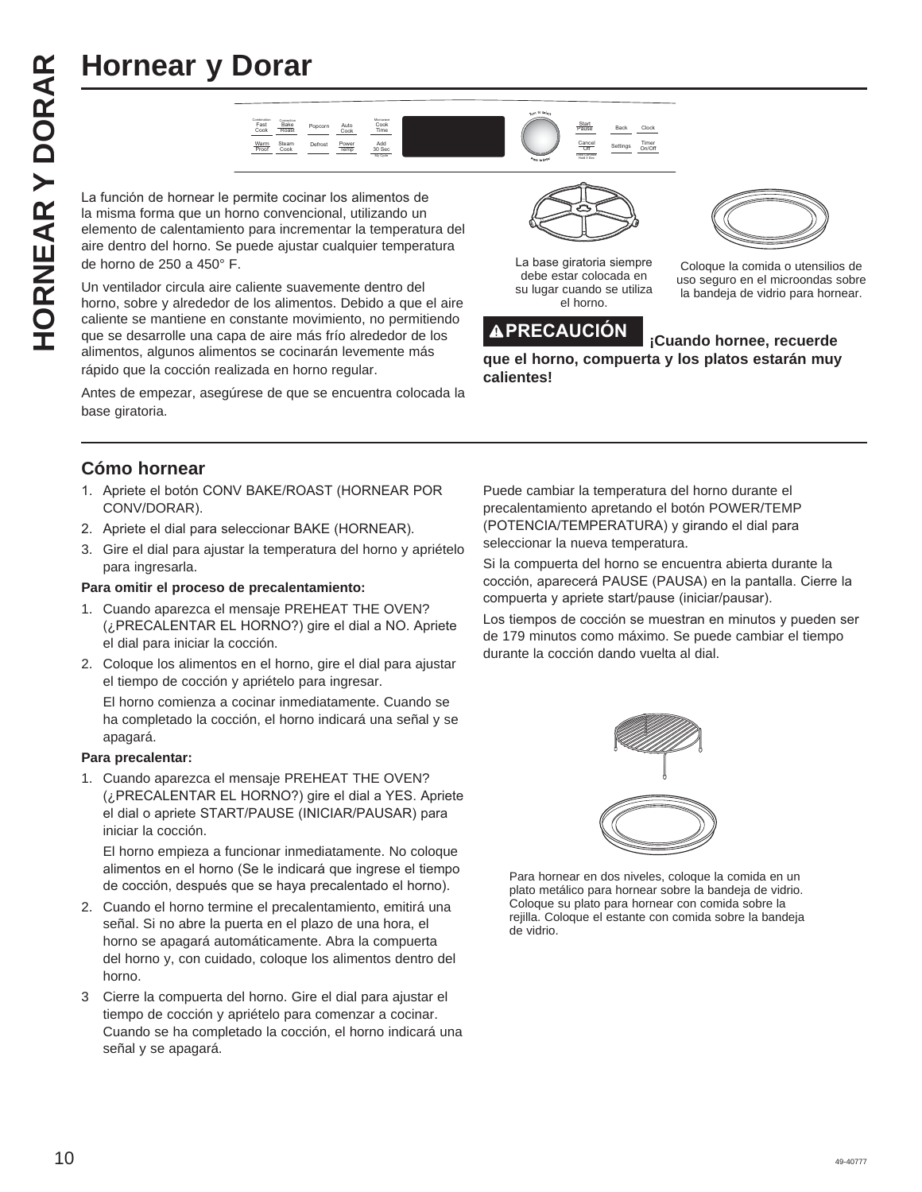# **Hornear y Dorar**



**Hornear y Dorar**<br> **Hornes are all the second of the second of the second of the second of the second of the second of the second of the second of the second of the second of the second of the second of the second of the s** la misma forma que un horno convencional, utilizando un elemento de calentamiento para incrementar la temperatura del aire dentro del horno. Se puede ajustar cualquier temperatura de horno de 250 a 450° F.

Un ventilador circula aire caliente suavemente dentro del horno, sobre y alrededor de los alimentos. Debido a que el aire caliente se mantiene en constante movimiento, no permitiendo que se desarrolle una capa de aire más frío alrededor de los alimentos, algunos alimentos se cocinarán levemente más rápido que la cocción realizada en horno regular.

Antes de empezar, asegúrese de que se encuentra colocada la base giratoria.



La base giratoria siempre debe estar colocada en su lugar cuando se utiliza el horno.





Coloque la comida o utensilios de uso seguro en el microondas sobre la bandeja de vidrio para hornear.

**que el horno, compuerta y los platos estarán muy calientes!**

#### **Cómo hornear**

- 1. Apriete el botón CONV BAKE/ROAST (HORNEAR POR CONV/DORAR
- 2. Apriete el dial para seleccionar BAKE (HORNEAR).
- 3. Gire el dial para ajustar la temperatura del horno y apriételo para ingresarla.

#### **Para omitir el proceso de precalentamiento:**

- 1. Cuando aparezca el mensaje PREHEAT THE OVEN? (¿PRECALENTAR EL HORNO?) gire el dial a NO. Apriete el dial para iniciar la cocción.
- 2. Coloque los alimentos en el horno, gire el dial para ajustar el tiempo de cocción y apriételo para ingresar.

 El horno comienza a cocinar inmediatamente. Cuando se ha completado la cocción, el horno indicará una señal y se apagará.

#### **Para precalentar:**

1. Cuando aparezca el mensaje PREHEAT THE OVEN? (¿PRECALENTAR EL HORNO?) gire el dial a YES. Apriete el dial o apriete START/PAUSE (INICIAR/PAUSAR) para iniciar la cocción.

 El horno empieza a funcionar inmediatamente. No coloque alimentos en el horno (Se le indicará que ingrese el tiempo de cocción, después que se haya precalentado el horno).

- 2. Cuando el horno termine el precalentamiento, emitirá una señal. Si no abre la puerta en el plazo de una hora, el horno se apagará automáticamente. Abra la compuerta del horno y, con cuidado, coloque los alimentos dentro del horno.
- 3 Cierre la compuerta del horno. Gire el dial para ajustar el tiempo de cocción y apriételo para comenzar a cocinar. Cuando se ha completado la cocción, el horno indicará una señal y se apagará.

Puede cambiar la temperatura del horno durante el precalentamiento apretando el botón POWER/TEMP (POTENCIA/TEMPERATURA) y girando el dial para seleccionar la nueva temperatura.

Si la compuerta del horno se encuentra abierta durante la cocción, aparecerá PAUSE (PAUSA) en la pantalla. Cierre la compuerta y apriete start/pause (iniciar/pausar).

Los tiempos de cocción se muestran en minutos y pueden ser de 179 minutos como máximo. Se puede cambiar el tiempo durante la cocción dando vuelta al dial.



Para hornear en dos niveles, coloque la comida en un plato metálico para hornear sobre la bandeja de vidrio. Coloque su plato para hornear con comida sobre la rejilla. Coloque el estante con comida sobre la bandeja de vidrio.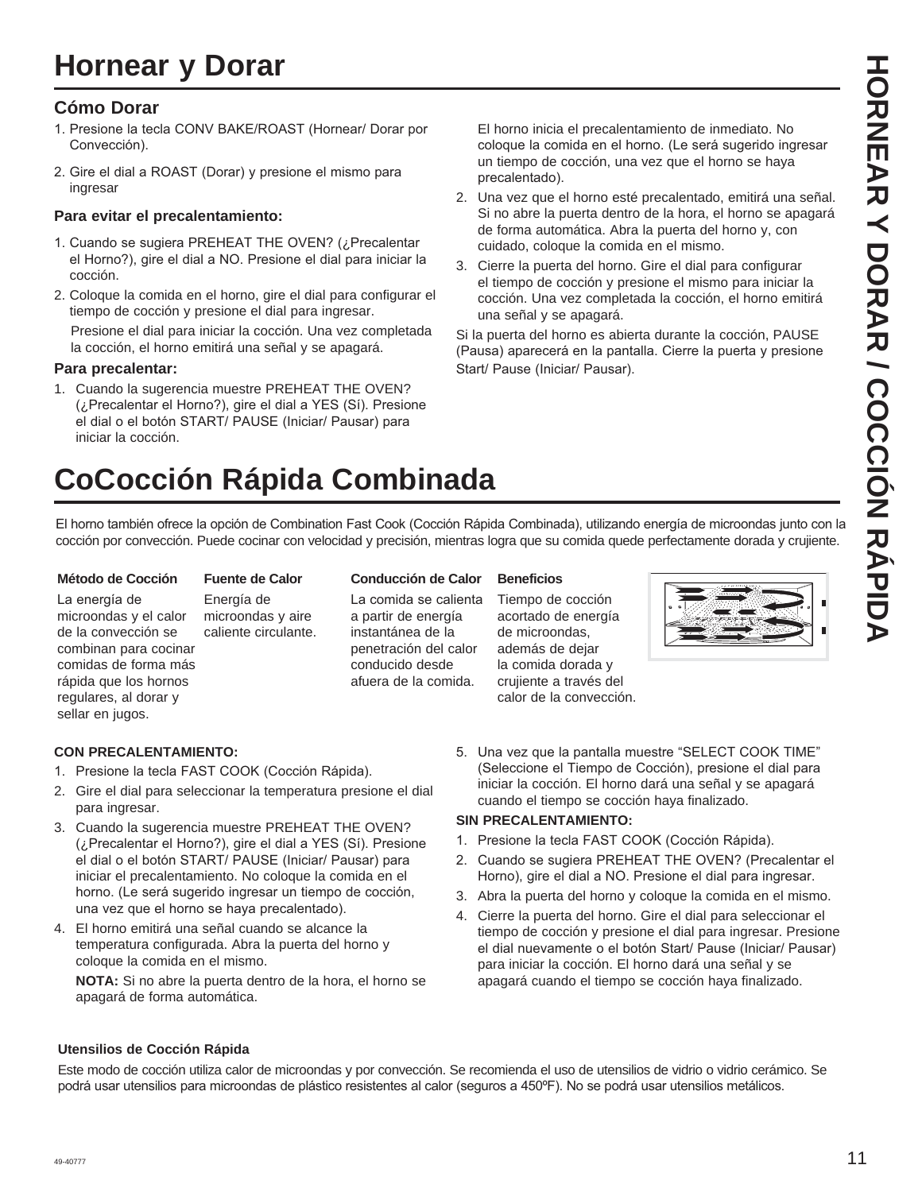# **Hornear y Dorar**

#### **Cómo Dorar**

- 1. Presione la tecla CONV BAKE/ROAST (Hornear/ Dorar por Convección).
- 2. Gire el dial a ROAST (Dorar) y presione el mismo para ingresar

#### **Para evitar el precalentamiento:**

- 1. Cuando se sugiera PREHEAT THE OVEN? (¿Precalentar el Horno?), gire el dial a NO. Presione el dial para iniciar la cocción.
- 2. Coloque la comida en el horno, gire el dial para configurar el tiempo de cocción y presione el dial para ingresar.

 Presione el dial para iniciar la cocción. Una vez completada la cocción, el horno emitirá una señal y se apagará.

#### **Para precalentar:**

1. Cuando la sugerencia muestre PREHEAT THE OVEN? (¿Precalentar el Horno?), gire el dial a YES (Sí). Presione el dial o el botón START/ PAUSE (Iniciar/ Pausar) para iniciar la cocción.

 El horno inicia el precalentamiento de inmediato. No coloque la comida en el horno. (Le será sugerido ingresar un tiempo de cocción, una vez que el horno se haya precalentado).

- 2. Una vez que el horno esté precalentado, emitirá una señal. Si no abre la puerta dentro de la hora, el horno se apagará de forma automática. Abra la puerta del horno y, con cuidado, coloque la comida en el mismo.
- 3. Cierre la puerta del horno. Gire el dial para configurar el tiempo de cocción y presione el mismo para iniciar la cocción. Una vez completada la cocción, el horno emitirá una señal y se apagará.

Si la puerta del horno es abierta durante la cocción, PAUSE (Pausa) aparecerá en la pantalla. Cierre la puerta y presione Start/ Pause (Iniciar/ Pausar).

# **CoCocción Rápida Combinada**

El horno también ofrece la opción de Combination Fast Cook (Cocción Rápida Combinada), utilizando energía de microondas junto con la cocción por convección. Puede cocinar con velocidad y precisión, mientras logra que su comida quede perfectamente dorada y crujiente.

#### **Método de Cocción**

La energía de microondas y el calor de la convección se combinan para cocinar comidas de forma más rápida que los hornos regulares, al dorar y sellar en jugos.

**Fuente de Calor**  Energía de microondas y aire

caliente circulante.

#### **Conducción de Calor**  La comida se calienta a partir de energía instantánea de la penetración del calor conducido desde afuera de la comida.

#### **Beneficios**

Tiempo de cocción acortado de energía de microondas, además de dejar la comida dorada y crujiente a través del calor de la convección.



#### **CON PRECALENTAMIENTO:**

- 1. Presione la tecla FAST COOK (Cocción Rápida).
- 2. Gire el dial para seleccionar la temperatura presione el dial para ingresar.
- 3. Cuando la sugerencia muestre PREHEAT THE OVEN? (¿Precalentar el Horno?), gire el dial a YES (Sí). Presione el dial o el botón START/ PAUSE (Iniciar/ Pausar) para iniciar el precalentamiento. No coloque la comida en el horno. (Le será sugerido ingresar un tiempo de cocción, una vez que el horno se haya precalentado).
- 4. El horno emitirá una señal cuando se alcance la temperatura configurada. Abra la puerta del horno y coloque la comida en el mismo.

 **NOTA:** Si no abre la puerta dentro de la hora, el horno se apagará de forma automática.

5. Una vez que la pantalla muestre "SELECT COOK TIME" (Seleccione el Tiempo de Cocción), presione el dial para iniciar la cocción. El horno dará una señal y se apagará cuando el tiempo se cocción haya finalizado.

#### **SIN PRECALENTAMIENTO:**

- 1. Presione la tecla FAST COOK (Cocción Rápida).
- 2. Cuando se sugiera PREHEAT THE OVEN? (Precalentar el Horno), gire el dial a NO. Presione el dial para ingresar.
- 3. Abra la puerta del horno y coloque la comida en el mismo.
- 4. Cierre la puerta del horno. Gire el dial para seleccionar el tiempo de cocción y presione el dial para ingresar. Presione el dial nuevamente o el botón Start/ Pause (Iniciar/ Pausar) para iniciar la cocción. El horno dará una señal y se apagará cuando el tiempo se cocción haya finalizado.

#### **Utensilios de Cocción Rápida**

Este modo de cocción utiliza calor de microondas y por convección. Se recomienda el uso de utensilios de vidrio o vidrio cerámico. Se podrá usar utensilios para microondas de plástico resistentes al calor (seguros a 450°F). No se podrá usar utensilios metálicos.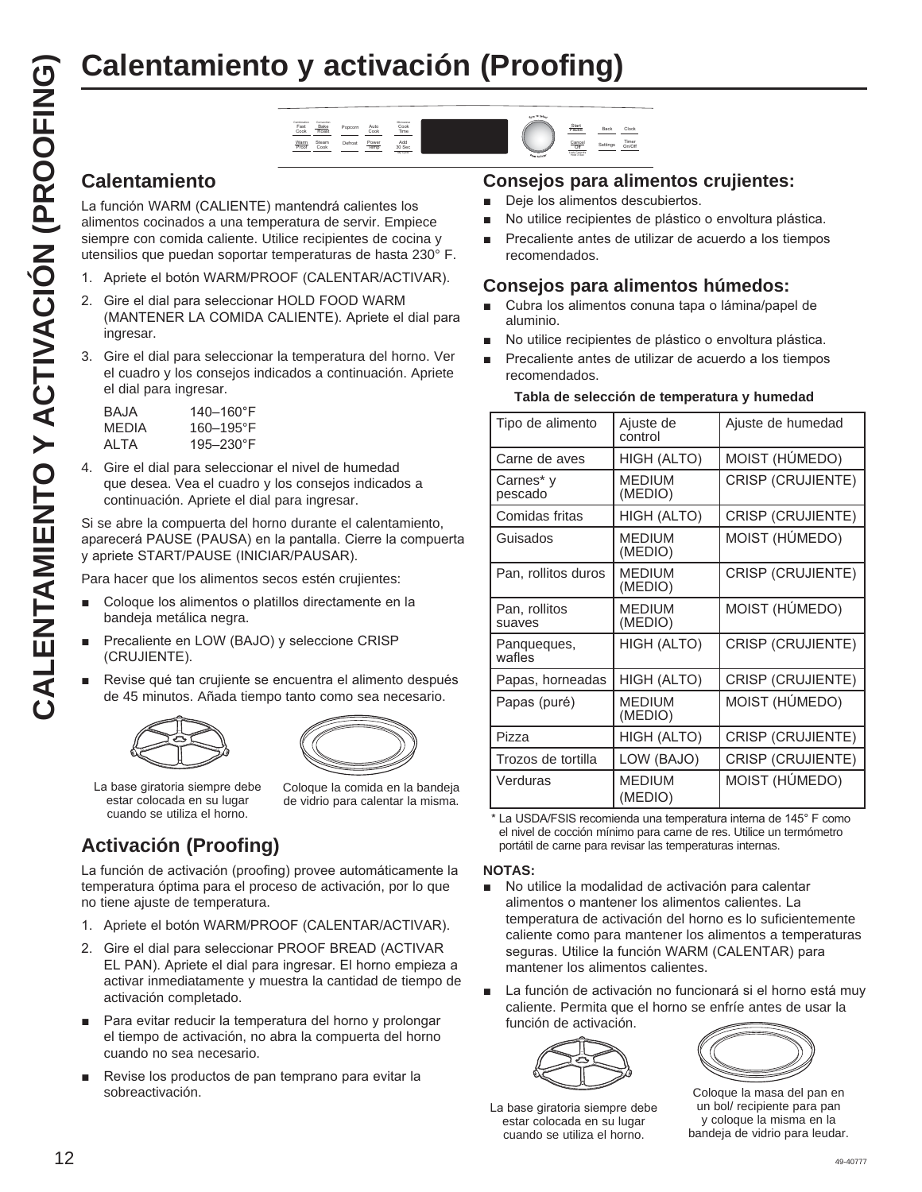# **Calentamiento y activación (Proofing)**

#### Fast Cook Convection Bake Rake Popcorn Auto<br>Roast Cool Cook Warm <u>Warm</u> Steam Defrost <mark>Power</mark> Add<br>Proof Cook - Temp 30 Se 30 Sec Cook Time Steam Cook

La función WARM (CALIENTE) mantendrá calientes los alimentos cocinados a una temperatura de servir. Empiece siempre con comida caliente. Utilice recipientes de cocina y utensilios que puedan soportar temperaturas de hasta 230° F.

- 1. Apriete el botón WARM/PROOF (CALENTAR/ACTIVAR).
- Gire el dial para seleccionar HOLD FOOD WARM (MANTENER LA COMIDA CALIENTE). Apriete el dial para ingresar.
- 3. Gire el dial para seleccionar la temperatura del horno. Ver el cuadro y los consejos indicados a continuación. Apriete el dial para ingresar.

| BAJA  | 140–160°F      |
|-------|----------------|
| MEDIA | $160 - 195$ °F |
| AI TA | $195 - 230$ °F |

4. Gire el dial para seleccionar el nivel de humedad que desea. Vea el cuadro y los consejos indicados a continuación. Apriete el dial para ingresar.

Si se abre la compuerta del horno durante el calentamiento, aparecerá PAUSE (PAUSA) en la pantalla. Cierre la compuerta y apriete START/PAUSE (INICIAR/PAUSAR).

Para hacer que los alimentos secos estén crujientes:

- Coloque los alimentos o platillos directamente en la bandeja metálica negra.
- Precaliente en LOW (BAJO) y seleccione CRISP (CRUJIENTE).
- Revise qué tan crujiente se encuentra el alimento después de 45 minutos. Añada tiempo tanto como sea necesario.





La base giratoria siempre debe estar colocada en su lugar cuando se utiliza el horno.

Coloque la comida en la bandeja de vidrio para calentar la misma.

# **Activación (Proofing)**

La función de activación (proofing) provee automáticamente la temperatura óptima para el proceso de activación, por lo que no tiene ajuste de temperatura.

- 1. Apriete el botón WARM/PROOF (CALENTAR/ACTIVAR).
- 2. Gire el dial para seleccionar PROOF BREAD (ACTIVAR EL PAN). Apriete el dial para ingresar. El horno empieza a activar inmediatamente y muestra la cantidad de tiempo de activación completado.
- Para evitar reducir la temperatura del horno y prolongar el tiempo de activación, no abra la compuerta del horno cuando no sea necesario.
- Revise los productos de pan temprano para evitar la sobreactivación.

#### **Consejos para alimentos crujientes:**

**•** Deje los alimentos descubiertos.

Back Settings Timer Clock

Start Pause Cancel<br>Off<br>Lock Controls

- No utilice recipientes de plástico o envoltura plástica.
- Precaliente antes de utilizar de acuerdo a los tiempos recomendados.

#### **Consejos para alimentos húmedos:**

- Cubra los alimentos conuna tapa o lámina/papel de aluminio.
- No utilice recipientes de plástico o envoltura plástica.
- $\blacksquare$  Precaliente antes de utilizar de acuerdo a los tiempos recomendados.

#### **Tabla de selección de temperatura y humedad**

| Tipo de alimento        | Ajuste de<br>control     | Ajuste de humedad        |
|-------------------------|--------------------------|--------------------------|
| Carne de aves           | HIGH (ALTO)              | MOIST (HÚMEDO)           |
| Carnes*y<br>pescado     | <b>MEDIUM</b><br>(MEDIO) | <b>CRISP (CRUJIENTE)</b> |
| Comidas fritas          | HIGH (ALTO)              | CRISP (CRUJIENTE)        |
| Guisados                | <b>MEDIUM</b><br>(MEDIO) | MOIST (HÚMEDO)           |
| Pan, rollitos duros     | <b>MEDIUM</b><br>(MEDIO) | <b>CRISP (CRUJIENTE)</b> |
| Pan, rollitos<br>suaves | <b>MEDIUM</b><br>(MEDIO) | MOIST (HÚMEDO)           |
| Panguegues,<br>wafles   | HIGH (ALTO)              | <b>CRISP (CRUJIENTE)</b> |
| Papas, horneadas        | HIGH (ALTO)              | CRISP (CRUJIENTE)        |
| Papas (puré)            | <b>MEDIUM</b><br>(MEDIO) | MOIST (HÚMEDO)           |
| Pizza                   | HIGH (ALTO)              | <b>CRISP (CRUJIENTE)</b> |
| Trozos de tortilla      | LOW (BAJO)               | <b>CRISP (CRUJIENTE)</b> |
| Verduras                | <b>MEDIUM</b><br>(MEDIO) | MOIST (HÚMEDO)           |

\* La USDA/FSIS recomienda una temperatura interna de 145° F como el nivel de cocción mínimo para carne de res. Utilice un termómetro portátil de carne para revisar las temperaturas internas.

#### **NOTAS:**

- No utilice la modalidad de activación para calentar alimentos o mantener los alimentos calientes. La temperatura de activación del horno es lo suficientemente caliente como para mantener los alimentos a temperaturas seguras. Utilice la función WARM (CALENTAR) para mantener los alimentos calientes.
- La función de activación no funcionará si el horno está muy caliente. Permita que el horno se enfríe antes de usar la función de activación.



La base giratoria siempre debe estar colocada en su lugar cuando se utiliza el horno.



Coloque la masa del pan en un bol/ recipiente para pan y coloque la misma en la bandeja de vidrio para leudar.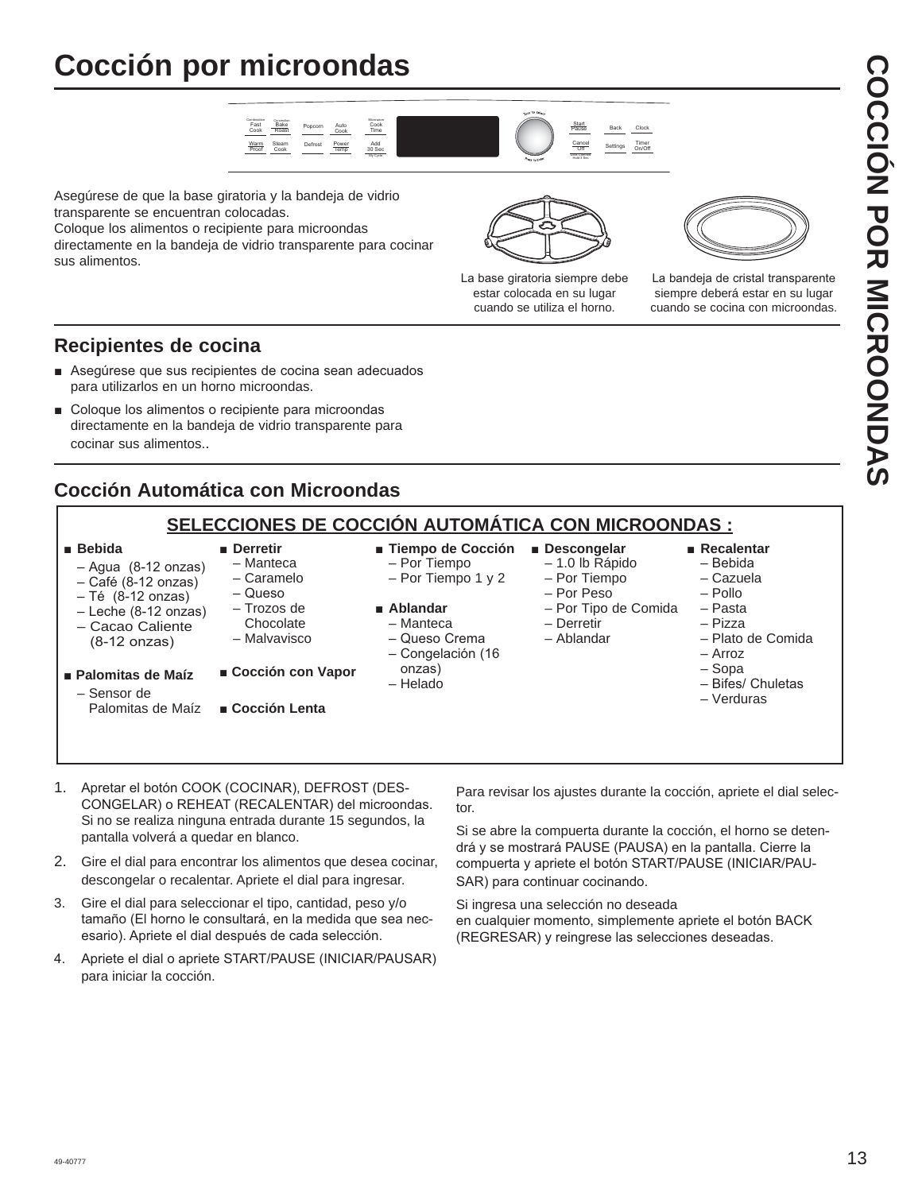# **Cocción por microondas**



Asegúrese de que la base giratoria y la bandeja de vidrio transparente se encuentran colocadas.

Coloque los alimentos o recipiente para microondas directamente en la bandeja de vidrio transparente para cocinar sus alimentos.



La base giratoria siempre debe estar colocada en su lugar cuando se utiliza el horno.



La bandeja de cristal transparente siempre deberá estar en su lugar cuando se cocina con microondas.

#### **Recipientes de cocina**

- Asequrese que sus recipientes de cocina sean adecuados para utilizarlos en un horno microondas.
- Coloque los alimentos o recipiente para microondas directamente en la bandeja de vidrio transparente para cocinar sus alimentos..

#### **Cocción Automática con Microondas**

#### **SELECCIONES DE COCCIÓN AUTOMÁTICA CON MICROONDAS :** Ŷ**Bebida**   $-$  Agua (8-12 onzas) - Café (8-12 onzas)  $-$  Té  $(8-12 \text{ onzas})$ - Leche (8-12 onzas) – Cacao Caliente  $(8-12 \text{ onzas})$ Ŷ**Palomitas de Maíz**  – Sensor de Palomitas de Maíz **Derretir**  – Manteca – Caramelo  $\overline{\Omega}$  – Trozos de **Chocolate**  – Malvavisco ■ Cocción con Vapor Ŷ**Cocción Lenta Fiempo de Cocción**  – Por Tiempo – Por Tiempo 1 y 2 **Ablandar**  – Manteca - Queso Crema - Congelación (16 onzas) – Helado **Descongelar**  – 1.0 lb Rápido – Por Tiempo – Por Peso – Por Tipo de Comida – Derretir – Ablandar **Recalentar**  $-$ Bebida – Cazuela – Pollo – Pasta – Pizza – Plato de Comida – Arroz – Sopa  $-$  Bifes/ Chuletas – Verduras

- 1. Apretar el botón COOK (COCINAR), DEFROST (DES-CONGELAR) o REHEAT (RECALENTAR) del microondas. Si no se realiza ninguna entrada durante 15 segundos, la pantalla volverá a quedar en blanco.
- 2. Gire el dial para encontrar los alimentos que desea cocinar, descongelar o recalentar. Apriete el dial para ingresar.
- 3. Gire el dial para seleccionar el tipo, cantidad, peso y/o tamaño (El horno le consultará, en la medida que sea necesario). Apriete el dial después de cada selección.
- 4. Apriete el dial o apriete START/PAUSE (INICIAR/PAUSAR) para iniciar la cocción.

Para revisar los ajustes durante la cocción, apriete el dial selec tor.

Si se abre la compuerta durante la cocción, el horno se deten drá y se mostrará PAUSE (PAUSA) en la pantalla. Cierre la compuerta y apriete el botón START/PAUSE (INICIAR/PAU-SAR) para continuar cocinando.

Si ingresa una selección no deseada en cualquier momento, simplemente apriete el botón BACK (REGRESAR) y reingrese las selecciones deseadas.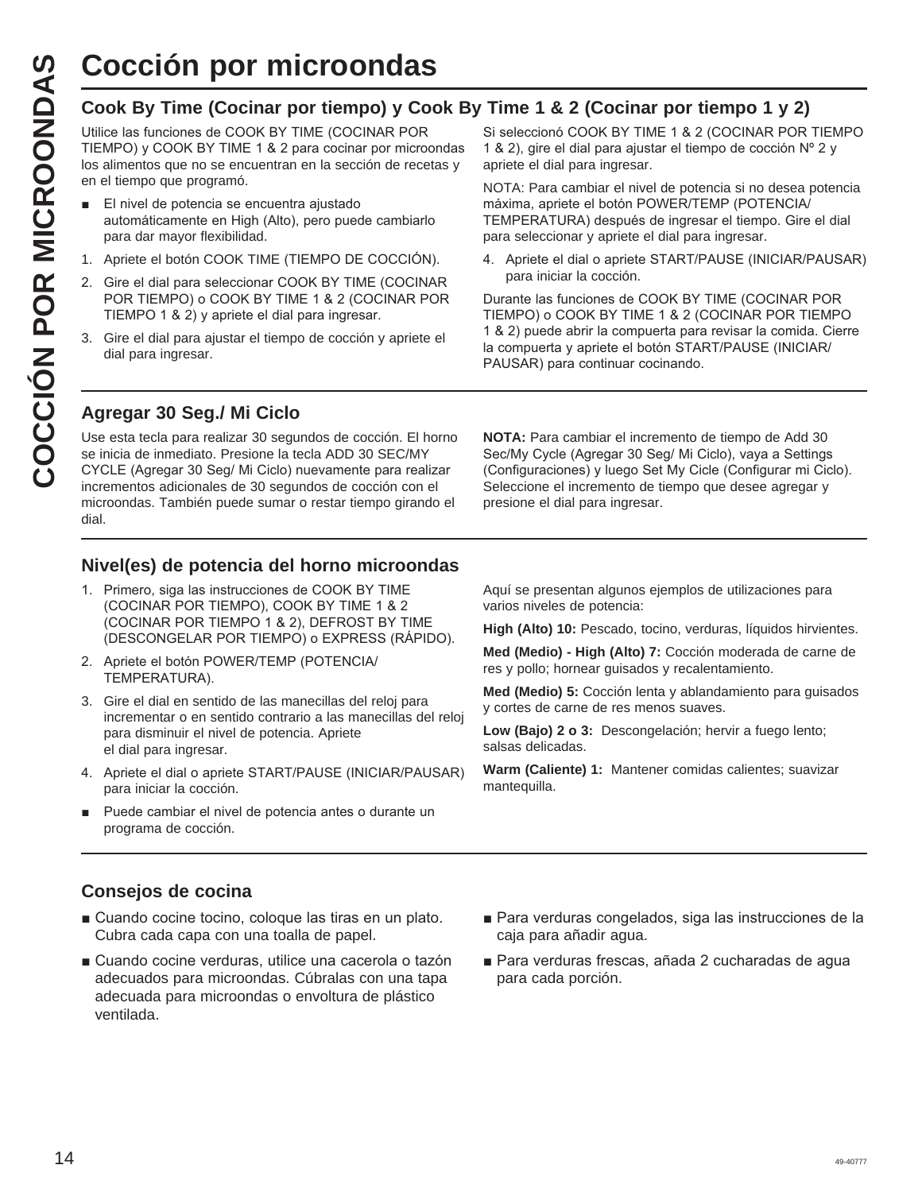#### **Cook By Time (Cocinar por tiempo) y Cook By Time 1 & 2 (Cocinar por tiempo 1 y 2)**

COCCIÓN POT MICTOONdas<br>
Cook By Time (Cocinar por tiempo) y Coc<br>
Utilice las funciones de COOK BY TIME (COCINAR POR<br>
TIEMPO) y COOK BY TIME 1 & 2 para cocinar por microor<br>
les alimentos que no se encuentran en la sección d Utilice las funciones de COOK BY TIME (COCINAR POR TIEMPO) y COOK BY TIME 1 & 2 para cocinar por microondas los alimentos que no se encuentran en la sección de recetas y en el tiempo que programó.

- El nivel de potencia se encuentra ajustado automáticamente en High (Alto), pero puede cambiarlo para dar mayor flexibilidad.
- 1. Apriete el botón COOK TIME (TIEMPO DE COCCIÓN).
- 2. Gire el dial para seleccionar COOK BY TIME (COCINAR POR TIEMPO) o COOK BY TIME 1 & 2 (COCINAR POR TIEMPO 1 & 2) y apriete el dial para ingresar.
- 3. Gire el dial para ajustar el tiempo de cocción y apriete el dial para ingresar.

Si seleccionó COOK BY TIME 1 & 2 (COCINAR POR TIEMPO 1 & 2), gire el dial para ajustar el tiempo de cocción Nº 2 y apriete el dial para ingresar.

NOTA: Para cambiar el nivel de potencia si no desea potencia máxima, apriete el botón POWER/TEMP (POTENCIA/ TEMPERATURA) después de ingresar el tiempo. Gire el dial para seleccionar y apriete el dial para ingresar.

4. Apriete el dial o apriete START/PAUSE (INICIAR/PAUSAR) para iniciar la cocción.

Durante las funciones de COOK BY TIME (COCINAR POR TIEMPO) o COOK BY TIME 1 & 2 (COCINAR POR TIEMPO 1 & 2) puede abrir la compuerta para revisar la comida. Cierre la compuerta y apriete el botón START/PAUSE (INICIAR/ PAUSAR) para continuar cocinando.

#### **Agregar 30 Seg./ Mi Ciclo**

Use esta tecla para realizar 30 segundos de cocción. El horno se inicia de inmediato. Presione la tecla ADD 30 SEC/MY CYCLE (Agregar 30 Seg/ Mi Ciclo) nuevamente para realizar incrementos adicionales de 30 segundos de cocción con el microondas. También puede sumar o restar tiempo girando el dial.

**NOTA:** Para cambiar el incremento de tiempo de Add 30 Sec/My Cycle (Agregar 30 Seg/ Mi Ciclo), vaya a Settings (Configuraciones) y luego Set My Cicle (Configurar mi Ciclo). Seleccione el incremento de tiempo que desee agregar y presione el dial para ingresar.

#### **Nivel(es) de potencia del horno microondas**

- 1. Primero, siga las instrucciones de COOK BY TIME (COCINAR POR TIEMPO), COOK BY TIME 1 & 2 (COCINAR POR TIEMPO 1 & 2), DEFROST BY TIME (DESCONGELAR POR TIEMPO) o EXPRESS (RÁPIDO).
- 2. Apriete el botón POWER/TEMP (POTENCIA/ TEMPERATURA).
- 3. Gire el dial en sentido de las manecillas del reloj para incrementar o en sentido contrario a las manecillas del reloj para disminuir el nivel de potencia. Apriete el dial para ingresar.
- 4. Apriete el dial o apriete START/PAUSE (INICIAR/PAUSAR) para iniciar la cocción.
- Puede cambiar el nivel de potencia antes o durante un programa de cocción.

Aquí se presentan algunos ejemplos de utilizaciones para varios niveles de potencia:

**High (Alto) 10:** Pescado, tocino, verduras, líquidos hirvientes.

**Med (Medio) - High (Alto) 7:** Cocción moderada de carne de res y pollo; hornear guisados y recalentamiento.

**Med (Medio) 5:** Cocción lenta y ablandamiento para guisados y cortes de carne de res menos suaves.

**Low (Bajo) 2 o 3:** Descongelación; hervir a fuego lento; salsas delicadas.

**Warm (Caliente) 1:** Mantener comidas calientes; suavizar mantequilla.

#### **Consejos de cocina**

- Cuando cocine tocino, cologue las tiras en un plato. Cubra cada capa con una toalla de papel.
- Cuando cocine verduras, utilice una cacerola o tazón adecuados para microondas. Cúbralas con una tapa adecuada para microondas o envoltura de plástico ventilada.
- Para verduras congelados, siga las instrucciones de la caja para añadir agua.
- Para verduras frescas, añada 2 cucharadas de agua para cada porción.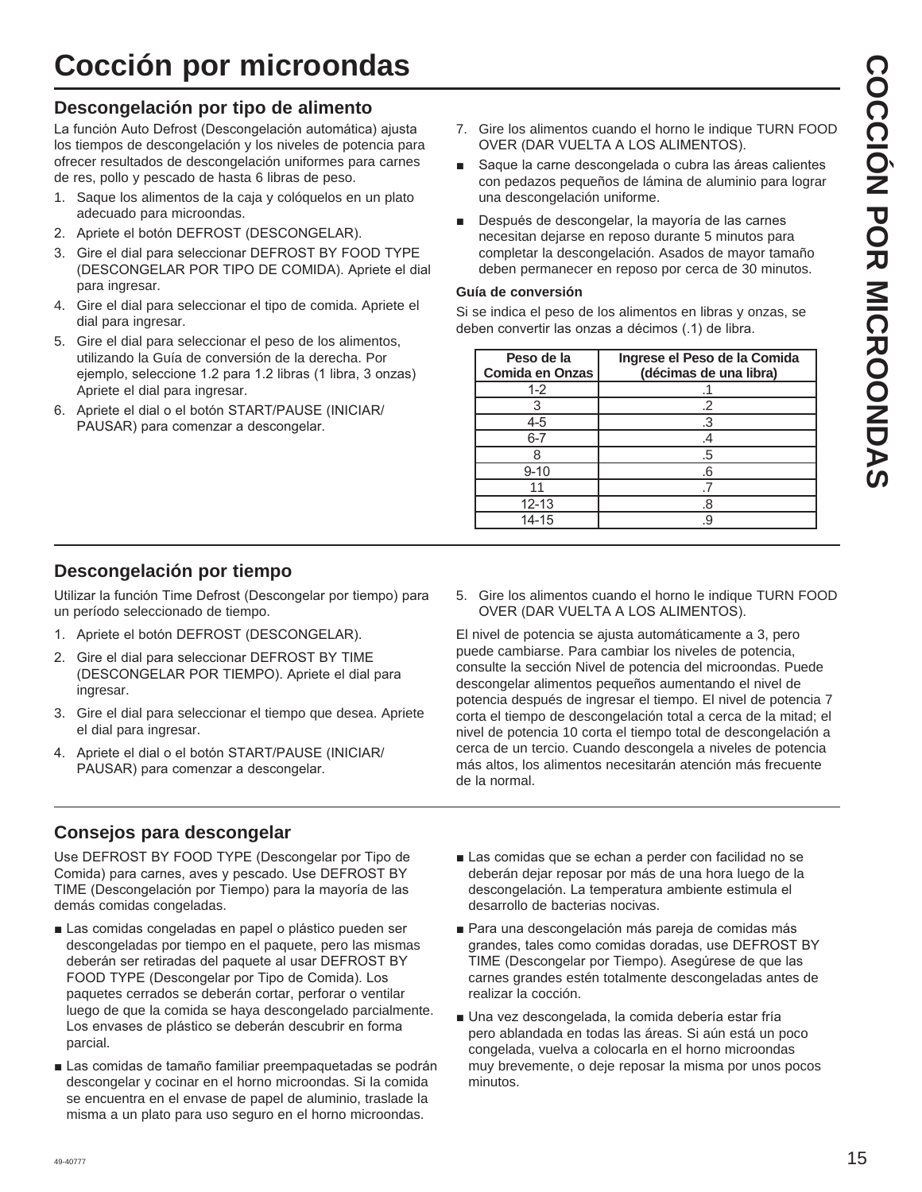# **Cocción por microondas**

#### **Descongelación por tipo de alimento**

La función Auto Defrost (Descongelación automática) ajusta los tiempos de descongelación y los niveles de potencia para ofrecer resultados de descongelación uniformes para carnes de res, pollo y pescado de hasta 6 libras de peso.

- 1. Saque los alimentos de la caja y colóquelos en un plato adecuado para microondas.
- 2. Apriete el botón DEFROST (DESCONGELAR).
- 3. Gire el dial para seleccionar DEFROST BY FOOD TYPE (DESCONGELAR POR TIPO DE COMIDA). Apriete el dial para ingresar.
- 4. Gire el dial para seleccionar el tipo de comida. Apriete el dial para ingresar.
- 5. Gire el dial para seleccionar el peso de los alimentos, utilizando la Guía de conversión de la derecha. Por ejemplo, seleccione 1.2 para 1.2 libras (1 libra, 3 onzas) Apriete el dial para ingresar.
- 6. Apriete el dial o el botón START/PAUSE (INICIAR/ PAUSAR) para comenzar a descongelar.
- 7. Gire los alimentos cuando el horno le indique TURN FOOD OVER (DAR VUELTA A LOS ALIMENTOS).
- Saque la carne descongelada o cubra las áreas calientes con pedazos pequeños de lámina de aluminio para lograr una descongelación uniforme.
- Después de descongelar, la mayoría de las carnes necesitan dejarse en reposo durante 5 minutos para completar la descongelación. Asados de mayor tamaño deben permanecer en reposo por cerca de 30 minutos.

#### **Guía de conversión**

Si se indica el peso de los alimentos en libras y onzas, se deben convertir las onzas a décimos (.1) de libra.

| Peso de la<br><b>Comida en Onzas</b> | Ingrese el Peso de la Comida<br>(décimas de una libra) |
|--------------------------------------|--------------------------------------------------------|
| $1 - 2$                              |                                                        |
|                                      |                                                        |
| 4-5                                  |                                                        |
| $6 - 7$                              |                                                        |
|                                      | .5                                                     |
| $9 - 10$                             | .6                                                     |
|                                      |                                                        |
| $12 - 13$                            | 8.                                                     |
| 14-15                                | .c                                                     |

#### **Descongelación por tiempo**

Utilizar la función Time Defrost (Descongelar por tiempo) para un período seleccionado de tiempo.

- 1. Apriete el botón DEFROST (DESCONGELAR).
- 2. Gire el dial para seleccionar DEFROST BY TIME (DESCONGELAR POR TIEMPO). Apriete el dial para ingresar.
- 3. Gire el dial para seleccionar el tiempo que desea. Apriete el dial para ingresar.
- 4. Apriete el dial o el botón START/PAUSE (INICIAR/ PAUSAR) para comenzar a descongelar.

5. Gire los alimentos cuando el horno le indique TURN FOOD OVER (DAR VUELTA A LOS ALIMENTOS).

El nivel de potencia se ajusta automáticamente a 3, pero puede cambiarse. Para cambiar los niveles de potencia, consulte la sección Nivel de potencia del microondas. Puede descongelar alimentos pequeños aumentando el nivel de potencia después de ingresar el tiempo. El nivel de potencia 7 corta el tiempo de descongelación total a cerca de la mitad; el nivel de potencia 10 corta el tiempo total de descongelación a cerca de un tercio. Cuando descongela a niveles de potencia más altos, los alimentos necesitarán atención más frecuente de la normal.

#### **Consejos para descongelar**

Use DEFROST BY FOOD TYPE (Descongelar por Tipo de Comida) para carnes, aves y pescado. Use DEFROST BY TIME (Descongelación por Tiempo) para la mayoría de las demás comidas congeladas.

- Las comidas congeladas en papel o plástico pueden ser descongeladas por tiempo en el paquete, pero las mismas deberán ser retiradas del paquete al usar DEFROST BY FOOD TYPE (Descongelar por Tipo de Comida). Los paquetes cerrados se deberán cortar, perforar o ventilar luego de que la comida se haya descongelado parcialmente. Los envases de plástico se deberán descubrir en forma parcial.
- Las comidas de tamaño familiar preempaquetadas se podrán descongelar y cocinar en el horno microondas. Si la comida se encuentra en el envase de papel de aluminio, traslade la misma a un plato para uso seguro en el horno microondas.
- Las comidas que se echan a perder con facilidad no se deberán dejar reposar por más de una hora luego de la descongelación. La temperatura ambiente estimula el desarrollo de bacterias nocivas.
- Para una descongelación más pareja de comidas más grandes, tales como comidas doradas, use DEFROST BY TIME (Descongelar por Tiempo). Asegúrese de que las carnes grandes estén totalmente descongeladas antes de realizar la cocción.
- Una vez descongelada, la comida debería estar fría pero ablandada en todas las áreas. Si aún está un poco congelada, vuelva a colocarla en el horno microondas muy brevemente, o deje reposar la misma por unos pocos minutos.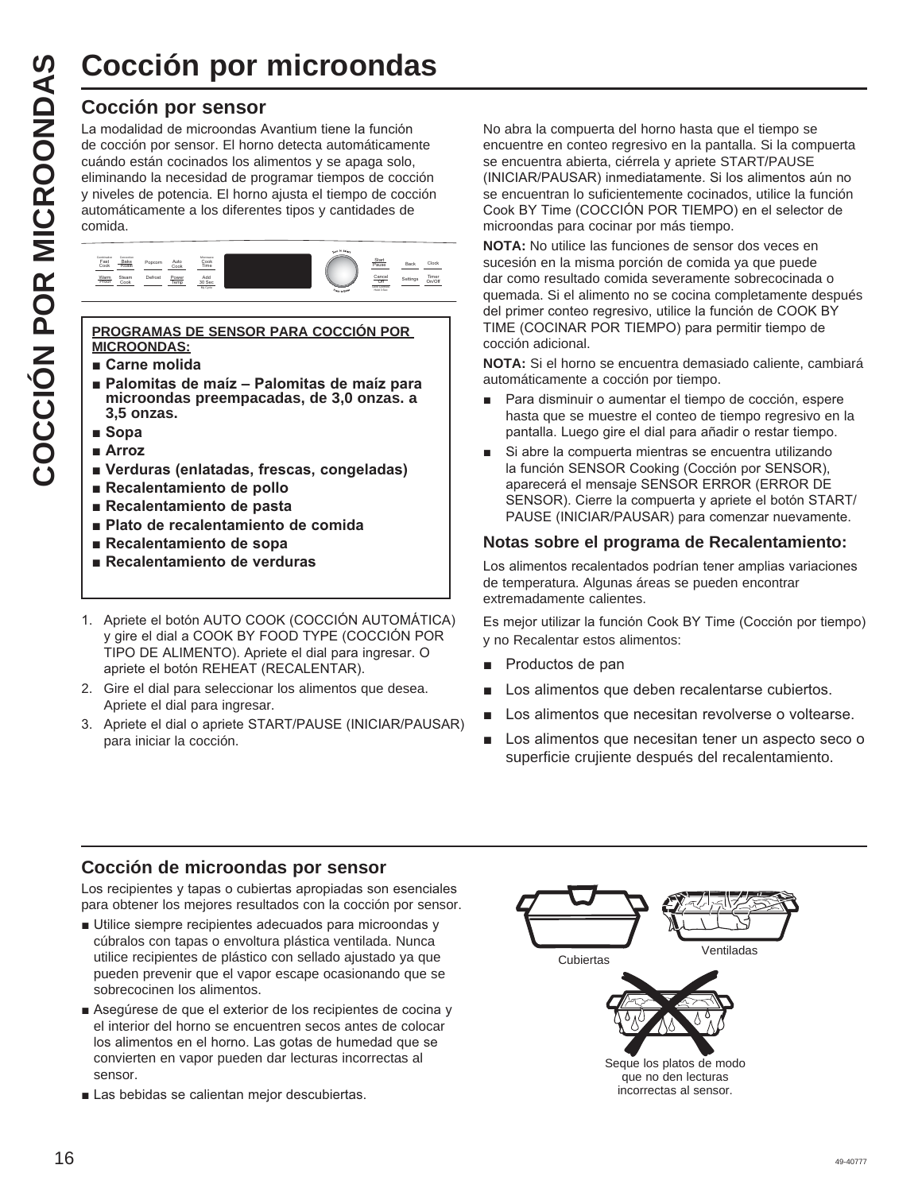#### **Cocción por sensor**

La modalidad de microondas Avantium tiene la función de cocción por sensor. El horno detecta automáticamente cuándo están cocinados los alimentos y se apaga solo, eliminando la necesidad de programar tiempos de cocción y niveles de potencia. El horno ajusta el tiempo de cocción automáticamente a los diferentes tipos y cantidades de comida.



#### **PROGRAMAS DE SENSOR PARA COCCIÓN POR MICROONDAS:**

- $\blacksquare$  Carne molida
- **E** Palomitas de maíz Palomitas de maíz para **microondas preempacadas, de 3,0 onzas. a 3,5 onzas.**
- **B** Sopa
- **B** Arroz
- **N** Verduras (enlatadas, frescas, congeladas)
- **Recalentamiento de pollo**
- **Recalentamiento de pasta**
- **Plato de recalentamiento de comida**
- **Recalentamiento de sopa**
- **Recalentamiento de verduras**
- 1. Apriete el botón AUTO COOK (COCCIÓN AUTOMÁTICA) y gire el dial a COOK BY FOOD TYPE (COCCIÓN POR TIPO DE ALIMENTO). Apriete el dial para ingresar. O apriete el botón REHEAT (RECALENTAR).
- 2. Gire el dial para seleccionar los alimentos que desea. Apriete el dial para ingresar.
- 3. Apriete el dial o apriete START/PAUSE (INICIAR/PAUSAR) para iniciar la cocción.

No abra la compuerta del horno hasta que el tiempo se encuentre en conteo regresivo en la pantalla. Si la compuerta se encuentra abierta, ciérrela y apriete START/PAUSE (INICIAR/PAUSAR) inmediatamente. Si los alimentos aún no se encuentran lo suficientemente cocinados, utilice la función Cook BY Time (COCCIÓN POR TIEMPO) en el selector de microondas para cocinar por más tiempo.

**NOTA:** No utilice las funciones de sensor dos veces en sucesión en la misma porción de comida ya que puede dar como resultado comida severamente sobrecocinada o quemada. Si el alimento no se cocina completamente después del primer conteo regresivo, utilice la función de COOK BY TIME (COCINAR POR TIEMPO) para permitir tiempo de cocción adicional.

**NOTA:** Si el horno se encuentra demasiado caliente, cambiará automáticamente a cocción por tiempo.

- Para disminuir o aumentar el tiempo de cocción, espere hasta que se muestre el conteo de tiempo regresivo en la pantalla. Luego gire el dial para añadir o restar tiempo.
- Si abre la compuerta mientras se encuentra utilizando la función SENSOR Cooking (Cocción por SENSOR), aparecerá el mensaje SENSOR ERROR (ERROR DE SENSOR). Cierre la compuerta y apriete el botón START/ PAUSE (INICIAR/PAUSAR) para comenzar nuevamente.

#### **Notas sobre el programa de Recalentamiento:**

Los alimentos recalentados podrían tener amplias variaciones de temperatura. Algunas áreas se pueden encontrar extremadamente calientes.

Es mejor utilizar la función Cook BY Time (Cocción por tiempo) y no Recalentar estos alimentos:

- **Productos de pan**
- **E** Los alimentos que deben recalentarse cubiertos.
- Los alimentos que necesitan revolverse o voltearse.
- **E** Los alimentos que necesitan tener un aspecto seco o superficie crujiente después del recalentamiento.

#### **Cocción de microondas por sensor**

Los recipientes y tapas o cubiertas apropiadas son esenciales para obtener los mejores resultados con la cocción por sensor.

- Utilice siempre recipientes adecuados para microondas y cúbralos con tapas o envoltura plástica ventilada. Nunca utilice recipientes de plástico con sellado ajustado ya que pueden prevenir que el vapor escape ocasionando que se sobrecocinen los alimentos.
- Asegúrese de que el exterior de los recipientes de cocina y el interior del horno se encuentren secos antes de colocar los alimentos en el horno. Las gotas de humedad que se convierten en vapor pueden dar lecturas incorrectas al sensor.
- Las bebidas se calientan mejor descubiertas.

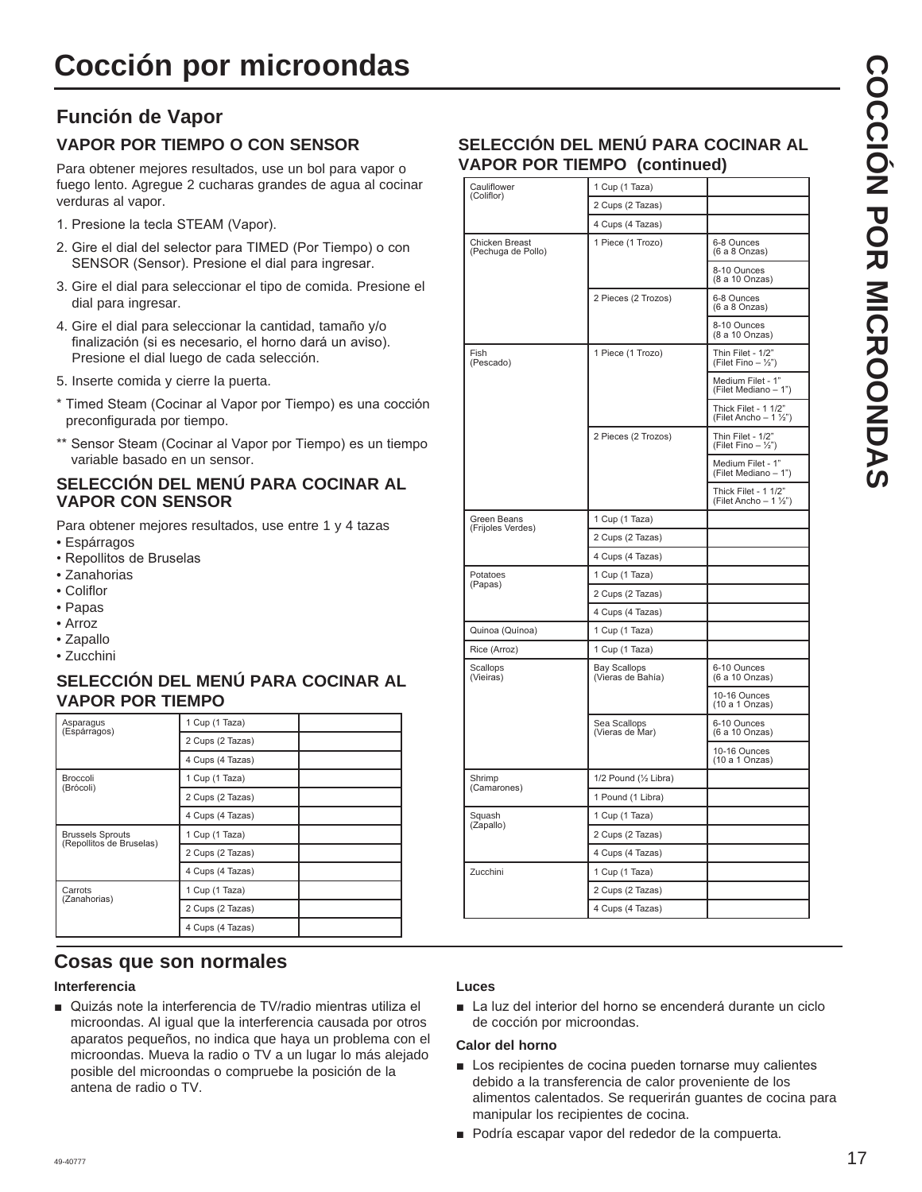#### **Función de Vapor VAPOR POR TIEMPO O CON SENSOR**

Para obtener mejores resultados, use un bol para vapor o fuego lento. Agregue 2 cucharas grandes de agua al cocinar verduras al vapor.

- 1. Presione la tecla STEAM (Vapor).
- 2. Gire el dial del selector para TIMED (Por Tiempo) o con SENSOR (Sensor). Presione el dial para ingresar.
- 3. Gire el dial para seleccionar el tipo de comida. Presione el dial para ingresar.
- 4. Gire el dial para seleccionar la cantidad, tamaño y/o finalización (si es necesario, el horno dará un aviso). Presione el dial luego de cada selección.
- 5. Inserte comida y cierre la puerta.
- \* Timed Steam (Cocinar al Vapor por Tiempo) es una cocción preconfigurada por tiempo.
- \*\* Sensor Steam (Cocinar al Vapor por Tiempo) es un tiempo variable basado en un sensor.

#### **SELECCIÓN DEL MENÚ PARA COCINAR AL VAPOR CON SENSOR**

Para obtener mejores resultados, use entre 1 y 4 tazas

- Espárragos
- Repollitos de Bruselas
- Zanahorias
- Coliflor
- Papas
- Arroz
- Zapallo
- Zucchini

#### **SELECCIÓN DEL MENÚ PARA COCINAR AL VAPOR POR TIEMPO**

| Asparagus<br>(Espárragos)                           | 1 Cup (1 Taza)   |  |
|-----------------------------------------------------|------------------|--|
|                                                     | 2 Cups (2 Tazas) |  |
|                                                     | 4 Cups (4 Tazas) |  |
| <b>Broccoli</b><br>(Brócoli)                        | 1 Cup (1 Taza)   |  |
|                                                     | 2 Cups (2 Tazas) |  |
|                                                     | 4 Cups (4 Tazas) |  |
| <b>Brussels Sprouts</b><br>(Repollitos de Bruselas) | 1 Cup (1 Taza)   |  |
|                                                     | 2 Cups (2 Tazas) |  |
|                                                     | 4 Cups (4 Tazas) |  |
| Carrots<br>(Zanahorias)                             | 1 Cup (1 Taza)   |  |
|                                                     | 2 Cups (2 Tazas) |  |
|                                                     | 4 Cups (4 Tazas) |  |

#### **SELECCIÓN DEL MENÚ PARA COCINAR AL VAPOR POR TIEMPO (continued)**

| Cauliflower                                 | 1 Cup (1 Taza)                           |                                                               |
|---------------------------------------------|------------------------------------------|---------------------------------------------------------------|
| (Coliflor)                                  | 2 Cups (2 Tazas)                         |                                                               |
|                                             | 4 Cups (4 Tazas)                         |                                                               |
| <b>Chicken Breast</b><br>(Pechuga de Pollo) | 1 Piece (1 Trozo)                        | 6-8 Ounces<br>(6 a 8 Onzas)                                   |
|                                             |                                          | 8-10 Ounces<br>(8 a 10 Onzas)                                 |
|                                             | 2 Pieces (2 Trozos)                      | 6-8 Ounces<br>(6 a 8 Onzas)                                   |
|                                             |                                          | 8-10 Ounces<br>(8 a 10 Onzas)                                 |
| Fish<br>(Pescado)                           | 1 Piece (1 Trozo)                        | Thin Filet - 1/2"<br>(Filet Fino $-\frac{1}{2}$ ")            |
|                                             |                                          | Medium Filet - 1"<br>(Filet Mediano - 1")                     |
|                                             |                                          | Thick Filet - 1 1/2"<br>(Filet Ancho $-1\frac{\sqrt{2}}{2}$ ) |
|                                             | 2 Pieces (2 Trozos)                      | Thin Filet - 1/2"<br>(Filet Fino $-$ 1/2")                    |
|                                             |                                          | Medium Filet - 1"<br>(Filet Mediano - 1")                     |
|                                             |                                          | Thick Filet - 1 1/2"<br>(Filet Ancho - 1 1/2")                |
| Green Beans                                 | 1 Cup (1 Taza)                           |                                                               |
| (Frijoles Verdes)                           | 2 Cups (2 Tazas)                         |                                                               |
|                                             | 4 Cups (4 Tazas)                         |                                                               |
| Potatoes                                    | 1 Cup (1 Taza)                           |                                                               |
| (Papas)                                     | 2 Cups (2 Tazas)                         |                                                               |
|                                             | 4 Cups (4 Tazas)                         |                                                               |
| Quinoa (Quínoa)                             | 1 Cup (1 Taza)                           |                                                               |
| Rice (Arroz)                                | 1 Cup (1 Taza)                           |                                                               |
| Scallops<br>(Vieiras)                       | <b>Bay Scallops</b><br>(Vieras de Bahía) | 6-10 Ounces<br>(6 a 10 Onzas)                                 |
|                                             |                                          | 10-16 Ounces<br>(10 a 1 Onzas)                                |
|                                             | Sea Scallops<br>(Vieras de Mar)          | 6-10 Ounces<br>(6 a 10 Onzas)                                 |
|                                             |                                          | 10-16 Ounces<br>(10 a 1 Onzas)                                |
| Shrimp<br>(Camarones)                       | 1/2 Pound (1/2 Libra)                    |                                                               |
|                                             | 1 Pound (1 Libra)                        |                                                               |
| Squash<br>(Zapallo)                         | 1 Cup (1 Taza)                           |                                                               |
|                                             | 2 Cups (2 Tazas)                         |                                                               |
|                                             | 4 Cups (4 Tazas)                         |                                                               |
| Zucchini                                    | 1 Cup (1 Taza)                           |                                                               |
|                                             | 2 Cups (2 Tazas)                         |                                                               |
|                                             | 4 Cups (4 Tazas)                         |                                                               |

#### **Cosas que son normales**

#### **Interferencia**

■ Quizás note la interferencia de TV/radio mientras utiliza el microondas. Al igual que la interferencia causada por otros aparatos pequeños, no indica que haya un problema con el microondas. Mueva la radio o TV a un lugar lo más alejado posible del microondas o compruebe la posición de la antena de radio o TV.

#### **Luces**

La luz del interior del horno se encenderá durante un ciclo de cocción por microondas.

#### **Calor del horno**

- **E** Los recipientes de cocina pueden tornarse muy calientes debido a la transferencia de calor proveniente de los alimentos calentados. Se requerirán guantes de cocina para manipular los recipientes de cocina.
- **Podría escapar vapor del rededor de la compuerta.**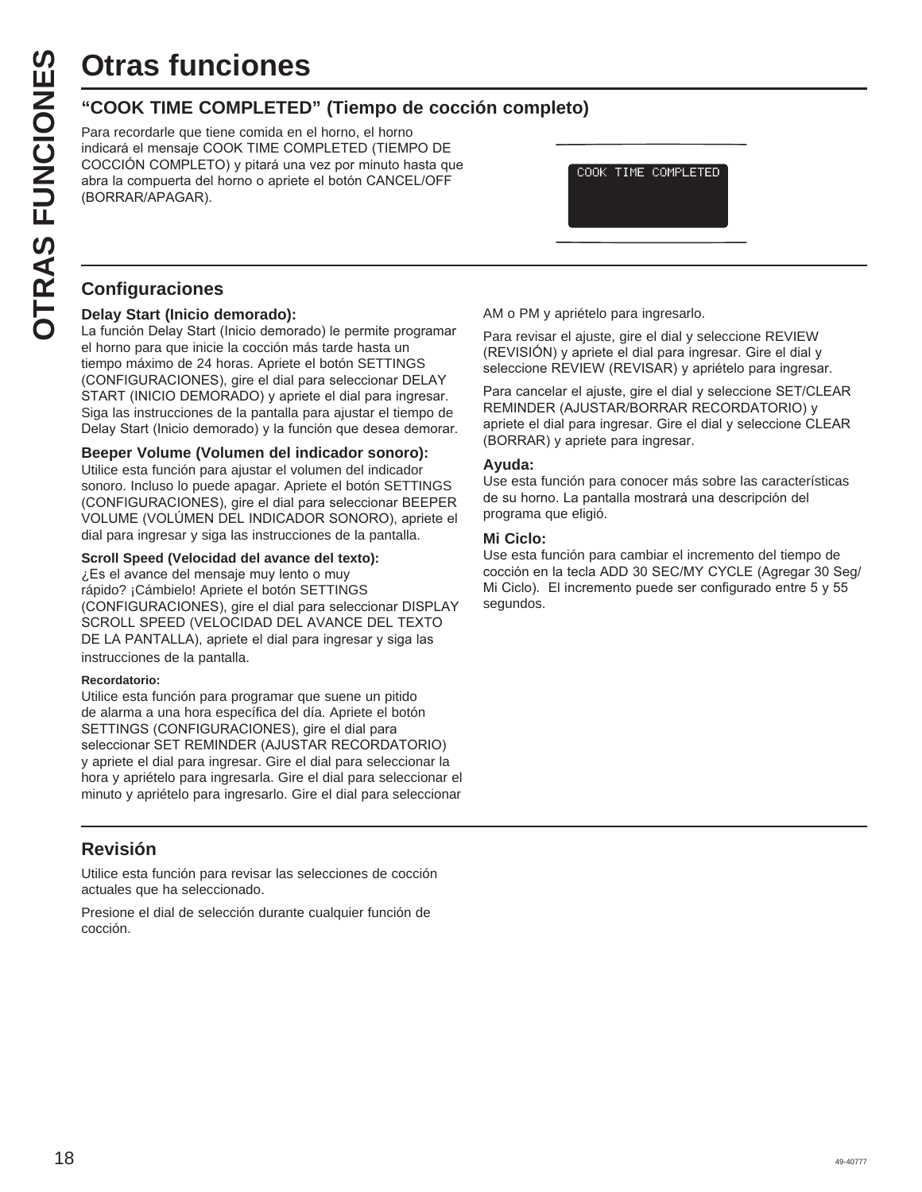# **Otras funciones**

#### **"COOK TIME COMPLETED" (Tiempo de cocción completo)**

Para recordarle que tiene comida en el horno, el horno indicará el mensaje COOK TIME COMPLETED (TIEMPO DE COCCIÓN COMPLETO) y pitará una vez por minuto hasta que abra la compuerta del horno o apriete el botón CANCEL/OFF (BORRAR/APAGAR).

COOK TIME COMPLETED

#### **Configuraciones**

#### **Delay Start (Inicio demorado):**

La función Delay Start (Inicio demorado) le permite programar el horno para que inicie la cocción más tarde hasta un tiempo máximo de 24 horas. Apriete el botón SETTINGS (CONFIGURACIONES), gire el dial para seleccionar DELAY START (INICIO DEMORADO) y apriete el dial para ingresar. Siga las instrucciones de la pantalla para ajustar el tiempo de Delay Start (Inicio demorado) y la función que desea demorar.

#### **Beeper Volume (Volumen del indicador sonoro):**

Utilice esta función para ajustar el volumen del indicador sonoro. Incluso lo puede apagar. Apriete el botón SETTINGS (CONFIGURACIONES), gire el dial para seleccionar BEEPER VOLUME (VOLÚMEN DEL INDICADOR SONORO), apriete el dial para ingresar y siga las instrucciones de la pantalla.

#### **Scroll Speed (Velocidad del avance del texto):**

 $\lambda$ Es el avance del mensaje muy lento o muy rápido? ¡Cámbielo! Apriete el botón SETTINGS (CONFIGURACIONES), gire el dial para seleccionar DISPLAY SCROLL SPEED (VELOCIDAD DEL AVANCE DEL TEXTO DE LA PANTALLA), apriete el dial para ingresar y siga las instrucciones de la pantalla.

#### **Recordatorio:**

Utilice esta función para programar que suene un pitido de alarma a una hora específica del día. Apriete el botón SETTINGS (CONFIGURACIONES), gire el dial para seleccionar SET REMINDER (AJUSTAR RECORDATORIO) y apriete el dial para ingresar. Gire el dial para seleccionar la hora y apriételo para ingresarla. Gire el dial para seleccionar el minuto y apriételo para ingresarlo. Gire el dial para seleccionar

#### **Revisión**

Utilice esta función para revisar las selecciones de cocción actuales que ha seleccionado.

Presione el dial de selección durante cualquier función de cocción.

AM o PM y apriételo para ingresarlo.

Para revisar el ajuste, gire el dial y seleccione REVIEW  $(REVISIÓN)$  y apriete el dial para ingresar. Gire el dial y seleccione REVIEW (REVISAR) y apriételo para ingresar.

Para cancelar el ajuste, gire el dial y seleccione SET/CLEAR REMINDER (AJUSTAR/BORRAR RECORDATORIO) y apriete el dial para ingresar. Gire el dial y seleccione CLEAR (BORRAR) y apriete para ingresar.

#### **Ayuda:**

Use esta función para conocer más sobre las características de su horno. La pantalla mostrará una descripción del programa que eligió.

#### **Mi Ciclo:**

Use esta función para cambiar el incremento del tiempo de cocción en la tecla ADD 30 SEC/MY CYCLE (Agregar 30 Seg/ Mi Ciclo). El incremento puede ser configurado entre  $5y55$ segundos.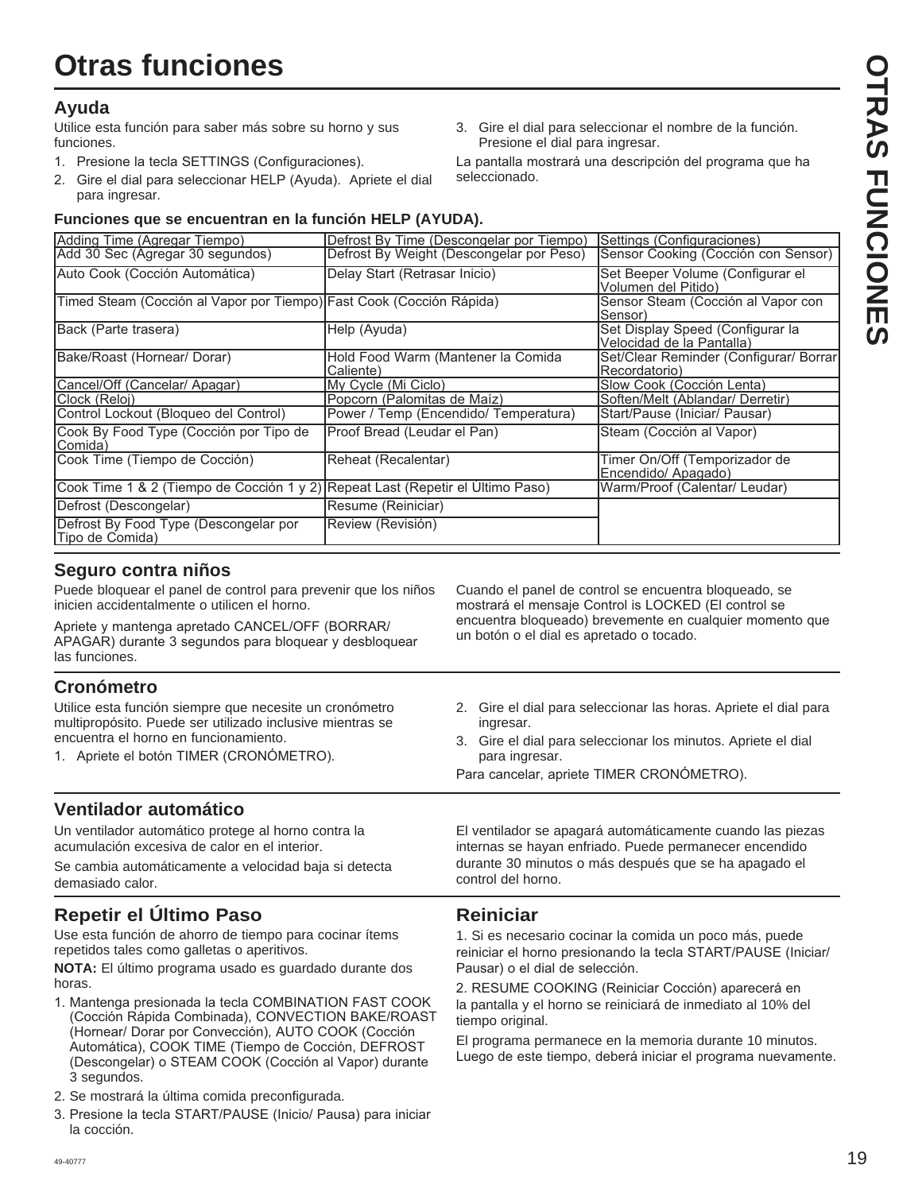#### **Ayuda**

Utilice esta función para saber más sobre su horno y sus funciones.

- 1. Presione la tecla SETTINGS (Configuraciones).
- 2. Gire el dial para seleccionar HELP (Ayuda). Apriete el dial para ingresar.
- 3. Gire el dial para seleccionar el nombre de la función. Presione el dial para ingresar.

La pantalla mostrará una descripción del programa que ha seleccionado.

#### **Funciones que se encuentran en la función HELP (AYUDA).**

| Adding Time (Agregar Tiempo)                                                   | Defrost By Time (Descongelar por Tiempo)        | Settings (Configuraciones)                                    |
|--------------------------------------------------------------------------------|-------------------------------------------------|---------------------------------------------------------------|
| Add 30 Sec (Agregar 30 segundos)                                               | Defrost By Weight (Descongelar por Peso)        | Sensor Cooking (Cocción con Sensor)                           |
| Auto Cook (Cocción Automática)                                                 | Delay Start (Retrasar Inicio)                   | Set Beeper Volume (Configurar el<br>Volumen del Pitido)       |
| Timed Steam (Cocción al Vapor por Tiempo) Fast Cook (Cocción Rápida)           |                                                 | Sensor Steam (Cocción al Vapor con<br>Sensor)                 |
| Back (Parte trasera)                                                           | Help (Ayuda)                                    | Set Display Speed (Configurar la<br>Velocidad de la Pantalla) |
| Bake/Roast (Hornear/ Dorar)                                                    | Hold Food Warm (Mantener la Comida<br>Caliente) | Set/Clear Reminder (Configurar/ Borrar)<br>Recordatorio)      |
| Cancel/Off (Cancelar/ Apagar)                                                  | IMy Cycle (Mi Ciclo)                            | Slow Cook (Cocción Lenta)                                     |
| Clock (Reloj)                                                                  | Popcorn (Palomitas de Maíz)                     | Soften/Melt (Ablandar/ Derretir)                              |
| Control Lockout (Bloqueo del Control)                                          | Power / Temp (Encendido/ Temperatura)           | Start/Pause (Iniciar/ Pausar)                                 |
| Cook By Food Type (Cocción por Tipo de<br>Comida)                              | Proof Bread (Leudar el Pan)                     | Steam (Cocción al Vapor)                                      |
| Cook Time (Tiempo de Cocción)                                                  | Reheat (Recalentar)                             | Timer On/Off (Temporizador de<br>Encendido/ Apagado)          |
| Cook Time 1 & 2 (Tiempo de Cocción 1 y 2) Repeat Last (Repetir el Último Paso) |                                                 | Warm/Proof (Calentar/ Leudar)                                 |
| Defrost (Descongelar)                                                          | Resume (Reiniciar)                              |                                                               |
| Defrost By Food Type (Descongelar por<br>Tipo de Comida)                       | Review (Revisión)                               |                                                               |

#### **Seguro contra niños**

Puede bloquear el panel de control para prevenir que los niños inicien accidentalmente o utilicen el horno.

Apriete y mantenga apretado CANCEL/OFF (BORRAR/ APAGAR) durante 3 segundos para bloquear y desbloquear las funciones.

#### **Cronómetro**

Utilice esta función siempre que necesite un cronómetro multipropósito. Puede ser utilizado inclusive mientras se encuentra el horno en funcionamiento.

1. Apriete el botón TIMER (CRONÓMETRO).

#### **Ventilador automático**

Un ventilador automático protege al horno contra la acumulación excesiva de calor en el interior.

Se cambia automáticamente a velocidad baja si detecta demasiado calor.

#### **Repetir el Último Paso**

Use esta función de ahorro de tiempo para cocinar ítems repetidos tales como galletas o aperitivos.

**NOTA:** El último programa usado es guardado durante dos horas.

- 1. Mantenga presionada la tecla COMBINATION FAST COOK (Cocción Rápida Combinada), CONVECTION BAKE/ROAST (Hornear/ Dorar por Convección), AUTO COOK (Cocción Automática), COOK TIME (Tiempo de Cocción, DEFROST (Descongelar) o STEAM COOK (Cocción al Vapor) durante 3 segundos.
- 2. Se mostrará la última comida preconfigurada.
- 3. Presione la tecla START/PAUSE (Inicio/ Pausa) para iniciar la cocción.
- Cuando el panel de control se encuentra bloqueado, se mostrará el mensaje Control is LOCKED (El control se encuentra bloqueado) brevemente en cualquier momento que un botón o el dial es apretado o tocado.
- 2. Gire el dial para seleccionar las horas. Apriete el dial para ingresar.
- 3. Gire el dial para seleccionar los minutos. Apriete el dial para ingresar.

Para cancelar, apriete TIMER CRONÓMETRO).

El ventilador se apagará automáticamente cuando las piezas internas se hayan enfriado. Puede permanecer encendido durante 30 minutos o más después que se ha apagado el control del horno.

#### **Reiniciar**

1. Si es necesario cocinar la comida un poco más, puede reiniciar el horno presionando la tecla START/PAUSE (Iniciar/ Pausar) o el dial de selección.

2. RESUME COOKING (Reiniciar Cocción) aparecerá en la pantalla y el horno se reiniciará de inmediato al 10% del tiempo original.

El programa permanece en la memoria durante 10 minutos. Luego de este tiempo, deberá iniciar el programa nuevamente.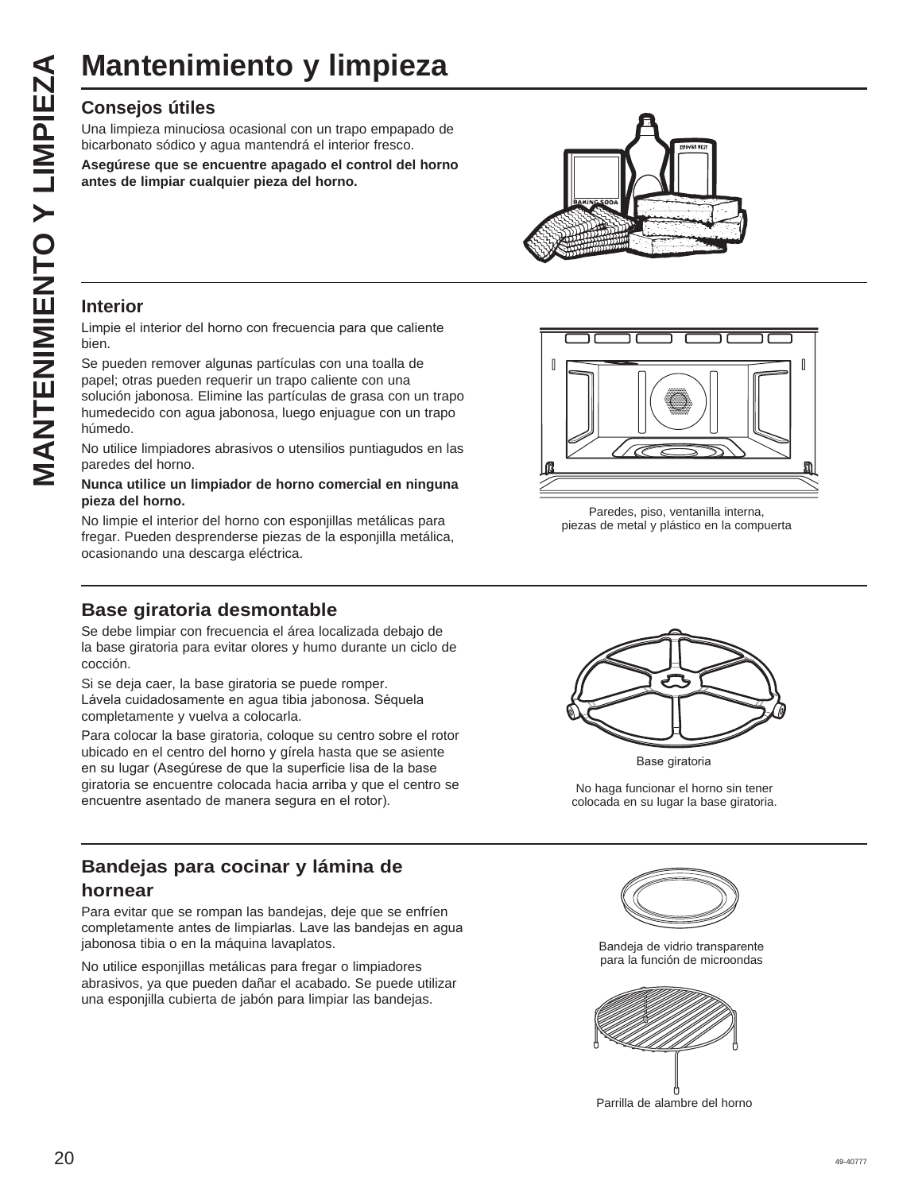# **Mantenimiento y limpieza**

#### **Consejos útiles**

Una limpieza minuciosa ocasional con un trapo empapado de bicarbonato sódico y agua mantendrá el interior fresco.

**Asegúrese que se encuentre apagado el control del horno antes de limpiar cualquier pieza del horno.**



#### **Interior**

Limpie el interior del horno con frecuencia para que caliente bien.

Se pueden remover algunas partículas con una toalla de papel; otras pueden requerir un trapo caliente con una solución jabonosa. Elimine las partículas de grasa con un trapo humedecido con agua jabonosa, luego enjuague con un trapo húmedo.

No utilice limpiadores abrasivos o utensilios puntiagudos en las paredes del horno.

#### **Nunca utilice un limpiador de horno comercial en ninguna pieza del horno.**

No limpie el interior del horno con esponjillas metálicas para fregar. Pueden desprenderse piezas de la esponjilla metálica, ocasionando una descarga eléctrica.

#### **Base giratoria desmontable**

Se debe limpiar con frecuencia el área localizada debajo de la base giratoria para evitar olores y humo durante un ciclo de cocción.

Si se deja caer, la base giratoria se puede romper. Lávela cuidadosamente en agua tibia jabonosa. Séquela completamente y vuelva a colocarla.

Para colocar la base giratoria, coloque su centro sobre el rotor ubicado en el centro del horno y gírela hasta que se asiente en su lugar (Asegúrese de que la superficie lisa de la base giratoria se encuentre colocada hacia arriba y que el centro se encuentre asentado de manera segura en el rotor).

#### **Bandejas para cocinar y lámina de hornear**

Para evitar que se rompan las bandejas, deje que se enfríen completamente antes de limpiarlas. Lave las bandejas en agua jabonosa tibia o en la máquina lavaplatos.

No utilice esponjillas metálicas para fregar o limpiadores abrasivos, ya que pueden dañar el acabado. Se puede utilizar una esponjilla cubierta de jabón para limpiar las bandejas.



Paredes, piso, ventanilla interna, piezas de metal y plástico en la compuerta



Base giratoria

No haga funcionar el horno sin tener colocada en su lugar la base giratoria.



Bandeja de vidrio transparente para la función de microondas



Parrilla de alambre del horno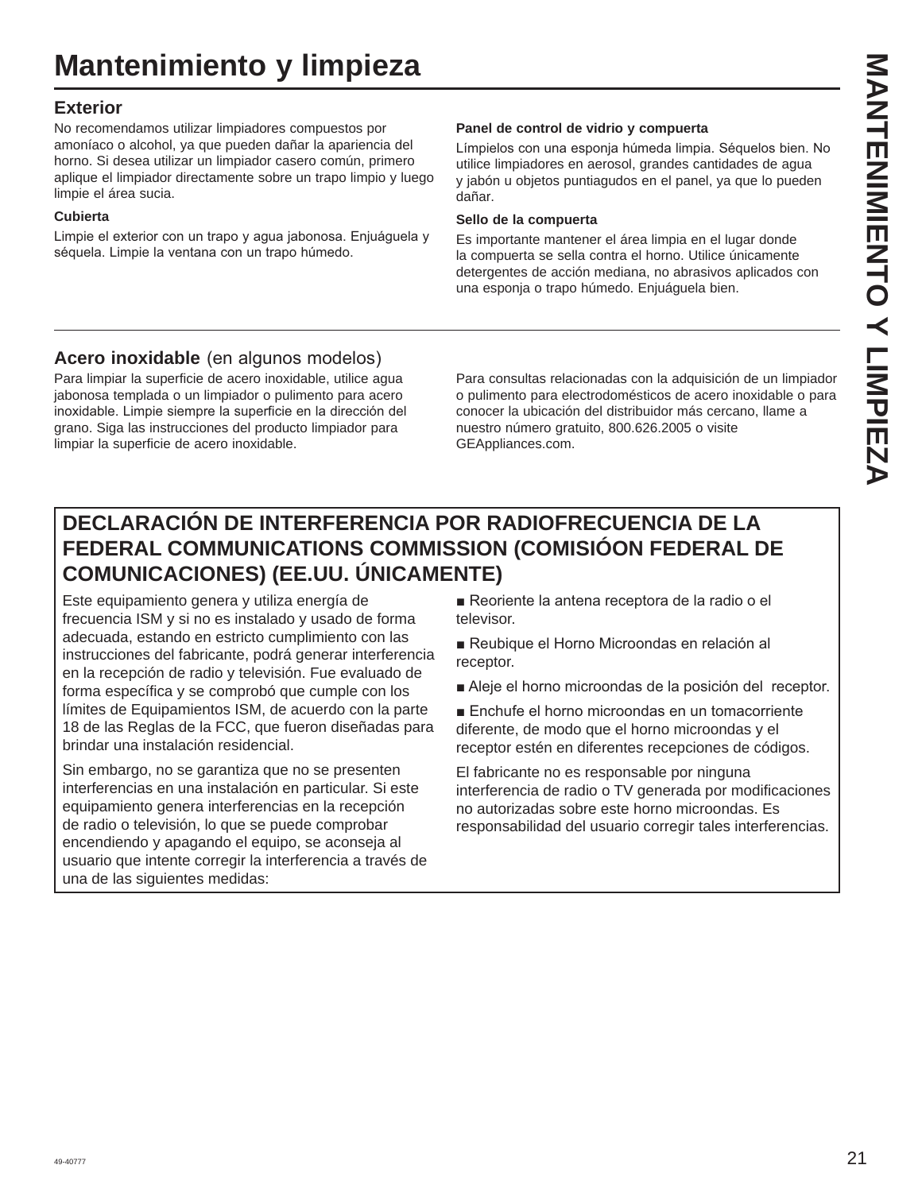#### **Exterior**

No recomendamos utilizar limpiadores compuestos por amoníaco o alcohol, ya que pueden dañar la apariencia del horno. Si desea utilizar un limpiador casero común, primero aplique el limpiador directamente sobre un trapo limpio y luego limpie el área sucia.

#### **Cubierta**

Limpie el exterior con un trapo y agua jabonosa. Enjuáguela y séquela. Limpie la ventana con un trapo húmedo.

#### **Panel de control de vidrio y compuerta**

Límpielos con una esponja húmeda limpia. Séquelos bien. No utilice limpiadores en aerosol, grandes cantidades de agua y jabón u objetos puntiagudos en el panel, ya que lo pueden dañar.

#### **Sello de la compuerta**

Es importante mantener el área limpia en el lugar donde la compuerta se sella contra el horno. Utilice únicamente detergentes de acción mediana, no abrasivos aplicados con una esponja o trapo húmedo. Enjuáguela bien.

#### **Acero inoxidable** (en algunos modelos)

Para limpiar la superficie de acero inoxidable, utilice agua jabonosa templada o un limpiador o pulimento para acero inoxidable. Limpie siempre la superficie en la dirección del grano. Siga las instrucciones del producto limpiador para limpiar la superficie de acero inoxidable.

Para consultas relacionadas con la adquisición de un limpiador o pulimento para electrodomésticos de acero inoxidable o para conocer la ubicación del distribuidor más cercano, llame a nuestro número gratuito, 800.626.2005 o visite GEAppliances.com.

#### **DECLARACIÓN DE INTERFERENCIA POR RADIOFRECUENCIA DE LA FEDERAL COMMUNICATIONS COMMISSION (COMISIÓON FEDERAL DE COMUNICACIONES) (EE.UU. ÚNICAMENTE)**

Este equipamiento genera y utiliza energía de frecuencia ISM y si no es instalado y usado de forma adecuada, estando en estricto cumplimiento con las instrucciones del fabricante, podrá generar interferencia en la recepción de radio y televisión. Fue evaluado de forma específica y se comprobó que cumple con los límites de Equipamientos ISM, de acuerdo con la parte 18 de las Reglas de la FCC, que fueron diseñadas para brindar una instalación residencial.

Sin embargo, no se garantiza que no se presenten interferencias en una instalación en particular. Si este equipamiento genera interferencias en la recepción de radio o televisión, lo que se puede comprobar encendiendo y apagando el equipo, se aconseja al usuario que intente corregir la interferencia a través de una de las siguientes medidas:

Reoriente la antena receptora de la radio o el televisor.

- Reubique el Horno Microondas en relación al receptor.
- Aleje el horno microondas de la posición del receptor.

Enchufe el horno microondas en un tomacorriente diferente, de modo que el horno microondas y el receptor estén en diferentes recepciones de códigos.

El fabricante no es responsable por ninguna interferencia de radio o TV generada por modificaciones no autorizadas sobre este horno microondas. Es responsabilidad del usuario corregir tales interferencias.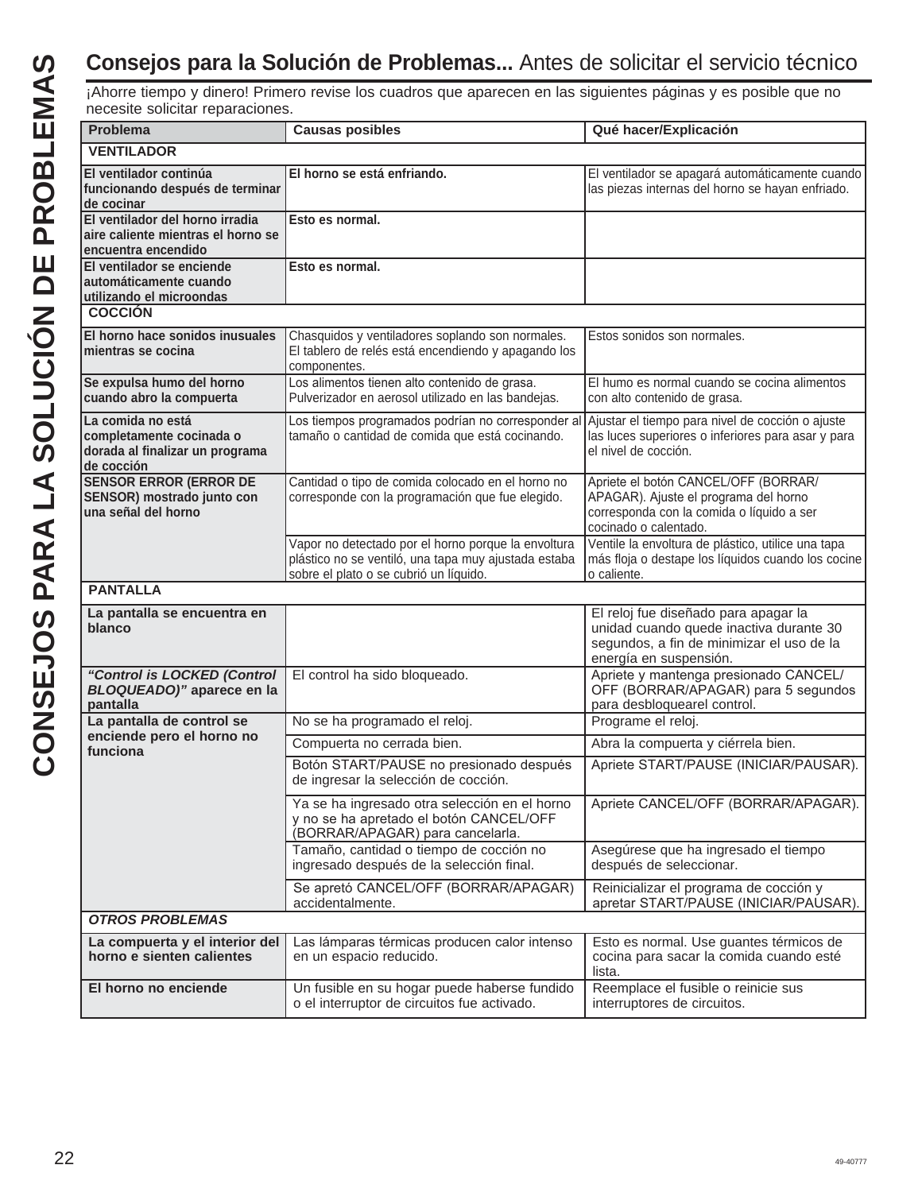# **Consejos para la Solución de Problemas...** Antes de solicitar el servicio técnico

¡Ahorre tiempo y dinero! Primero revise los cuadros que aparecen en las siguientes páginas y es posible que no necesite solicitar reparaciones.

| Problema                                                                                       | <b>Causas posibles</b>                                                                                                                                | Qué hacer/Explicación                                                                                                                                  |
|------------------------------------------------------------------------------------------------|-------------------------------------------------------------------------------------------------------------------------------------------------------|--------------------------------------------------------------------------------------------------------------------------------------------------------|
| <b>VENTILADOR</b>                                                                              |                                                                                                                                                       |                                                                                                                                                        |
| El ventilador continúa<br>funcionando después de terminar<br>de cocinar                        | El horno se está enfriando.                                                                                                                           | El ventilador se apagará automáticamente cuando<br>las piezas internas del horno se hayan enfriado.                                                    |
| El ventilador del horno irradia<br>laire caliente mientras el horno se<br>encuentra encendido  | Esto es normal.                                                                                                                                       |                                                                                                                                                        |
| El ventilador se enciende<br>l automáticamente cuando<br>utilizando el microondas              | Esto es normal.                                                                                                                                       |                                                                                                                                                        |
| <b>COCCIÓN</b>                                                                                 |                                                                                                                                                       |                                                                                                                                                        |
| El horno hace sonidos inusuales<br>mientras se cocina                                          | Chasquidos y ventiladores soplando son normales.<br>El tablero de relés está encendiendo y apagando los<br>componentes.                               | Estos sonidos son normales.                                                                                                                            |
| Se expulsa humo del horno<br>cuando abro la compuerta                                          | Los alimentos tienen alto contenido de grasa.<br>Pulverizador en aerosol utilizado en las bandejas.                                                   | El humo es normal cuando se cocina alimentos<br>con alto contenido de grasa.                                                                           |
| La comida no está<br>completamente cocinada o<br>dorada al finalizar un programa<br>de cocción | Los tiempos programados podrían no corresponder al<br>tamaño o cantidad de comida que está cocinando.                                                 | Ajustar el tiempo para nivel de cocción o ajuste<br>las luces superiores o inferiores para asar y para<br>el nivel de cocción.                         |
| <b>SENSOR ERROR (ERROR DE</b><br>SENSOR) mostrado junto con<br>una señal del horno             | Cantidad o tipo de comida colocado en el horno no<br>corresponde con la programación que fue elegido.                                                 | Apriete el botón CANCEL/OFF (BORRAR/<br>APAGAR). Ajuste el programa del horno<br>corresponda con la comida o líquido a ser<br>cocinado o calentado.    |
|                                                                                                | Vapor no detectado por el horno porque la envoltura<br>plástico no se ventiló, una tapa muy ajustada estaba<br>sobre el plato o se cubrió un líquido. | Ventile la envoltura de plástico, utilice una tapa<br>más floja o destape los líquidos cuando los cocine<br>o caliente.                                |
| <b>PANTALLA</b>                                                                                |                                                                                                                                                       |                                                                                                                                                        |
| La pantalla se encuentra en<br>blanco                                                          |                                                                                                                                                       | El reloj fue diseñado para apagar la<br>unidad cuando quede inactiva durante 30<br>segundos, a fin de minimizar el uso de la<br>energía en suspensión. |
| "Control is LOCKED (Control<br><b>BLOQUEADO)"</b> aparece en la<br>pantalla                    | El control ha sido bloqueado.                                                                                                                         | Apriete y mantenga presionado CANCEL/<br>OFF (BORRAR/APAGAR) para 5 segundos<br>para desbloquearel control.                                            |
| La pantalla de control se<br>enciende pero el horno no                                         | No se ha programado el reloj.                                                                                                                         | Programe el reloj.                                                                                                                                     |
| funciona                                                                                       | Compuerta no cerrada bien.                                                                                                                            | Abra la compuerta y ciérrela bien.                                                                                                                     |
|                                                                                                | Botón START/PAUSE no presionado después<br>de ingresar la selección de cocción.                                                                       | Apriete START/PAUSE (INICIAR/PAUSAR).                                                                                                                  |
|                                                                                                | Ya se ha ingresado otra selección en el horno<br>y no se ha apretado el botón CANCEL/OFF<br>(BORRAR/APAGAR) para cancelarla.                          | Apriete CANCEL/OFF (BORRAR/APAGAR).                                                                                                                    |
|                                                                                                | Tamaño, cantidad o tiempo de cocción no<br>ingresado después de la selección final.                                                                   | Asegúrese que ha ingresado el tiempo<br>después de seleccionar.                                                                                        |
|                                                                                                | Se apretó CANCEL/OFF (BORRAR/APAGAR)<br>accidentalmente.                                                                                              | Reinicializar el programa de cocción y<br>apretar START/PAUSE (INICIAR/PAUSAR).                                                                        |
| <b>OTROS PROBLEMAS</b>                                                                         |                                                                                                                                                       |                                                                                                                                                        |
| La compuerta y el interior del<br>horno e sienten calientes                                    | Las lámparas térmicas producen calor intenso<br>en un espacio reducido.                                                                               | Esto es normal. Use guantes térmicos de<br>cocina para sacar la comida cuando esté<br>lista.                                                           |
| El horno no enciende                                                                           | Un fusible en su hogar puede haberse fundido<br>o el interruptor de circuitos fue activado.                                                           | Reemplace el fusible o reinicie sus<br>interruptores de circuitos.                                                                                     |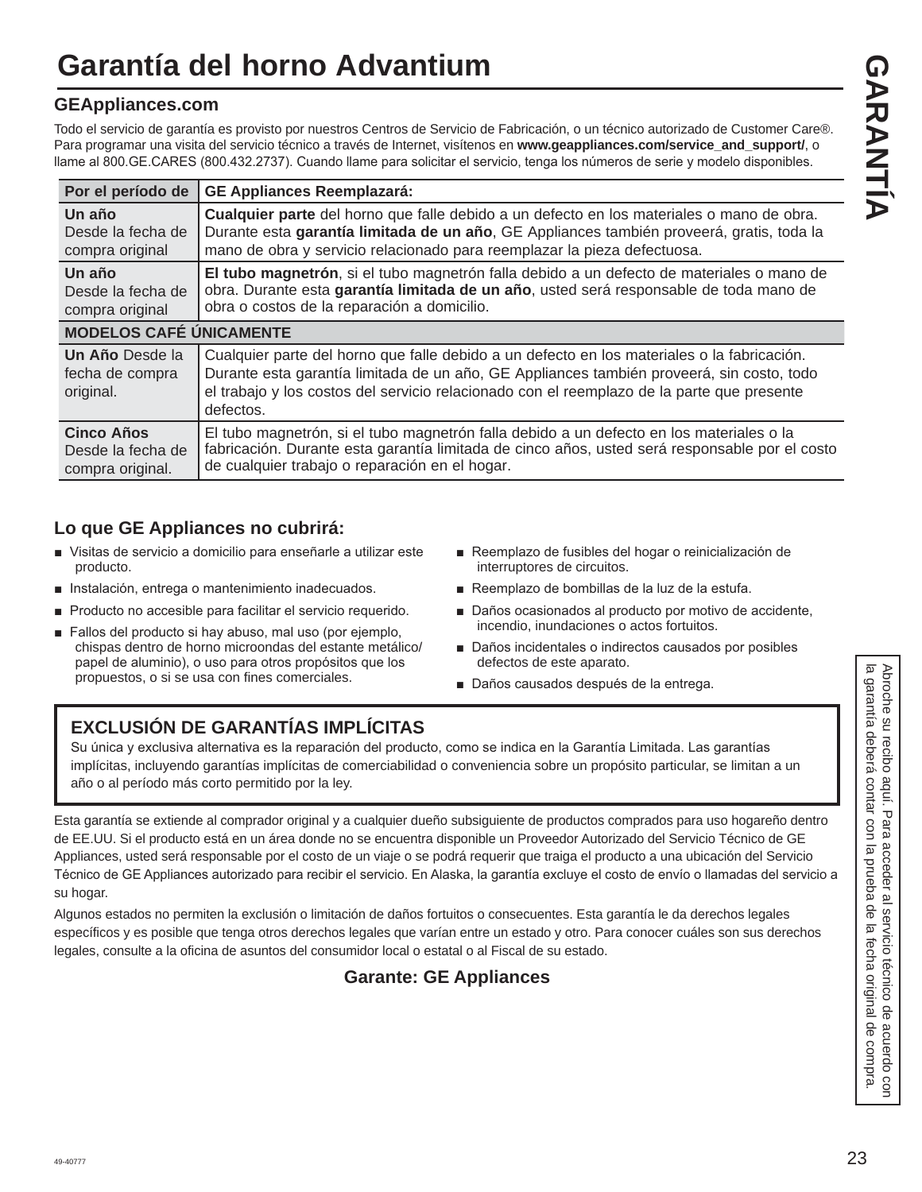# **Garantía del horno Advantium**

#### **GEAppliances.com**

Todo el servicio de garantía es provisto por nuestros Centros de Servicio de Fabricación, o un técnico autorizado de Customer Care®. Para programar una visita del servicio técnico a través de Internet, visítenos en www.geappliances.com/service\_and\_support/, o Ilame al 800. GE. CARES (800.432.2737). Cuando llame para solicitar el servicio, tenga los números de serie y modelo disponibles.

| Por el período de                               | <b>GE Appliances Reemplazará:</b>                                                                                                                                                                                                                                                                   |
|-------------------------------------------------|-----------------------------------------------------------------------------------------------------------------------------------------------------------------------------------------------------------------------------------------------------------------------------------------------------|
| Un año                                          | Cualquier parte del horno que falle debido a un defecto en los materiales o mano de obra.                                                                                                                                                                                                           |
| Desde la fecha de                               | Durante esta garantía limitada de un año, GE Appliances también proveerá, gratis, toda la                                                                                                                                                                                                           |
| compra original                                 | mano de obra y servicio relacionado para reemplazar la pieza defectuosa.                                                                                                                                                                                                                            |
| Un año                                          | El tubo magnetrón, si el tubo magnetrón falla debido a un defecto de materiales o mano de                                                                                                                                                                                                           |
| Desde la fecha de                               | obra. Durante esta garantía limitada de un año, usted será responsable de toda mano de                                                                                                                                                                                                              |
| compra original                                 | obra o costos de la reparación a domicilio.                                                                                                                                                                                                                                                         |
| <b>MODELOS CAFÉ ÚNICAMENTE</b>                  |                                                                                                                                                                                                                                                                                                     |
| Un Año Desde la<br>fecha de compra<br>original. | Cualquier parte del horno que falle debido a un defecto en los materiales o la fabricación.<br>Durante esta garantía limitada de un año, GE Appliances también proveerá, sin costo, todo<br>el trabajo y los costos del servicio relacionado con el reemplazo de la parte que presente<br>defectos. |
| <b>Cinco Años</b>                               | El tubo magnetrón, si el tubo magnetrón falla debido a un defecto en los materiales o la                                                                                                                                                                                                            |
| Desde la fecha de                               | fabricación. Durante esta garantía limitada de cinco años, usted será responsable por el costo                                                                                                                                                                                                      |
| compra original.                                | de cualquier trabajo o reparación en el hogar.                                                                                                                                                                                                                                                      |

#### **Lo que GE Appliances no cubrirá:**

- Visitas de servicio a domicilio para enseñarle a utilizar este producto.
- Instalación, entrega o mantenimiento inadecuados.
- Producto no accesible para facilitar el servicio requerido.
- Fallos del producto si hay abuso, mal uso (por ejemplo. chispas dentro de horno microondas del estante metálico/ papel de aluminio), o uso para otros propósitos que los propuestos, o si se usa con fines comerciales.
- Reemplazo de fusibles del hogar o reinicialización de interruptores de circuitos.
- Reemplazo de bombillas de la luz de la estufa.
- Daños ocasionados al producto por motivo de accidente, incendio, inundaciones o actos fortuitos.
- Daños incidentales o indirectos causados por posibles defectos de este aparato.
- Daños causados después de la entrega.

# **EXCLUSIÓN DE GARANTÍAS IMPLÍCITAS**

Su única y exclusiva alternativa es la reparación del producto, como se indica en la Garantía Limitada. Las garantías implícitas, incluyendo garantías implícitas de comerciabilidad o conveniencia sobre un propósito particular, se limitan a un año o al período más corto permitido por la ley.

Esta garantía se extiende al comprador original y a cualquier dueño subsiguiente de productos comprados para uso hogareño dentro de EE.UU. Si el producto está en un área donde no se encuentra disponible un Proveedor Autorizado del Servicio Técnico de GE Appliances, usted será responsable por el costo de un viaje o se podrá requerir que traiga el producto a una ubicación del Servicio Técnico de GE Appliances autorizado para recibir el servicio. En Alaska, la garantía excluye el costo de envío o llamadas del servicio a su hogar.

Algunos estados no permiten la exclusión o limitación de daños fortuitos o consecuentes. Esta garantía le da derechos legales específicos y es posible que tenga otros derechos legales que varían entre un estado y otro. Para conocer cuáles son sus derechos legales, consulte a la oficina de asuntos del consumidor local o estatal o al Fiscal de su estado.

#### **Garante: GE Appliances**